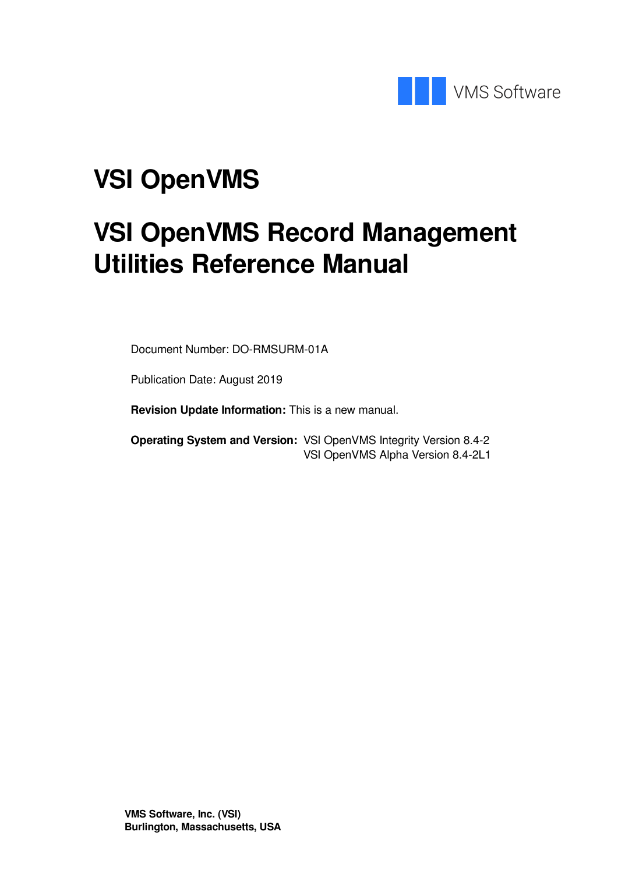

# **VSI OpenVMS**

# **VSI OpenVMS Record Management Utilities Reference Manual**

Document Number: DO-RMSURM-01A

Publication Date: August 2019

**Revision Update Information:** This is a new manual.

**Operating System and Version:** VSI OpenVMS Integrity Version 8.4-2 VSI OpenVMS Alpha Version 8.4-2L1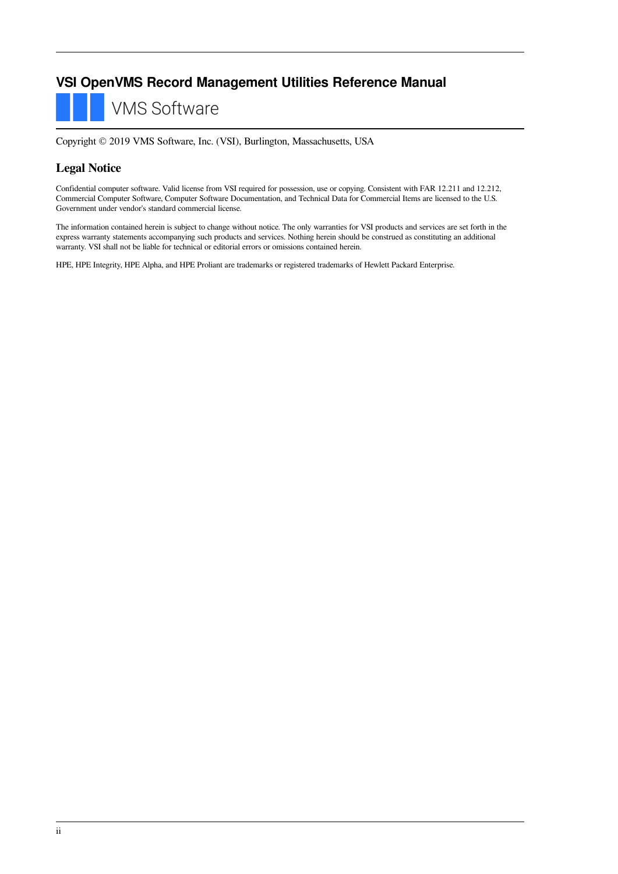### **VSI OpenVMS Record Management Utilities Reference Manual**

**VMS Software** 

Copyright © 2019 VMS Software, Inc. (VSI), Burlington, Massachusetts, USA

#### **Legal Notice**

Confidential computer software. Valid license from VSI required for possession, use or copying. Consistent with FAR 12.211 and 12.212, Commercial Computer Software, Computer Software Documentation, and Technical Data for Commercial Items are licensed to the U.S. Government under vendor's standard commercial license.

The information contained herein is subject to change without notice. The only warranties for VSI products and services are set forth in the express warranty statements accompanying such products and services. Nothing herein should be construed as constituting an additional warranty. VSI shall not be liable for technical or editorial errors or omissions contained herein.

HPE, HPE Integrity, HPE Alpha, and HPE Proliant are trademarks or registered trademarks of Hewlett Packard Enterprise.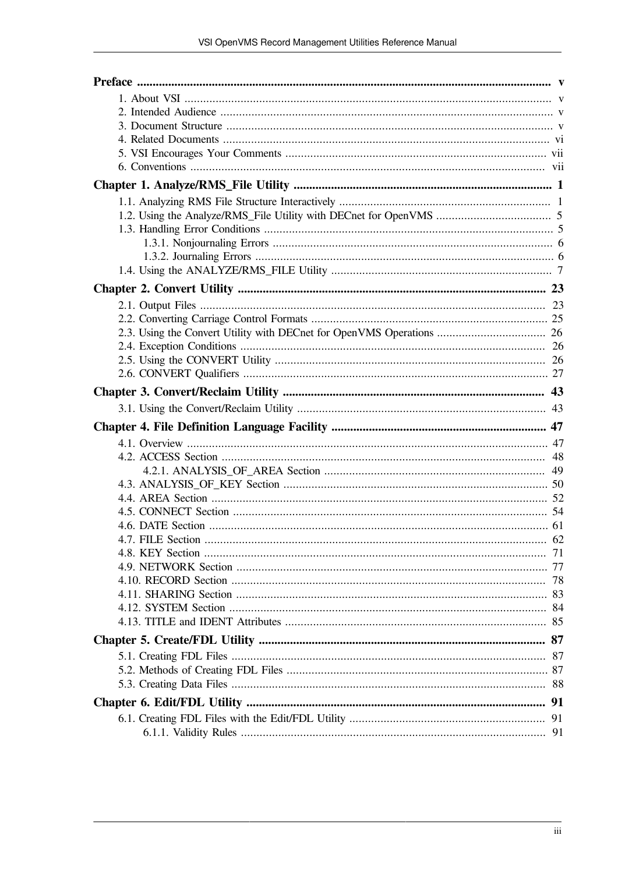| 4.7 FILE Section |  |
|------------------|--|
|                  |  |
|                  |  |
|                  |  |
|                  |  |
|                  |  |
|                  |  |
|                  |  |
|                  |  |
|                  |  |
|                  |  |
|                  |  |
|                  |  |
|                  |  |
|                  |  |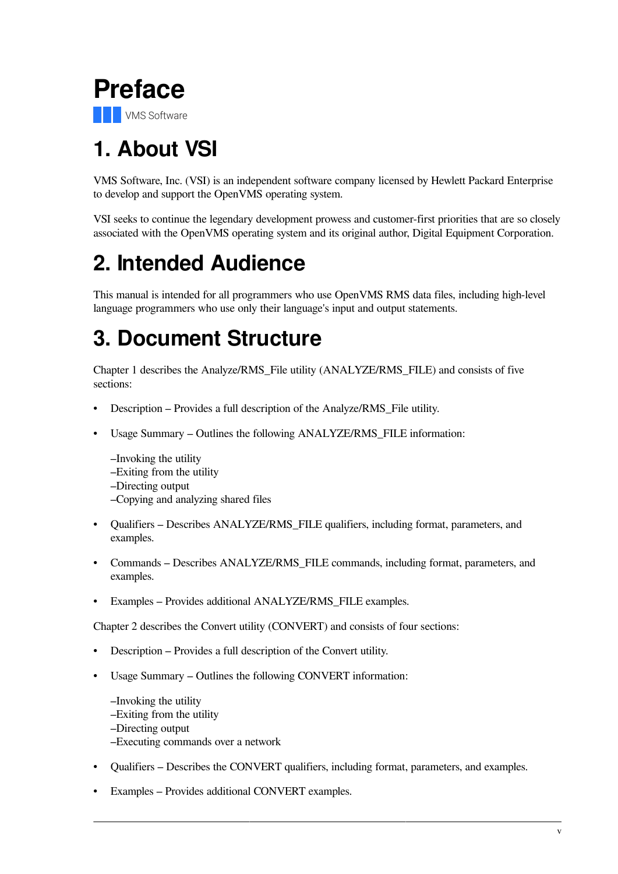<span id="page-4-0"></span>

# <span id="page-4-1"></span>**1. About VSI**

VMS Software, Inc. (VSI) is an independent software company licensed by Hewlett Packard Enterprise to develop and support the OpenVMS operating system.

VSI seeks to continue the legendary development prowess and customer-first priorities that are so closely associated with the OpenVMS operating system and its original author, Digital Equipment Corporation.

# <span id="page-4-2"></span>**2. Intended Audience**

This manual is intended for all programmers who use OpenVMS RMS data files, including high-level language programmers who use only their language's input and output statements.

# <span id="page-4-3"></span>**3. Document Structure**

[Chapter](#page-8-0) 1 describes the Analyze/RMS\_File utility (ANALYZE/RMS\_FILE) and consists of five sections:

- Description Provides a full description of the Analyze/RMS\_File utility.
- Usage Summary Outlines the following ANALYZE/RMS\_FILE information:

–Invoking the utility

–Exiting from the utility

–Directing output

–Copying and analyzing shared files

- Qualifiers Describes ANALYZE/RMS FILE qualifiers, including format, parameters, and examples.
- Commands Describes ANALYZE/RMS FILE commands, including format, parameters, and examples.
- Examples Provides additional ANALYZE/RMS\_FILE examples.

[Chapter](#page-30-0) 2 describes the Convert utility (CONVERT) and consists of four sections:

- Description Provides a full description of the Convert utility.
- Usage Summary Outlines the following CONVERT information:
	- –Invoking the utility –Exiting from the utility –Directing output –Executing commands over a network
- Qualifiers Describes the CONVERT qualifiers, including format, parameters, and examples.
- Examples Provides additional CONVERT examples.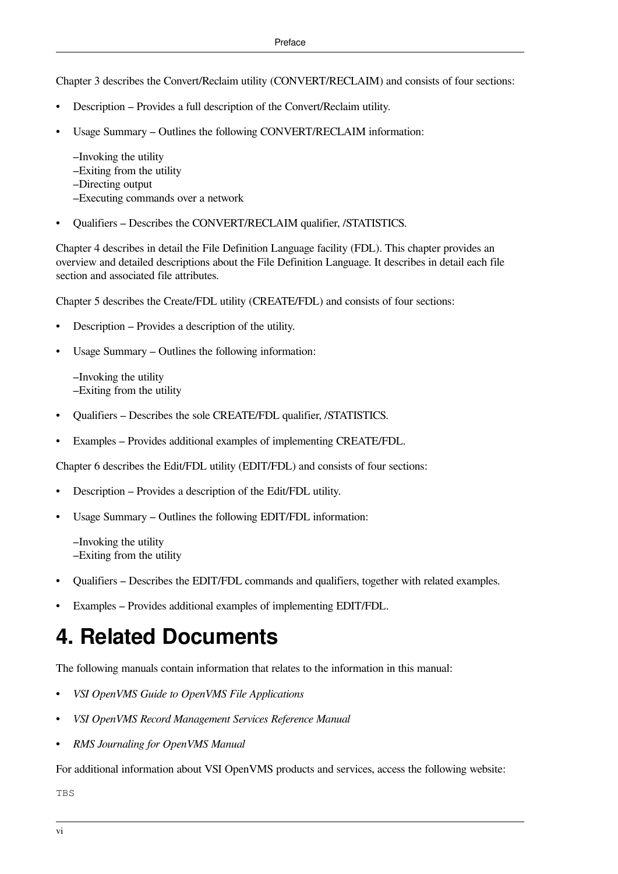[Chapter](#page-50-0) 3 describes the Convert/Reclaim utility (CONVERT/RECLAIM) and consists of four sections:

- Description Provides a full description of the Convert/Reclaim utility.
- Usage Summary Outlines the following CONVERT/RECLAIM information:

–Invoking the utility

- –Exiting from the utility
- –Directing output
- –Executing commands over a network
- Qualifiers Describes the CONVERT/RECLAIM qualifier, /STATISTICS.

[Chapter](#page-54-0) 4 describes in detail the File Definition Language facility (FDL). This chapter provides an overview and detailed descriptions about the File Definition Language. It describes in detail each file section and associated file attributes.

[Chapter](#page-94-0) 5 describes the Create/FDL utility (CREATE/FDL) and consists of four sections:

- Description Provides a description of the utility.
- Usage Summary Outlines the following information:

–Invoking the utility –Exiting from the utility

- Qualifiers Describes the sole CREATE/FDL qualifier, /STATISTICS.
- Examples Provides additional examples of implementing CREATE/FDL.

[Chapter](#page-98-0) 6 describes the Edit/FDL utility (EDIT/FDL) and consists of four sections:

- Description Provides a description of the Edit/FDL utility.
- Usage Summary Outlines the following EDIT/FDL information:

–Invoking the utility –Exiting from the utility

- Qualifiers Describes the EDIT/FDL commands and qualifiers, together with related examples.
- Examples Provides additional examples of implementing EDIT/FDL.

# <span id="page-5-0"></span>**4. Related Documents**

The following manuals contain information that relates to the information in this manual:

- *VSI OpenVMS Guide to OpenVMS File Applications*
- *VSI OpenVMS Record Management Services Reference Manual*
- *RMS Journaling for OpenVMS Manual*

For additional information about VSI OpenVMS products and services, access the following website:

TBS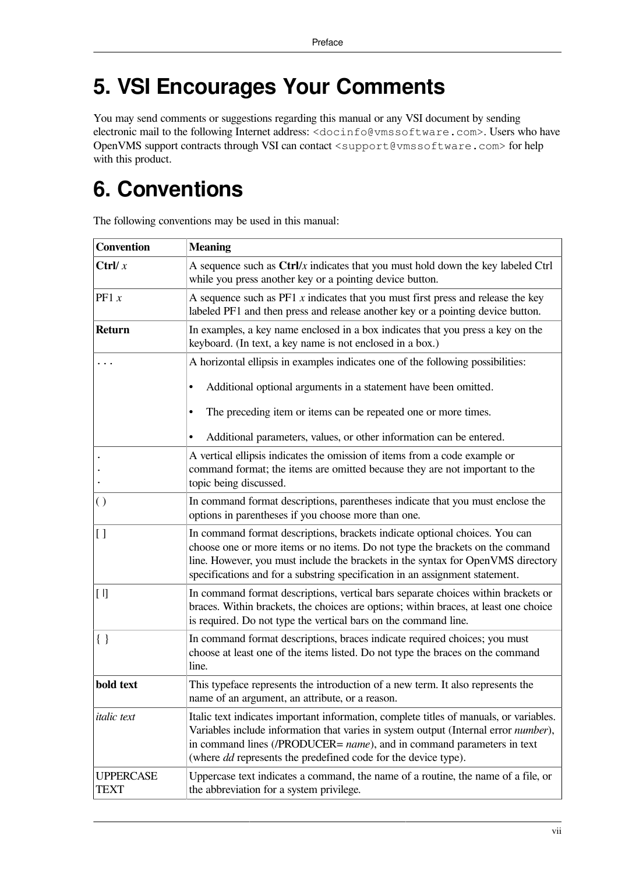# <span id="page-6-0"></span>**5. VSI Encourages Your Comments**

You may send comments or suggestions regarding this manual or any VSI document by sending electronic mail to the following Internet address: <docinfo@vmssoftware.com>. Users who have OpenVMS support contracts through VSI can contact <support@vmssoftware.com> for help with this product.

# <span id="page-6-1"></span>**6. Conventions**

| <b>Convention</b>        | <b>Meaning</b>                                                                                                                                                                                                                                                                                                                   |
|--------------------------|----------------------------------------------------------------------------------------------------------------------------------------------------------------------------------------------------------------------------------------------------------------------------------------------------------------------------------|
| Ctrl/ $x$                | A sequence such as $\frac{Ctrl}{x}$ indicates that you must hold down the key labeled $\frac{Ctrl}{x}$<br>while you press another key or a pointing device button.                                                                                                                                                               |
| PF1 $x$                  | A sequence such as $PF1 x$ indicates that you must first press and release the key<br>labeled PF1 and then press and release another key or a pointing device button.                                                                                                                                                            |
| Return                   | In examples, a key name enclosed in a box indicates that you press a key on the<br>keyboard. (In text, a key name is not enclosed in a box.)                                                                                                                                                                                     |
|                          | A horizontal ellipsis in examples indicates one of the following possibilities:                                                                                                                                                                                                                                                  |
|                          | Additional optional arguments in a statement have been omitted.<br>$\bullet$                                                                                                                                                                                                                                                     |
|                          | The preceding item or items can be repeated one or more times.                                                                                                                                                                                                                                                                   |
|                          | Additional parameters, values, or other information can be entered.                                                                                                                                                                                                                                                              |
|                          | A vertical ellipsis indicates the omission of items from a code example or<br>command format; the items are omitted because they are not important to the<br>topic being discussed.                                                                                                                                              |
| $\left( \ \right)$       | In command format descriptions, parentheses indicate that you must enclose the<br>options in parentheses if you choose more than one.                                                                                                                                                                                            |
| 1]                       | In command format descriptions, brackets indicate optional choices. You can<br>choose one or more items or no items. Do not type the brackets on the command<br>line. However, you must include the brackets in the syntax for OpenVMS directory<br>specifications and for a substring specification in an assignment statement. |
| $[ \; ]$                 | In command format descriptions, vertical bars separate choices within brackets or<br>braces. Within brackets, the choices are options; within braces, at least one choice<br>is required. Do not type the vertical bars on the command line.                                                                                     |
| $\{ \; \}$               | In command format descriptions, braces indicate required choices; you must<br>choose at least one of the items listed. Do not type the braces on the command<br>line.                                                                                                                                                            |
| bold text                | This typeface represents the introduction of a new term. It also represents the<br>name of an argument, an attribute, or a reason.                                                                                                                                                                                               |
| <i>italic</i> text       | Italic text indicates important information, complete titles of manuals, or variables.<br>Variables include information that varies in system output (Internal error number),<br>in command lines (/PRODUCER= name), and in command parameters in text<br>(where <i>dd</i> represents the predefined code for the device type).  |
| <b>UPPERCASE</b><br>TEXT | Uppercase text indicates a command, the name of a routine, the name of a file, or<br>the abbreviation for a system privilege.                                                                                                                                                                                                    |

The following conventions may be used in this manual: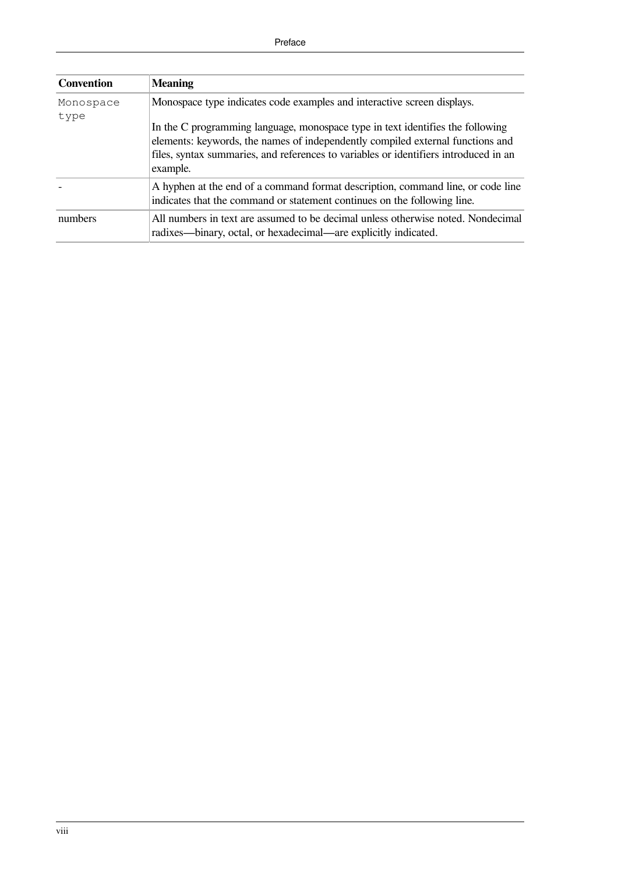| <b>Convention</b> | <b>Meaning</b>                                                                                                                                                                                                                                                       |
|-------------------|----------------------------------------------------------------------------------------------------------------------------------------------------------------------------------------------------------------------------------------------------------------------|
| Monospace         | Monospace type indicates code examples and interactive screen displays.                                                                                                                                                                                              |
| type              | In the C programming language, monospace type in text identifies the following<br>elements: keywords, the names of independently compiled external functions and<br>files, syntax summaries, and references to variables or identifiers introduced in an<br>example. |
|                   | A hyphen at the end of a command format description, command line, or code line<br>indicates that the command or statement continues on the following line.                                                                                                          |
| numbers           | All numbers in text are assumed to be decimal unless otherwise noted. Nondecimal<br>radixes—binary, octal, or hexadecimal—are explicitly indicated.                                                                                                                  |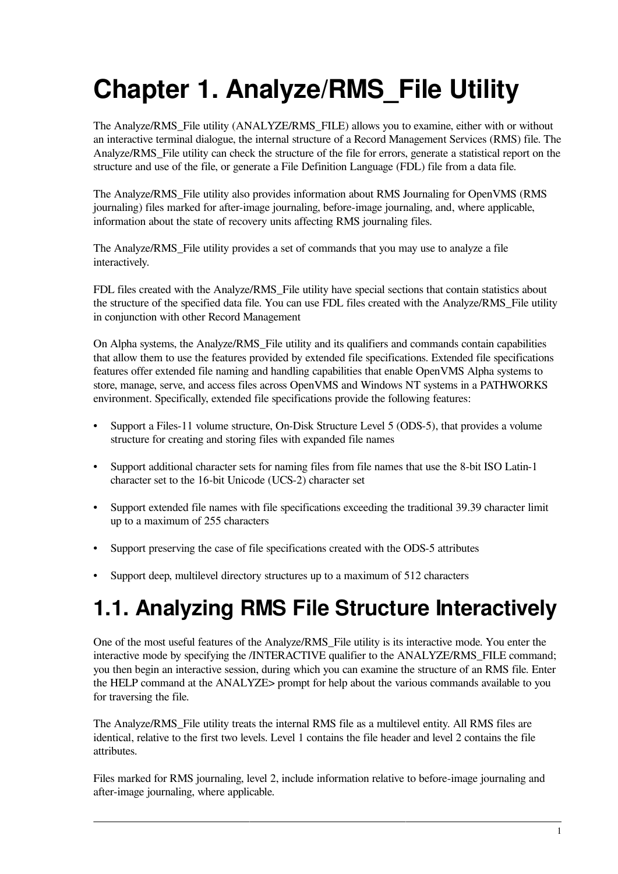# <span id="page-8-0"></span>**Chapter 1. Analyze/RMS\_File Utility**

The Analyze/RMS\_File utility (ANALYZE/RMS\_FILE) allows you to examine, either with or without an interactive terminal dialogue, the internal structure of a Record Management Services (RMS) file. The Analyze/RMS File utility can check the structure of the file for errors, generate a statistical report on the structure and use of the file, or generate a File Definition Language (FDL) file from a data file.

The Analyze/RMS\_File utility also provides information about RMS Journaling for OpenVMS (RMS journaling) files marked for after-image journaling, before-image journaling, and, where applicable, information about the state of recovery units affecting RMS journaling files.

The Analyze/RMS\_File utility provides a set of commands that you may use to analyze a file interactively.

FDL files created with the Analyze/RMS\_File utility have special sections that contain statistics about the structure of the specified data file. You can use FDL files created with the Analyze/RMS\_File utility in conjunction with other Record Management

On Alpha systems, the Analyze/RMS\_File utility and its qualifiers and commands contain capabilities that allow them to use the features provided by extended file specifications. Extended file specifications features offer extended file naming and handling capabilities that enable OpenVMS Alpha systems to store, manage, serve, and access files across OpenVMS and Windows NT systems in a PATHWORKS environment. Specifically, extended file specifications provide the following features:

- Support a Files-11 volume structure, On-Disk Structure Level 5 (ODS-5), that provides a volume structure for creating and storing files with expanded file names
- Support additional character sets for naming files from file names that use the 8-bit ISO Latin-1 character set to the 16-bit Unicode (UCS-2) character set
- Support extended file names with file specifications exceeding the traditional 39.39 character limit up to a maximum of 255 characters
- Support preserving the case of file specifications created with the ODS-5 attributes
- <span id="page-8-1"></span>• Support deep, multilevel directory structures up to a maximum of 512 characters

# **1.1. Analyzing RMS File Structure Interactively**

One of the most useful features of the Analyze/RMS\_File utility is its interactive mode. You enter the interactive mode by specifying the /INTERACTIVE qualifier to the ANALYZE/RMS FILE command; you then begin an interactive session, during which you can examine the structure of an RMS file. Enter the HELP command at the ANALYZE> prompt for help about the various commands available to you for traversing the file.

The Analyze/RMS\_File utility treats the internal RMS file as a multilevel entity. All RMS files are identical, relative to the first two levels. Level 1 contains the file header and level 2 contains the file attributes.

Files marked for RMS journaling, level 2, include information relative to before-image journaling and after-image journaling, where applicable.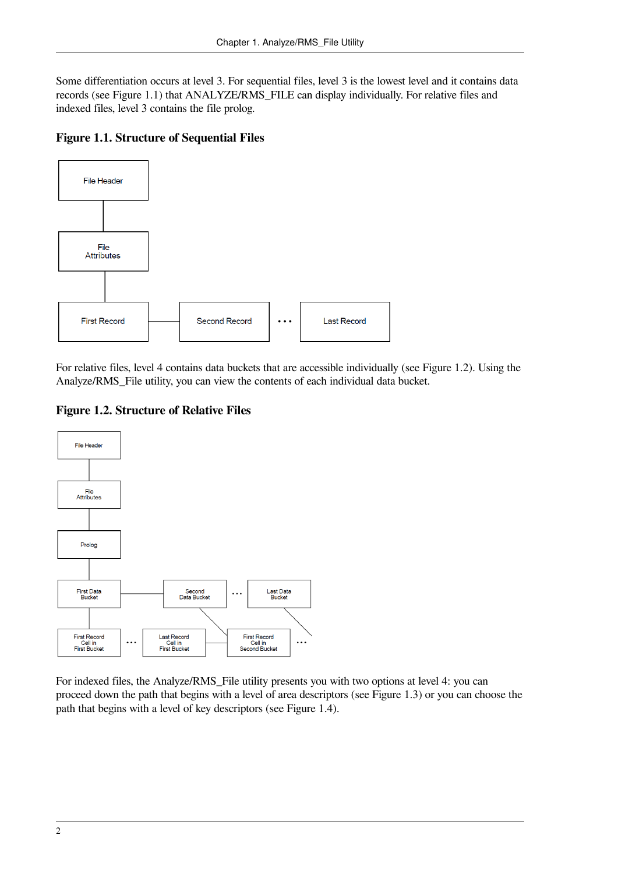Some differentiation occurs at level 3. For sequential files, level 3 is the lowest level and it contains data records (see [Figure](#page-9-0) 1.1) that ANALYZE/RMS\_FILE can display individually. For relative files and indexed files, level 3 contains the file prolog.

#### <span id="page-9-0"></span>**Figure 1.1. Structure of Sequential Files**



For relative files, level 4 contains data buckets that are accessible individually (see [Figure](#page-9-1) 1.2). Using the Analyze/RMS\_File utility, you can view the contents of each individual data bucket.

<span id="page-9-1"></span>**Figure 1.2. Structure of Relative Files**



For indexed files, the Analyze/RMS\_File utility presents you with two options at level 4: you can proceed down the path that begins with a level of area descriptors (see [Figure](#page-10-0) 1.3) or you can choose the path that begins with a level of key descriptors (see [Figure](#page-11-0) 1.4).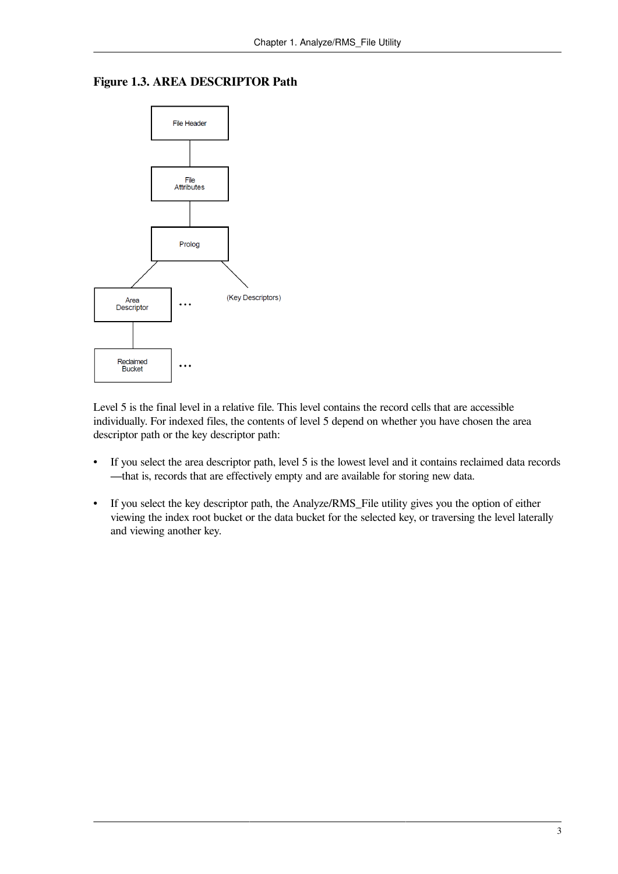<span id="page-10-0"></span>



Level 5 is the final level in a relative file. This level contains the record cells that are accessible individually. For indexed files, the contents of level 5 depend on whether you have chosen the area descriptor path or the key descriptor path:

- If you select the area descriptor path, level 5 is the lowest level and it contains reclaimed data records —that is, records that are effectively empty and are available for storing new data.
- If you select the key descriptor path, the Analyze/RMS\_File utility gives you the option of either viewing the index root bucket or the data bucket for the selected key, or traversing the level laterally and viewing another key.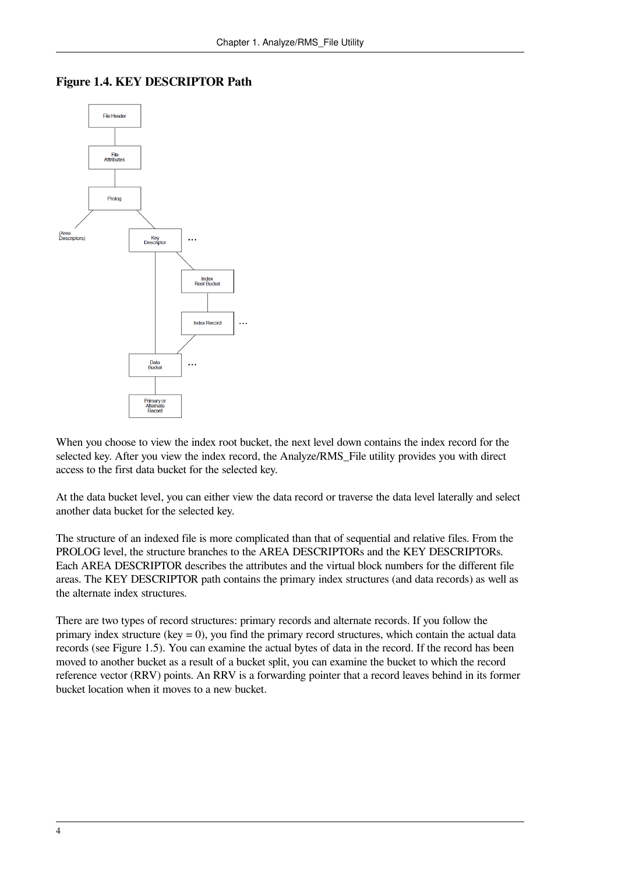

#### <span id="page-11-0"></span>**Figure 1.4. KEY DESCRIPTOR Path**

When you choose to view the index root bucket, the next level down contains the index record for the selected key. After you view the index record, the Analyze/RMS\_File utility provides you with direct access to the first data bucket for the selected key.

At the data bucket level, you can either view the data record or traverse the data level laterally and select another data bucket for the selected key.

The structure of an indexed file is more complicated than that of sequential and relative files. From the PROLOG level, the structure branches to the AREA DESCRIPTORs and the KEY DESCRIPTORs. Each AREA DESCRIPTOR describes the attributes and the virtual block numbers for the different file areas. The KEY DESCRIPTOR path contains the primary index structures (and data records) as well as the alternate index structures.

There are two types of record structures: primary records and alternate records. If you follow the primary index structure (key  $= 0$ ), you find the primary record structures, which contain the actual data records (see [Figure](#page-12-2) 1.5). You can examine the actual bytes of data in the record. If the record has been moved to another bucket as a result of a bucket split, you can examine the bucket to which the record reference vector (RRV) points. An RRV is a forwarding pointer that a record leaves behind in its former bucket location when it moves to a new bucket.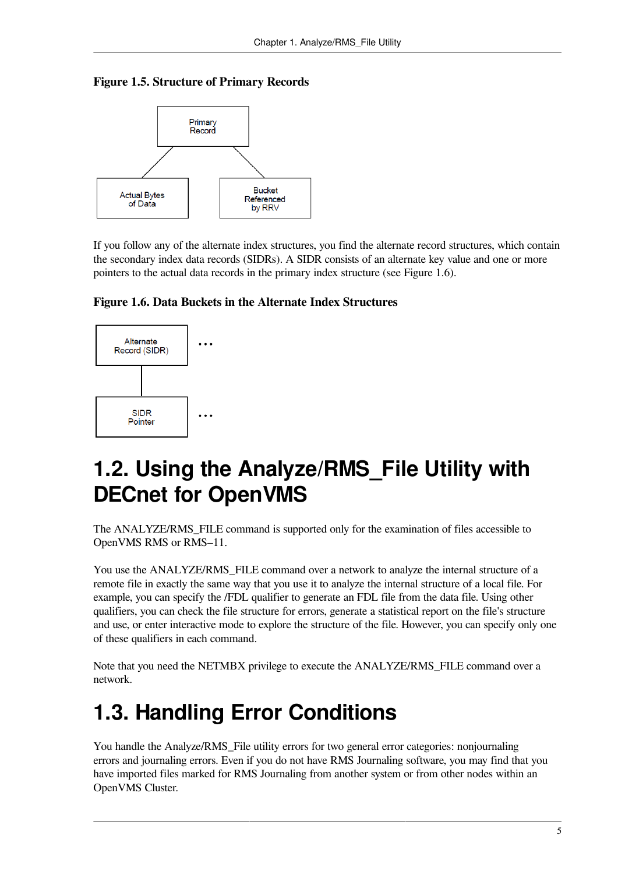#### <span id="page-12-2"></span>**Figure 1.5. Structure of Primary Records**



If you follow any of the alternate index structures, you find the alternate record structures, which contain the secondary index data records (SIDRs). A SIDR consists of an alternate key value and one or more pointers to the actual data records in the primary index structure (see [Figure](#page-12-3) 1.6).

<span id="page-12-3"></span>



# <span id="page-12-0"></span>**1.2. Using the Analyze/RMS\_File Utility with DECnet for OpenVMS**

The ANALYZE/RMS\_FILE command is supported only for the examination of files accessible to OpenVMS RMS or RMS–11.

You use the ANALYZE/RMS\_FILE command over a network to analyze the internal structure of a remote file in exactly the same way that you use it to analyze the internal structure of a local file. For example, you can specify the /FDL qualifier to generate an FDL file from the data file. Using other qualifiers, you can check the file structure for errors, generate a statistical report on the file's structure and use, or enter interactive mode to explore the structure of the file. However, you can specify only one of these qualifiers in each command.

Note that you need the NETMBX privilege to execute the ANALYZE/RMS\_FILE command over a network.

# <span id="page-12-1"></span>**1.3. Handling Error Conditions**

You handle the Analyze/RMS\_File utility errors for two general error categories: nonjournaling errors and journaling errors. Even if you do not have RMS Journaling software, you may find that you have imported files marked for RMS Journaling from another system or from other nodes within an OpenVMS Cluster.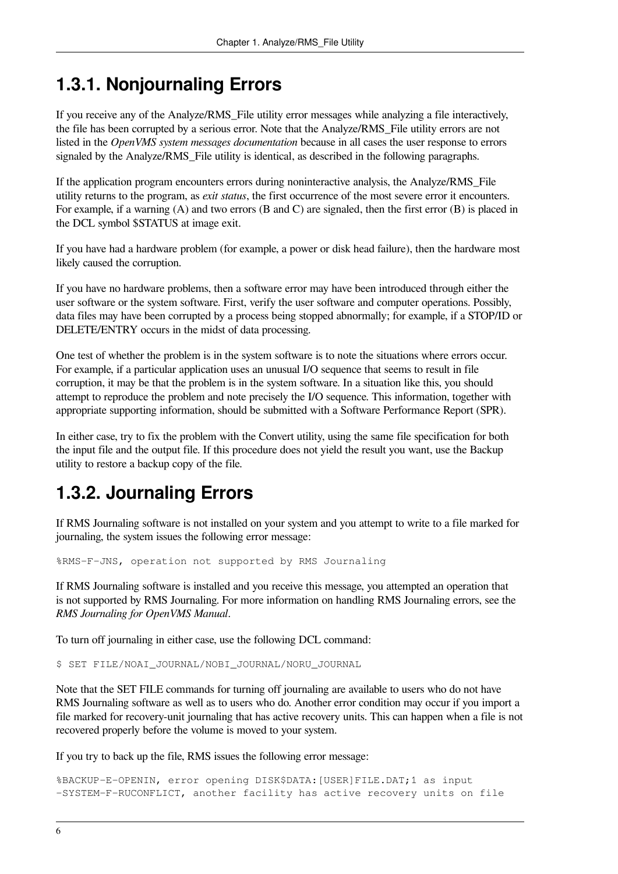## <span id="page-13-0"></span>**1.3.1. Nonjournaling Errors**

If you receive any of the Analyze/RMS\_File utility error messages while analyzing a file interactively, the file has been corrupted by a serious error. Note that the Analyze/RMS\_File utility errors are not listed in the *OpenVMS system messages documentation* because in all cases the user response to errors signaled by the Analyze/RMS File utility is identical, as described in the following paragraphs.

If the application program encounters errors during noninteractive analysis, the Analyze/RMS\_File utility returns to the program, as *exit status*, the first occurrence of the most severe error it encounters. For example, if a warning (A) and two errors (B and C) are signaled, then the first error (B) is placed in the DCL symbol \$STATUS at image exit.

If you have had a hardware problem (for example, a power or disk head failure), then the hardware most likely caused the corruption.

If you have no hardware problems, then a software error may have been introduced through either the user software or the system software. First, verify the user software and computer operations. Possibly, data files may have been corrupted by a process being stopped abnormally; for example, if a STOP/ID or DELETE/ENTRY occurs in the midst of data processing.

One test of whether the problem is in the system software is to note the situations where errors occur. For example, if a particular application uses an unusual I/O sequence that seems to result in file corruption, it may be that the problem is in the system software. In a situation like this, you should attempt to reproduce the problem and note precisely the I/O sequence. This information, together with appropriate supporting information, should be submitted with a Software Performance Report (SPR).

In either case, try to fix the problem with the Convert utility, using the same file specification for both the input file and the output file. If this procedure does not yield the result you want, use the Backup utility to restore a backup copy of the file.

## <span id="page-13-1"></span>**1.3.2. Journaling Errors**

If RMS Journaling software is not installed on your system and you attempt to write to a file marked for journaling, the system issues the following error message:

%RMS-F-JNS, operation not supported by RMS Journaling

If RMS Journaling software is installed and you receive this message, you attempted an operation that is not supported by RMS Journaling. For more information on handling RMS Journaling errors, see the *RMS Journaling for OpenVMS Manual*.

To turn off journaling in either case, use the following DCL command:

\$ SET FILE/NOAI\_JOURNAL/NOBI\_JOURNAL/NORU\_JOURNAL

Note that the SET FILE commands for turning off journaling are available to users who do not have RMS Journaling software as well as to users who do. Another error condition may occur if you import a file marked for recovery-unit journaling that has active recovery units. This can happen when a file is not recovered properly before the volume is moved to your system.

If you try to back up the file, RMS issues the following error message:

```
%BACKUP-E-OPENIN, error opening DISK$DATA:[USER]FILE.DAT;1 as input
-SYSTEM-F-RUCONFLICT, another facility has active recovery units on file
```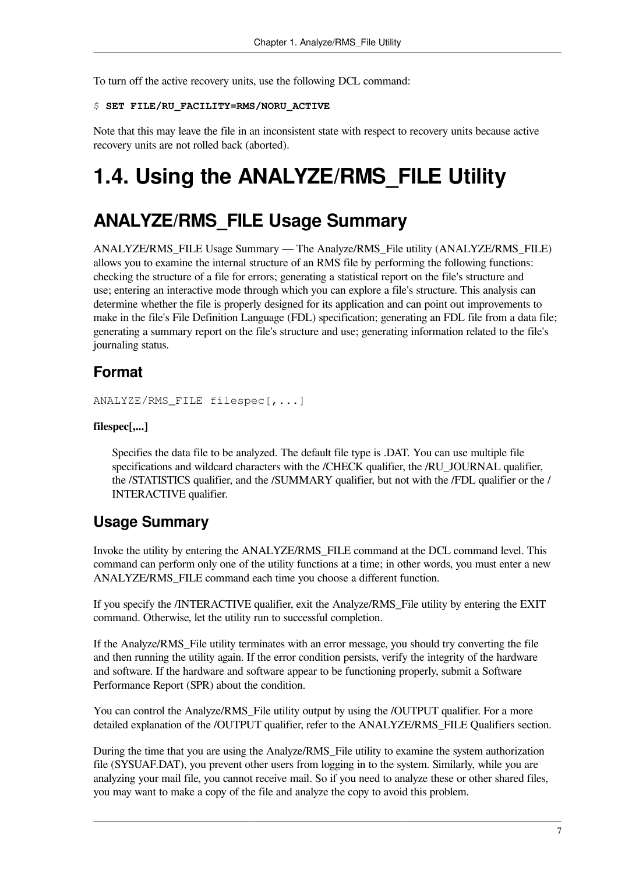To turn off the active recovery units, use the following DCL command:

#### \$ **SET FILE/RU\_FACILITY=RMS/NORU\_ACTIVE**

Note that this may leave the file in an inconsistent state with respect to recovery units because active recovery units are not rolled back (aborted).

# <span id="page-14-0"></span>**1.4. Using the ANALYZE/RMS\_FILE Utility**

## **ANALYZE/RMS\_FILE Usage Summary**

ANALYZE/RMS\_FILE Usage Summary — The Analyze/RMS\_File utility (ANALYZE/RMS\_FILE) allows you to examine the internal structure of an RMS file by performing the following functions: checking the structure of a file for errors; generating a statistical report on the file's structure and use; entering an interactive mode through which you can explore a file's structure. This analysis can determine whether the file is properly designed for its application and can point out improvements to make in the file's File Definition Language (FDL) specification; generating an FDL file from a data file; generating a summary report on the file's structure and use; generating information related to the file's journaling status.

#### **Format**

ANALYZE/RMS\_FILE filespec[,...]

#### **filespec[,...]**

Specifies the data file to be analyzed. The default file type is .DAT. You can use multiple file specifications and wildcard characters with the /CHECK qualifier, the /RU\_JOURNAL qualifier, the /STATISTICS qualifier, and the /SUMMARY qualifier, but not with the /FDL qualifier or the / INTERACTIVE qualifier.

#### **Usage Summary**

Invoke the utility by entering the ANALYZE/RMS\_FILE command at the DCL command level. This command can perform only one of the utility functions at a time; in other words, you must enter a new ANALYZE/RMS\_FILE command each time you choose a different function.

If you specify the /INTERACTIVE qualifier, exit the Analyze/RMS\_File utility by entering the EXIT command. Otherwise, let the utility run to successful completion.

If the Analyze/RMS\_File utility terminates with an error message, you should try converting the file and then running the utility again. If the error condition persists, verify the integrity of the hardware and software. If the hardware and software appear to be functioning properly, submit a Software Performance Report (SPR) about the condition.

You can control the Analyze/RMS File utility output by using the /OUTPUT qualifier. For a more detailed explanation of the /OUTPUT qualifier, refer to the ANALYZE/RMS\_FILE Qualifiers section.

During the time that you are using the Analyze/RMS\_File utility to examine the system authorization file (SYSUAF.DAT), you prevent other users from logging in to the system. Similarly, while you are analyzing your mail file, you cannot receive mail. So if you need to analyze these or other shared files, you may want to make a copy of the file and analyze the copy to avoid this problem.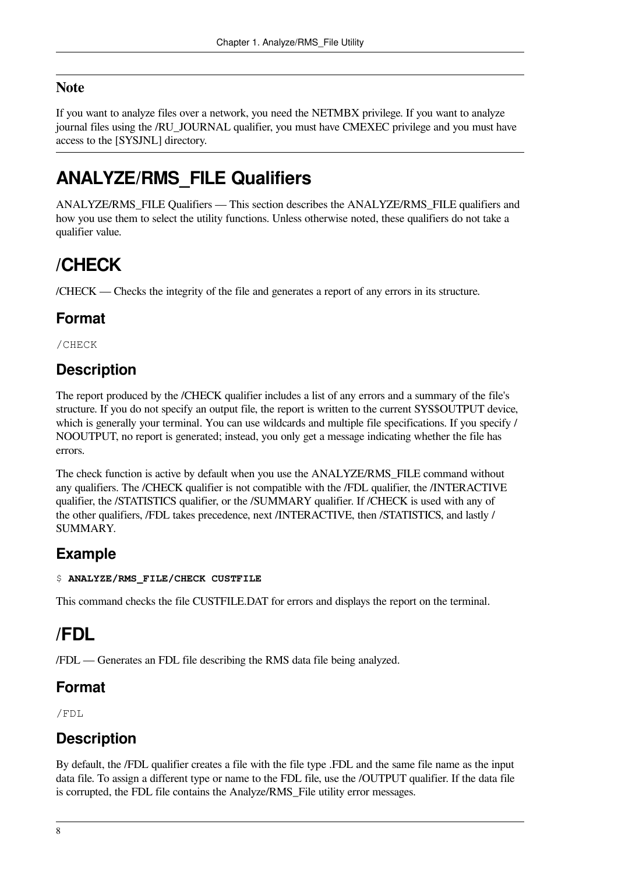#### **Note**

If you want to analyze files over a network, you need the NETMBX privilege. If you want to analyze journal files using the /RU\_JOURNAL qualifier, you must have CMEXEC privilege and you must have access to the [SYSJNL] directory.

# **ANALYZE/RMS\_FILE Qualifiers**

ANALYZE/RMS\_FILE Qualifiers — This section describes the ANALYZE/RMS\_FILE qualifiers and how you use them to select the utility functions. Unless otherwise noted, these qualifiers do not take a qualifier value.

# **/CHECK**

/CHECK — Checks the integrity of the file and generates a report of any errors in its structure.

### **Format**

/CHECK

### **Description**

The report produced by the /CHECK qualifier includes a list of any errors and a summary of the file's structure. If you do not specify an output file, the report is written to the current SYS\$OUTPUT device, which is generally your terminal. You can use wildcards and multiple file specifications. If you specify / NOOUTPUT, no report is generated; instead, you only get a message indicating whether the file has errors.

The check function is active by default when you use the ANALYZE/RMS\_FILE command without any qualifiers. The /CHECK qualifier is not compatible with the /FDL qualifier, the /INTERACTIVE qualifier, the /STATISTICS qualifier, or the /SUMMARY qualifier. If /CHECK is used with any of the other qualifiers, /FDL takes precedence, next /INTERACTIVE, then /STATISTICS, and lastly / SUMMARY.

### **Example**

#### \$ **ANALYZE/RMS\_FILE/CHECK CUSTFILE**

This command checks the file CUSTFILE.DAT for errors and displays the report on the terminal.

# **/FDL**

/FDL — Generates an FDL file describing the RMS data file being analyzed.

### **Format**

/FDL

### **Description**

By default, the /FDL qualifier creates a file with the file type .FDL and the same file name as the input data file. To assign a different type or name to the FDL file, use the /OUTPUT qualifier. If the data file is corrupted, the FDL file contains the Analyze/RMS\_File utility error messages.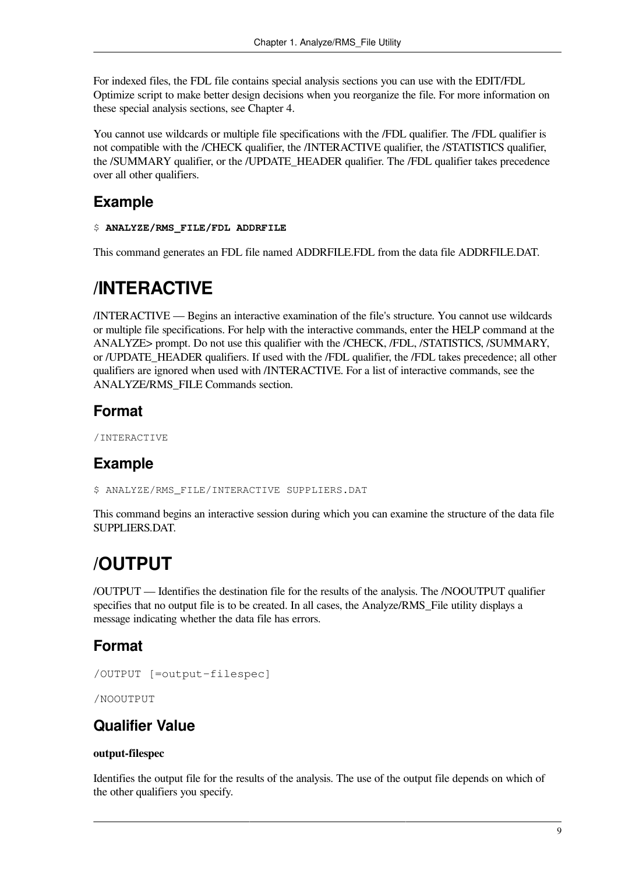For indexed files, the FDL file contains special analysis sections you can use with the EDIT/FDL Optimize script to make better design decisions when you reorganize the file. For more information on these special analysis sections, see [Chapter](#page-54-0) 4.

You cannot use wildcards or multiple file specifications with the /FDL qualifier. The /FDL qualifier is not compatible with the /CHECK qualifier, the /INTERACTIVE qualifier, the /STATISTICS qualifier, the /SUMMARY qualifier, or the /UPDATE\_HEADER qualifier. The /FDL qualifier takes precedence over all other qualifiers.

#### **Example**

#### \$ **ANALYZE/RMS\_FILE/FDL ADDRFILE**

This command generates an FDL file named ADDRFILE.FDL from the data file ADDRFILE.DAT.

## **/INTERACTIVE**

/INTERACTIVE — Begins an interactive examination of the file's structure. You cannot use wildcards or multiple file specifications. For help with the interactive commands, enter the HELP command at the ANALYZE> prompt. Do not use this qualifier with the /CHECK, /FDL, /STATISTICS, /SUMMARY, or /UPDATE\_HEADER qualifiers. If used with the /FDL qualifier, the /FDL takes precedence; all other qualifiers are ignored when used with /INTERACTIVE. For a list of interactive commands, see the ANALYZE/RMS\_FILE Commands section.

### **Format**

/INTERACTIVE

### **Example**

\$ ANALYZE/RMS\_FILE/INTERACTIVE SUPPLIERS.DAT

This command begins an interactive session during which you can examine the structure of the data file SUPPLIERS.DAT.

# **/OUTPUT**

/OUTPUT — Identifies the destination file for the results of the analysis. The /NOOUTPUT qualifier specifies that no output file is to be created. In all cases, the Analyze/RMS\_File utility displays a message indicating whether the data file has errors.

### **Format**

```
/OUTPUT [=output-filespec]
```
/NOOUTPUT

#### **Qualifier Value**

#### **output-filespec**

Identifies the output file for the results of the analysis. The use of the output file depends on which of the other qualifiers you specify.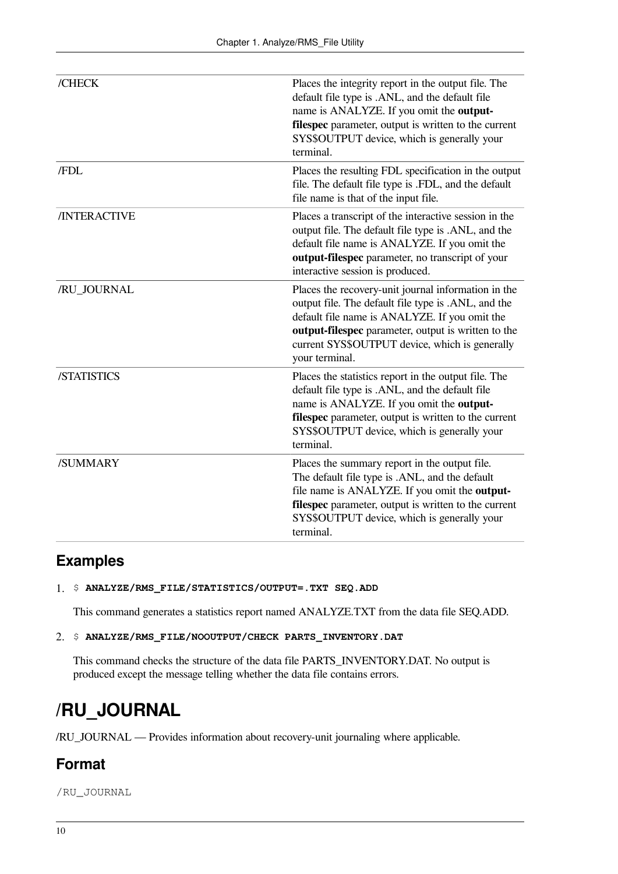| /CHECK              | Places the integrity report in the output file. The<br>default file type is .ANL, and the default file<br>name is ANALYZE. If you omit the output-<br>filespec parameter, output is written to the current<br>SYS\$OUTPUT device, which is generally your<br>terminal.                 |
|---------------------|----------------------------------------------------------------------------------------------------------------------------------------------------------------------------------------------------------------------------------------------------------------------------------------|
| /FDL                | Places the resulting FDL specification in the output<br>file. The default file type is .FDL, and the default<br>file name is that of the input file.                                                                                                                                   |
| <b>/INTERACTIVE</b> | Places a transcript of the interactive session in the<br>output file. The default file type is .ANL, and the<br>default file name is ANALYZE. If you omit the<br>output-filespec parameter, no transcript of your<br>interactive session is produced.                                  |
| /RU_JOURNAL         | Places the recovery-unit journal information in the<br>output file. The default file type is .ANL, and the<br>default file name is ANALYZE. If you omit the<br>output-filespec parameter, output is written to the<br>current SYS\$OUTPUT device, which is generally<br>your terminal. |
| /STATISTICS         | Places the statistics report in the output file. The<br>default file type is .ANL, and the default file<br>name is ANALYZE. If you omit the output-<br>filespec parameter, output is written to the current<br>SYS\$OUTPUT device, which is generally your<br>terminal.                |
| /SUMMARY            | Places the summary report in the output file.<br>The default file type is .ANL, and the default<br>file name is ANALYZE. If you omit the output-<br>filespec parameter, output is written to the current<br>SYS\$OUTPUT device, which is generally your<br>terminal.                   |

### **Examples**

1. \$ **ANALYZE/RMS\_FILE/STATISTICS/OUTPUT=.TXT SEQ.ADD**

This command generates a statistics report named ANALYZE.TXT from the data file SEQ.ADD.

2. \$ **ANALYZE/RMS\_FILE/NOOUTPUT/CHECK PARTS\_INVENTORY.DAT**

This command checks the structure of the data file PARTS\_INVENTORY.DAT. No output is produced except the message telling whether the data file contains errors.

## **/RU\_JOURNAL**

/RU\_JOURNAL — Provides information about recovery-unit journaling where applicable.

### **Format**

/RU\_JOURNAL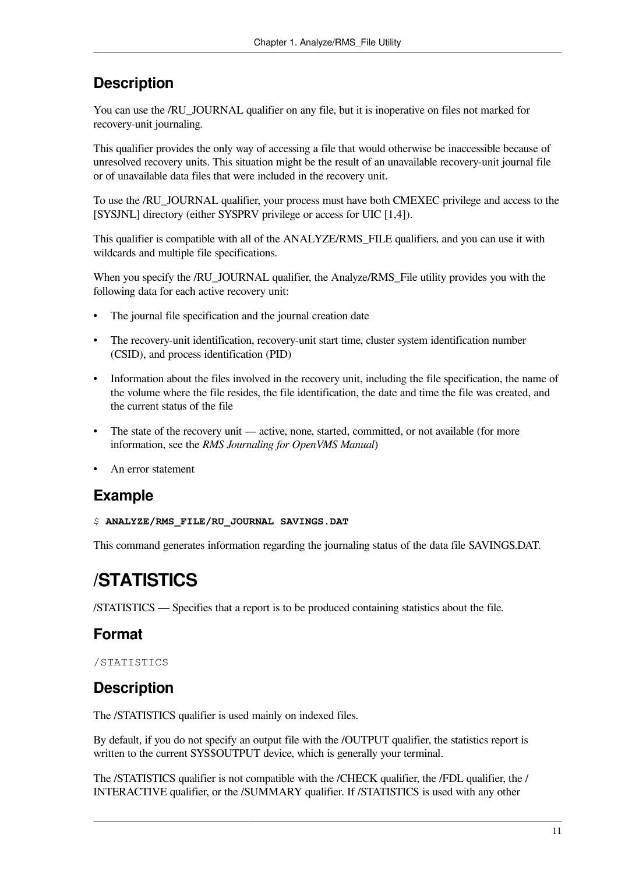### **Description**

You can use the */RU* JOURNAL qualifier on any file, but it is inoperative on files not marked for recovery-unit journaling.

This qualifier provides the only way of accessing a file that would otherwise be inaccessible because of unresolved recovery units. This situation might be the result of an unavailable recovery-unit journal file or of unavailable data files that were included in the recovery unit.

To use the /RU\_JOURNAL qualifier, your process must have both CMEXEC privilege and access to the [SYSJNL] directory (either SYSPRV privilege or access for UIC [1,4]).

This qualifier is compatible with all of the ANALYZE/RMS\_FILE qualifiers, and you can use it with wildcards and multiple file specifications.

When you specify the /RU\_JOURNAL qualifier, the Analyze/RMS\_File utility provides you with the following data for each active recovery unit:

- The journal file specification and the journal creation date
- The recovery-unit identification, recovery-unit start time, cluster system identification number (CSID), and process identification (PID)
- Information about the files involved in the recovery unit, including the file specification, the name of the volume where the file resides, the file identification, the date and time the file was created, and the current status of the file
- The state of the recovery unit active, none, started, committed, or not available (for more information, see the *RMS Journaling for OpenVMS Manual*)
- An error statement

#### **Example**

\$ **ANALYZE/RMS\_FILE/RU\_JOURNAL SAVINGS.DAT**

This command generates information regarding the journaling status of the data file SAVINGS.DAT.

# **/STATISTICS**

/STATISTICS — Specifies that a report is to be produced containing statistics about the file.

#### **Format**

/STATISTICS

### **Description**

The /STATISTICS qualifier is used mainly on indexed files.

By default, if you do not specify an output file with the /OUTPUT qualifier, the statistics report is written to the current SYS\$OUTPUT device, which is generally your terminal.

The /STATISTICS qualifier is not compatible with the /CHECK qualifier, the /FDL qualifier, the / INTERACTIVE qualifier, or the /SUMMARY qualifier. If /STATISTICS is used with any other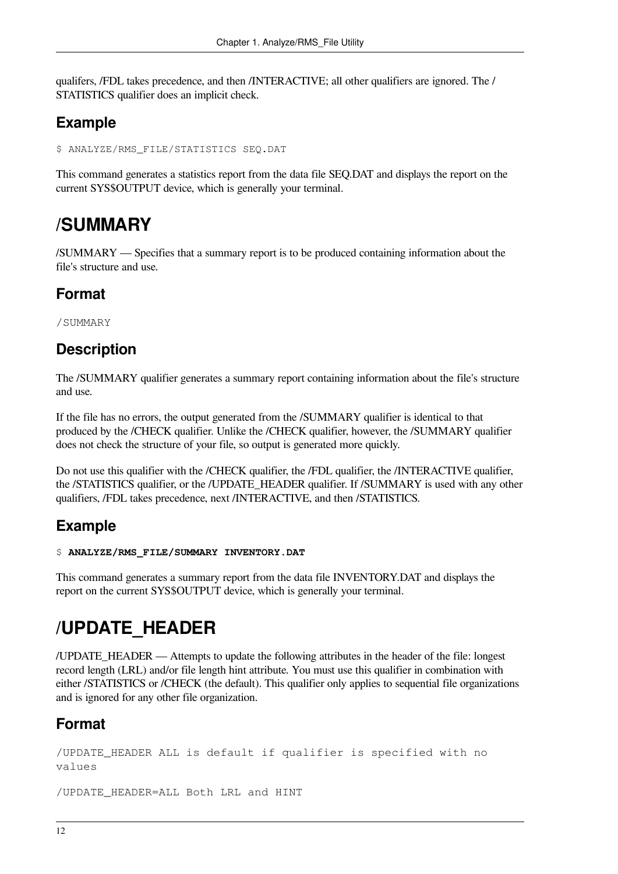qualifers, /FDL takes precedence, and then /INTERACTIVE; all other qualifiers are ignored. The / STATISTICS qualifier does an implicit check.

### **Example**

\$ ANALYZE/RMS\_FILE/STATISTICS SEQ.DAT

This command generates a statistics report from the data file SEQ.DAT and displays the report on the current SYS\$OUTPUT device, which is generally your terminal.

## **/SUMMARY**

/SUMMARY — Specifies that a summary report is to be produced containing information about the file's structure and use.

### **Format**

/SUMMARY

### **Description**

The /SUMMARY qualifier generates a summary report containing information about the file's structure and use.

If the file has no errors, the output generated from the /SUMMARY qualifier is identical to that produced by the /CHECK qualifier. Unlike the /CHECK qualifier, however, the /SUMMARY qualifier does not check the structure of your file, so output is generated more quickly.

Do not use this qualifier with the /CHECK qualifier, the /FDL qualifier, the /INTERACTIVE qualifier, the /STATISTICS qualifier, or the /UPDATE\_HEADER qualifier. If /SUMMARY is used with any other qualifiers, /FDL takes precedence, next /INTERACTIVE, and then /STATISTICS.

### **Example**

#### \$ **ANALYZE/RMS\_FILE/SUMMARY INVENTORY.DAT**

This command generates a summary report from the data file INVENTORY.DAT and displays the report on the current SYS\$OUTPUT device, which is generally your terminal.

## **/UPDATE\_HEADER**

/UPDATE\_HEADER — Attempts to update the following attributes in the header of the file: longest record length (LRL) and/or file length hint attribute. You must use this qualifier in combination with either /STATISTICS or /CHECK (the default). This qualifier only applies to sequential file organizations and is ignored for any other file organization.

### **Format**

```
/UPDATE_HEADER ALL is default if qualifier is specified with no
values
```
/UPDATE\_HEADER=ALL Both LRL and HINT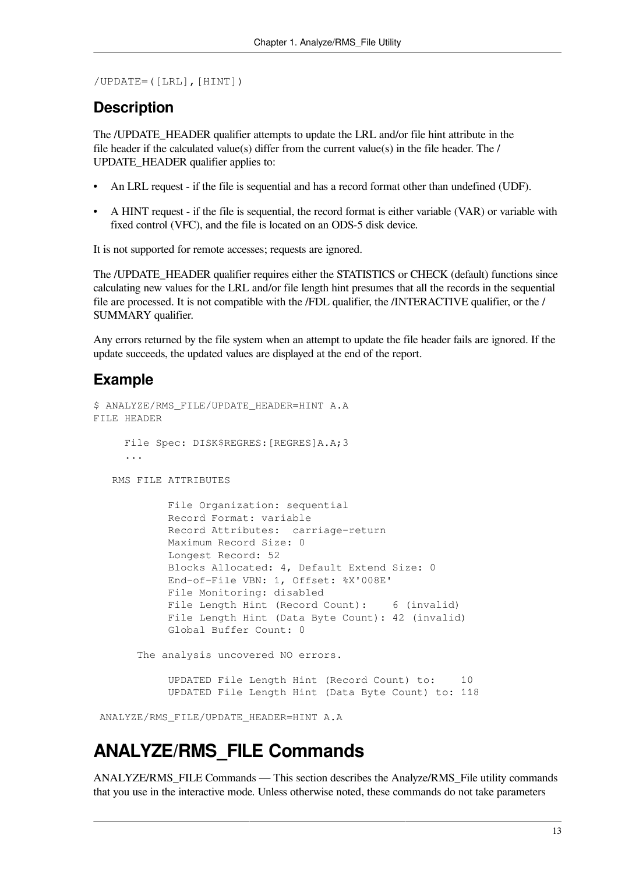/UPDATE=([LRL],[HINT])

#### **Description**

The /UPDATE\_HEADER qualifier attempts to update the LRL and/or file hint attribute in the file header if the calculated value(s) differ from the current value(s) in the file header. The / UPDATE\_HEADER qualifier applies to:

- An LRL request if the file is sequential and has a record format other than undefined (UDF).
- A HINT request if the file is sequential, the record format is either variable (VAR) or variable with fixed control (VFC), and the file is located on an ODS-5 disk device.

It is not supported for remote accesses; requests are ignored.

The /UPDATE\_HEADER qualifier requires either the STATISTICS or CHECK (default) functions since calculating new values for the LRL and/or file length hint presumes that all the records in the sequential file are processed. It is not compatible with the /FDL qualifier, the /INTERACTIVE qualifier, or the / SUMMARY qualifier.

Any errors returned by the file system when an attempt to update the file header fails are ignored. If the update succeeds, the updated values are displayed at the end of the report.

#### **Example**

```
$ ANALYZE/RMS FILE/UPDATE HEADER=HINT A.A
FILE HEADER
      File Spec: DISK$REGRES:[REGRES]A.A;3
      ...
    RMS FILE ATTRIBUTES
             File Organization: sequential
             Record Format: variable
             Record Attributes: carriage-return
             Maximum Record Size: 0
             Longest Record: 52
             Blocks Allocated: 4, Default Extend Size: 0
             End-of-File VBN: 1, Offset: %X'008E'
             File Monitoring: disabled
            File Length Hint (Record Count): 6 (invalid)
             File Length Hint (Data Byte Count): 42 (invalid)
             Global Buffer Count: 0
       The analysis uncovered NO errors.
             UPDATED File Length Hint (Record Count) to: 10
             UPDATED File Length Hint (Data Byte Count) to: 118
```
ANALYZE/RMS\_FILE/UPDATE\_HEADER=HINT A.A

### **ANALYZE/RMS\_FILE Commands**

ANALYZE/RMS\_FILE Commands — This section describes the Analyze/RMS\_File utility commands that you use in the interactive mode. Unless otherwise noted, these commands do not take parameters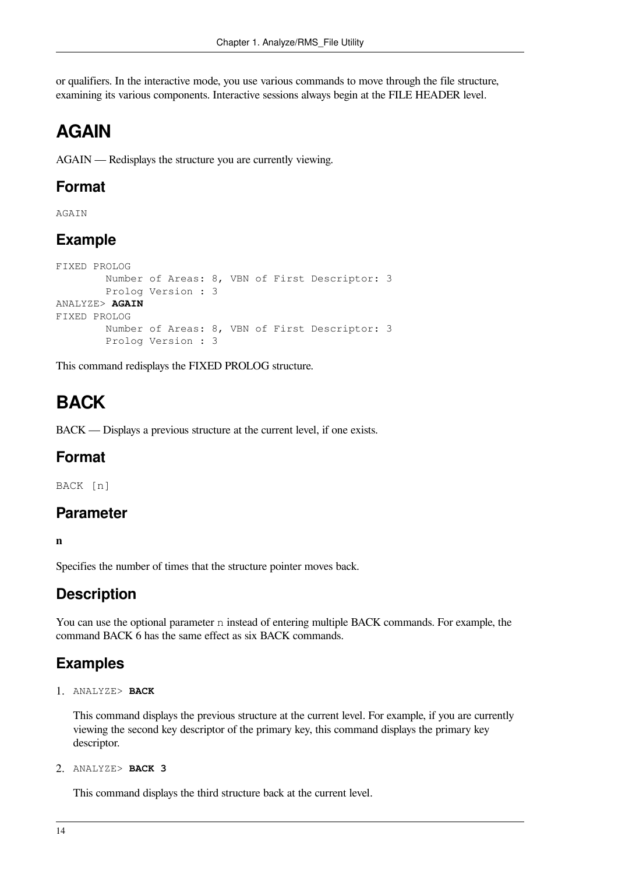or qualifiers. In the interactive mode, you use various commands to move through the file structure, examining its various components. Interactive sessions always begin at the FILE HEADER level.

## **AGAIN**

AGAIN — Redisplays the structure you are currently viewing.

#### **Format**

AGAIN

### **Example**

```
FIXED PROLOG
         Number of Areas: 8, VBN of First Descriptor: 3
         Prolog Version : 3
ANALYZE> AGAIN
FIXED PROLOG
         Number of Areas: 8, VBN of First Descriptor: 3
         Prolog Version : 3
```
This command redisplays the FIXED PROLOG structure.

# **BACK**

BACK — Displays a previous structure at the current level, if one exists.

#### **Format**

BACK [n]

#### **Parameter**

**n**

Specifies the number of times that the structure pointer moves back.

### **Description**

You can use the optional parameter n instead of entering multiple BACK commands. For example, the command BACK 6 has the same effect as six BACK commands.

### **Examples**

1. ANALYZE> **BACK**

This command displays the previous structure at the current level. For example, if you are currently viewing the second key descriptor of the primary key, this command displays the primary key descriptor.

2. ANALYZE> **BACK 3**

This command displays the third structure back at the current level.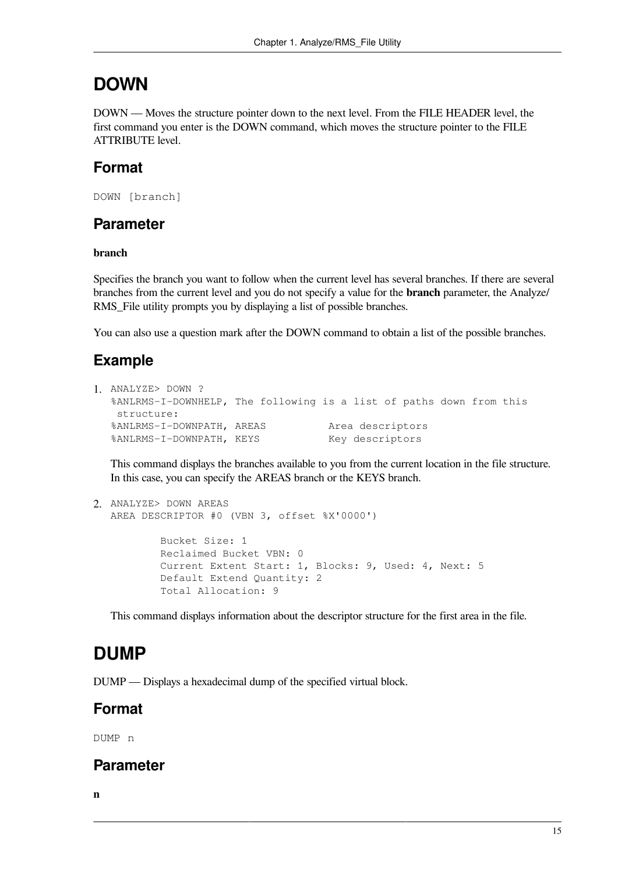### **DOWN**

DOWN — Moves the structure pointer down to the next level. From the FILE HEADER level, the first command you enter is the DOWN command, which moves the structure pointer to the FILE ATTRIBUTE level.

### **Format**

```
DOWN [branch]
```
#### **Parameter**

#### **branch**

Specifies the branch you want to follow when the current level has several branches. If there are several branches from the current level and you do not specify a value for the **branch** parameter, the Analyze/ RMS File utility prompts you by displaying a list of possible branches.

You can also use a question mark after the DOWN command to obtain a list of the possible branches.

### **Example**

```
1. ANALYZE> DOWN ?
  %ANLRMS-I-DOWNHELP, The following is a list of paths down from this
    structure:
  %ANLRMS-I-DOWNPATH, AREAS Area descriptors
  %ANLRMS-I-DOWNPATH, KEYS Key descriptors
```
This command displays the branches available to you from the current location in the file structure. In this case, you can specify the AREAS branch or the KEYS branch.

```
2. ANALYZE> DOWN AREAS
  AREA DESCRIPTOR #0 (VBN 3, offset %X'0000')
            Bucket Size: 1
            Reclaimed Bucket VBN: 0
            Current Extent Start: 1, Blocks: 9, Used: 4, Next: 5
            Default Extend Quantity: 2
            Total Allocation: 9
```
This command displays information about the descriptor structure for the first area in the file.

# **DUMP**

DUMP — Displays a hexadecimal dump of the specified virtual block.

### **Format**

DUMP n

#### **Parameter**

**n**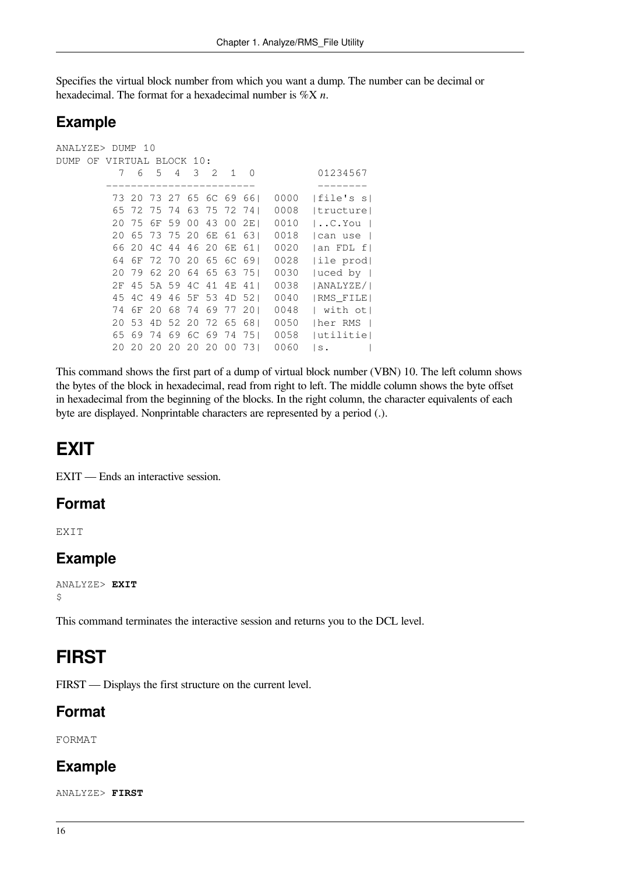Specifies the virtual block number from which you want a dump. The number can be decimal or hexadecimal. The format for a hexadecimal number is %X *n*.

#### **Example**

```
ANALYZE> DUMP 10
DUMP OF VIRTUAL BLOCK 10:
         7 6 5 4 3 2 1 0 01234567
        ------------------------ --------
         73 20 73 27 65 6C 69 66| 0000 |file's s|
         65 72 75 74 63 75 72 74| 0008 |tructure|
         20 75 6F 59 00 43 00 2E| 0010 |..C.You |
         20 65 73 75 20 6E 61 63| 0018 |can use |
         66 20 4C 44 46 20 6E 61| 0020 |an FDL f|
         64 6F 72 70 20 65 6C 69| 0028 |ile prod|
         20 79 62 20 64 65 63 75| 0030 |uced by |
         2F 45 5A 59 4C 41 4E 41| 0038 |ANALYZE/|
         45 4C 49 46 5F 53 4D 52| 0040 |RMS_FILE|
         74 6F 20 68 74 69 77 20| 0048 | with ot|
         20 53 4D 52 20 72 65 68| 0050 |her RMS |
         65 69 74 69 6C 69 74 75| 0058 |utilitie|
         20 20 20 20 20 20 00 73| 0060 |s. |
```
This command shows the first part of a dump of virtual block number (VBN) 10. The left column shows the bytes of the block in hexadecimal, read from right to left. The middle column shows the byte offset in hexadecimal from the beginning of the blocks. In the right column, the character equivalents of each byte are displayed. Nonprintable characters are represented by a period (.).

### **EXIT**

EXIT — Ends an interactive session.

#### **Format**

**EXTT** 

### **Example**

```
ANALYZE> EXIT
\ddot{\varsigma}
```
This command terminates the interactive session and returns you to the DCL level.

## **FIRST**

FIRST — Displays the first structure on the current level.

#### **Format**

FORMAT

#### **Example**

ANALYZE> **FIRST**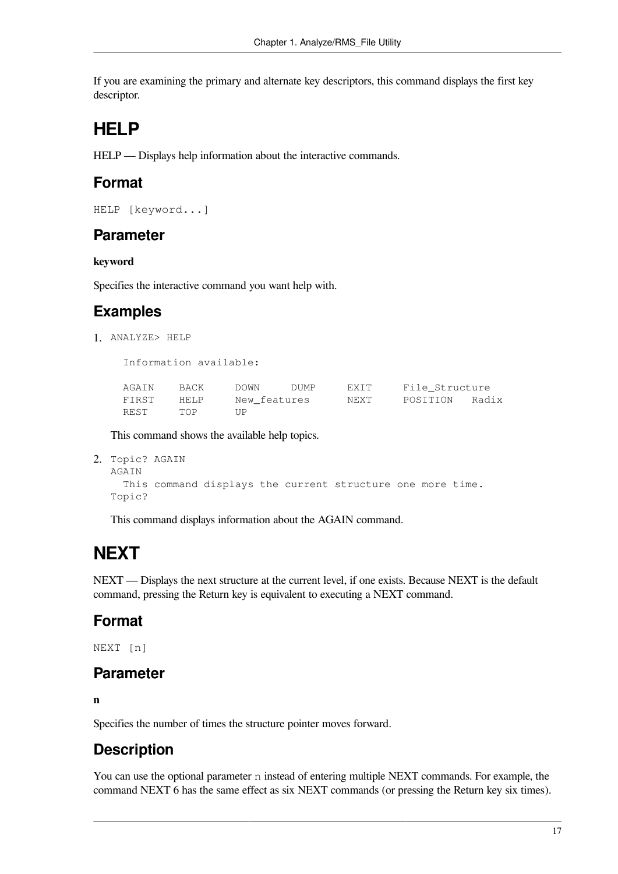If you are examining the primary and alternate key descriptors, this command displays the first key descriptor.

## **HELP**

HELP — Displays help information about the interactive commands.

#### **Format**

```
HELP [keyword...]
```
#### **Parameter**

#### **keyword**

Specifies the interactive command you want help with.

### **Examples**

1. ANALYZE> HELP

Information available:

| AGAIN | BACK | DOWN         | DUMP | EXIT | File Structure |  |
|-------|------|--------------|------|------|----------------|--|
| FIRST | HELP | New features |      | NEXT | POSITION Radix |  |
| REST  | TOP  | TTP          |      |      |                |  |

This command shows the available help topics.

```
2. Topic? AGAIN
  AGAIN
```

```
 This command displays the current structure one more time.
Topic?
```
This command displays information about the AGAIN command.

# **NEXT**

NEXT — Displays the next structure at the current level, if one exists. Because NEXT is the default command, pressing the Return key is equivalent to executing a NEXT command.

### **Format**

NEXT [n]

#### **Parameter**

**n**

Specifies the number of times the structure pointer moves forward.

### **Description**

You can use the optional parameter n instead of entering multiple NEXT commands. For example, the command NEXT 6 has the same effect as six NEXT commands (or pressing the Return key six times).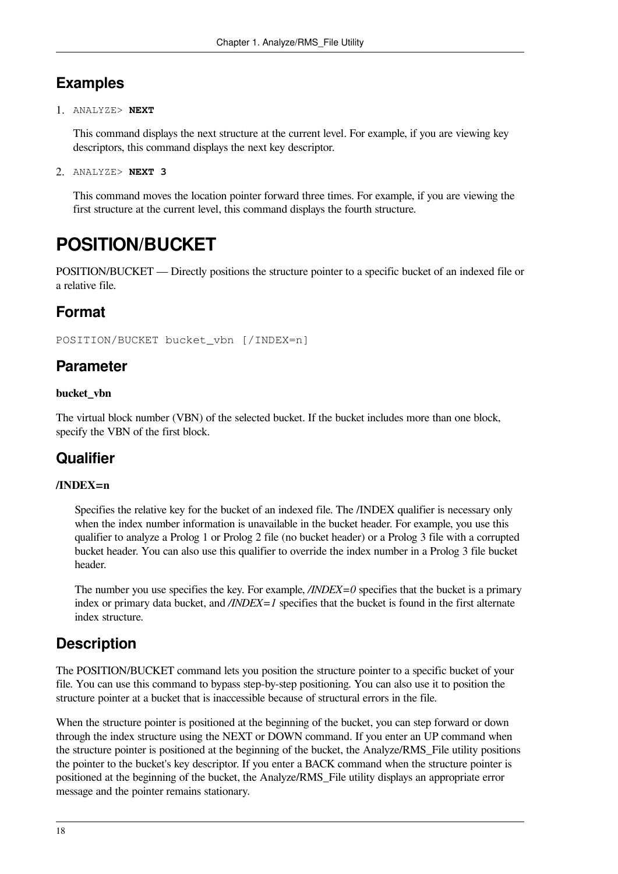### **Examples**

1. ANALYZE> **NEXT**

This command displays the next structure at the current level. For example, if you are viewing key descriptors, this command displays the next key descriptor.

2. ANALYZE> **NEXT 3**

This command moves the location pointer forward three times. For example, if you are viewing the first structure at the current level, this command displays the fourth structure.

## **POSITION/BUCKET**

POSITION/BUCKET — Directly positions the structure pointer to a specific bucket of an indexed file or a relative file.

### **Format**

POSITION/BUCKET bucket\_vbn [/INDEX=n]

#### **Parameter**

#### **bucket\_vbn**

The virtual block number (VBN) of the selected bucket. If the bucket includes more than one block, specify the VBN of the first block.

### **Qualifier**

#### **/INDEX=n**

Specifies the relative key for the bucket of an indexed file. The /INDEX qualifier is necessary only when the index number information is unavailable in the bucket header. For example, you use this qualifier to analyze a Prolog 1 or Prolog 2 file (no bucket header) or a Prolog 3 file with a corrupted bucket header. You can also use this qualifier to override the index number in a Prolog 3 file bucket header.

The number you use specifies the key. For example, */INDEX=0* specifies that the bucket is a primary index or primary data bucket, and */INDEX=1* specifies that the bucket is found in the first alternate index structure.

### **Description**

The POSITION/BUCKET command lets you position the structure pointer to a specific bucket of your file. You can use this command to bypass step-by-step positioning. You can also use it to position the structure pointer at a bucket that is inaccessible because of structural errors in the file.

When the structure pointer is positioned at the beginning of the bucket, you can step forward or down through the index structure using the NEXT or DOWN command. If you enter an UP command when the structure pointer is positioned at the beginning of the bucket, the Analyze/RMS\_File utility positions the pointer to the bucket's key descriptor. If you enter a BACK command when the structure pointer is positioned at the beginning of the bucket, the Analyze/RMS\_File utility displays an appropriate error message and the pointer remains stationary.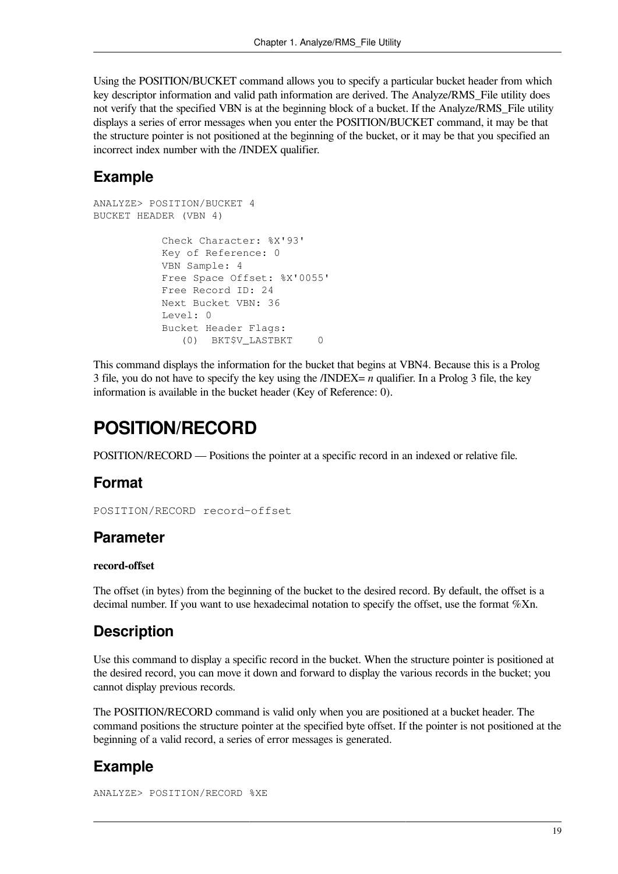Using the POSITION/BUCKET command allows you to specify a particular bucket header from which key descriptor information and valid path information are derived. The Analyze/RMS\_File utility does not verify that the specified VBN is at the beginning block of a bucket. If the Analyze/RMS\_File utility displays a series of error messages when you enter the POSITION/BUCKET command, it may be that the structure pointer is not positioned at the beginning of the bucket, or it may be that you specified an incorrect index number with the /INDEX qualifier.

### **Example**

```
ANALYZE> POSITION/BUCKET 4
BUCKET HEADER (VBN 4)
            Check Character: %X'93'
            Key of Reference: 0
            VBN Sample: 4
            Free Space Offset: %X'0055'
            Free Record ID: 24
            Next Bucket VBN: 36
            Level: 0
            Bucket Header Flags:
               (0) BKT$V_LASTBKT 0
```
This command displays the information for the bucket that begins at VBN4. Because this is a Prolog 3 file, you do not have to specify the key using the /INDEX= *n* qualifier. In a Prolog 3 file, the key information is available in the bucket header (Key of Reference: 0).

## **POSITION/RECORD**

POSITION/RECORD — Positions the pointer at a specific record in an indexed or relative file.

### **Format**

POSITION/RECORD record-offset

#### **Parameter**

#### **record-offset**

The offset (in bytes) from the beginning of the bucket to the desired record. By default, the offset is a decimal number. If you want to use hexadecimal notation to specify the offset, use the format %Xn.

### **Description**

Use this command to display a specific record in the bucket. When the structure pointer is positioned at the desired record, you can move it down and forward to display the various records in the bucket; you cannot display previous records.

The POSITION/RECORD command is valid only when you are positioned at a bucket header. The command positions the structure pointer at the specified byte offset. If the pointer is not positioned at the beginning of a valid record, a series of error messages is generated.

### **Example**

ANALYZE> POSITION/RECORD %XE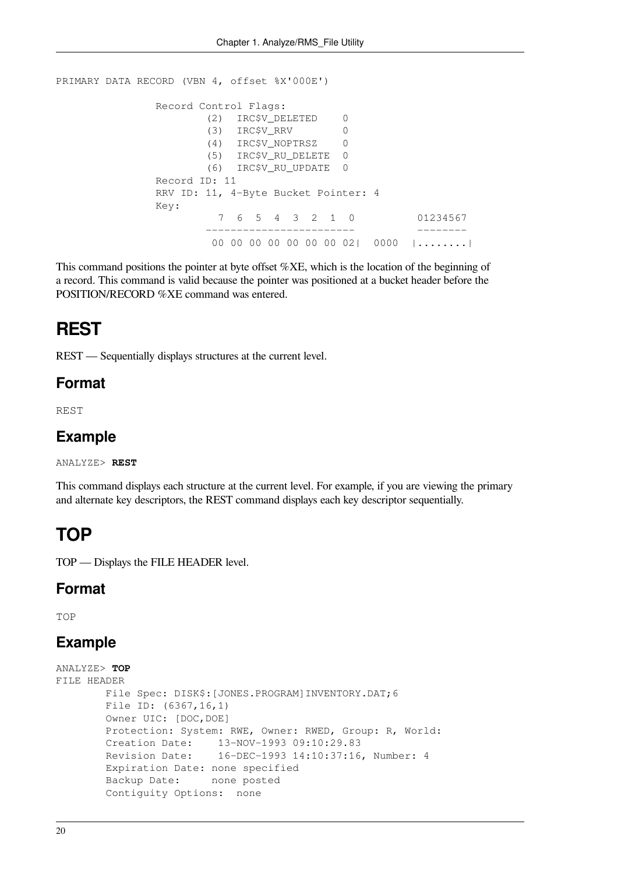```
PRIMARY DATA RECORD (VBN 4, offset %X'000E')
               Record Control Flags:
                       (2) IRC$V_DELETED 0
                       (3) IRC$V_RRV 0
                       (4) IRC$V_NOPTRSZ 0
                       (5) IRC$V_RU_DELETE 0
                       (6) IRC$V_RU_UPDATE 0
               Record ID: 11
               RRV ID: 11, 4-Byte Bucket Pointer: 4
               Key:
                         7 6 5 4 3 2 1 0 01234567
                       ------------------------ --------
                        00 00 00 00 00 00 00 02| 0000 |........|
```
This command positions the pointer at byte offset %XE, which is the location of the beginning of a record. This command is valid because the pointer was positioned at a bucket header before the POSITION/RECORD %XE command was entered.

### **REST**

REST — Sequentially displays structures at the current level.

#### **Format**

REST

#### **Example**

ANALYZE> **REST**

This command displays each structure at the current level. For example, if you are viewing the primary and alternate key descriptors, the REST command displays each key descriptor sequentially.

### **TOP**

TOP — Displays the FILE HEADER level.

#### **Format**

TOP

#### **Example**

```
ANALYZE> TOP
FILE HEADER
        File Spec: DISK$:[JONES.PROGRAM]INVENTORY.DAT;6
        File ID: (6367,16,1)
        Owner UIC: [DOC,DOE]
        Protection: System: RWE, Owner: RWED, Group: R, World: 
        Creation Date: 13-NOV-1993 09:10:29.83
        Revision Date: 16-DEC-1993 14:10:37:16, Number: 4
        Expiration Date: none specified
         Backup Date: none posted
        Contiguity Options: none
```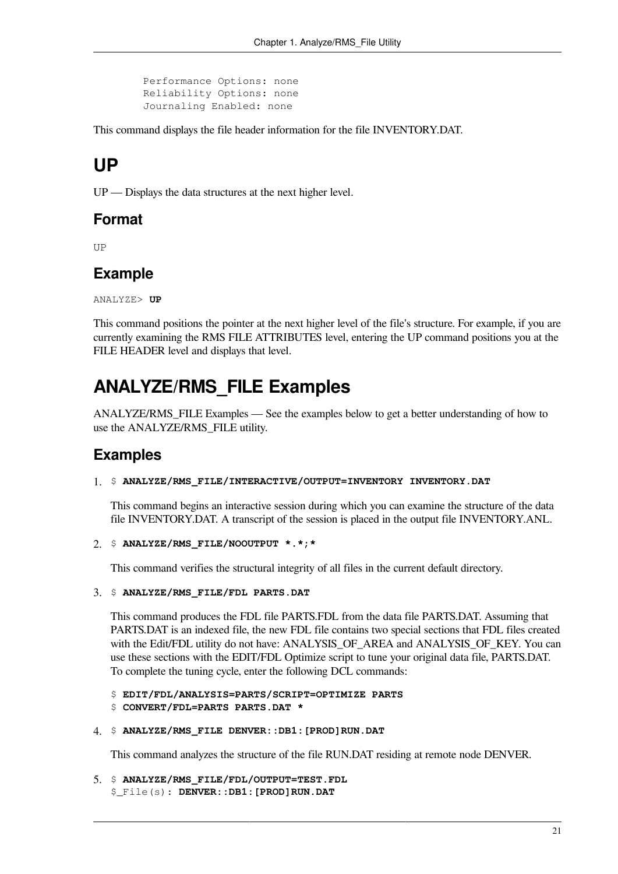Performance Options: none Reliability Options: none Journaling Enabled: none

This command displays the file header information for the file INVENTORY.DAT.

## **UP**

UP — Displays the data structures at the next higher level.

#### **Format**

**TTD** 

#### **Example**

ANALYZE> **UP**

This command positions the pointer at the next higher level of the file's structure. For example, if you are currently examining the RMS FILE ATTRIBUTES level, entering the UP command positions you at the FILE HEADER level and displays that level.

## **ANALYZE/RMS\_FILE Examples**

ANALYZE/RMS\_FILE Examples — See the examples below to get a better understanding of how to use the ANALYZE/RMS\_FILE utility.

#### **Examples**

#### 1. \$ **ANALYZE/RMS\_FILE/INTERACTIVE/OUTPUT=INVENTORY INVENTORY.DAT**

This command begins an interactive session during which you can examine the structure of the data file INVENTORY.DAT. A transcript of the session is placed in the output file INVENTORY.ANL.

2. \$ **ANALYZE/RMS\_FILE/NOOUTPUT \*.\*;\***

This command verifies the structural integrity of all files in the current default directory.

3. \$ **ANALYZE/RMS\_FILE/FDL PARTS.DAT**

This command produces the FDL file PARTS.FDL from the data file PARTS.DAT. Assuming that PARTS.DAT is an indexed file, the new FDL file contains two special sections that FDL files created with the Edit/FDL utility do not have: ANALYSIS\_OF\_AREA and ANALYSIS\_OF\_KEY. You can use these sections with the EDIT/FDL Optimize script to tune your original data file, PARTS.DAT. To complete the tuning cycle, enter the following DCL commands:

\$ **EDIT/FDL/ANALYSIS=PARTS/SCRIPT=OPTIMIZE PARTS**

- \$ **CONVERT/FDL=PARTS PARTS.DAT \***
- 4. \$ **ANALYZE/RMS\_FILE DENVER::DB1:[PROD]RUN.DAT**

This command analyzes the structure of the file RUN.DAT residing at remote node DENVER.

5. \$ **ANALYZE/RMS\_FILE/FDL/OUTPUT=TEST.FDL** \$\_File(s): **DENVER::DB1:[PROD]RUN.DAT**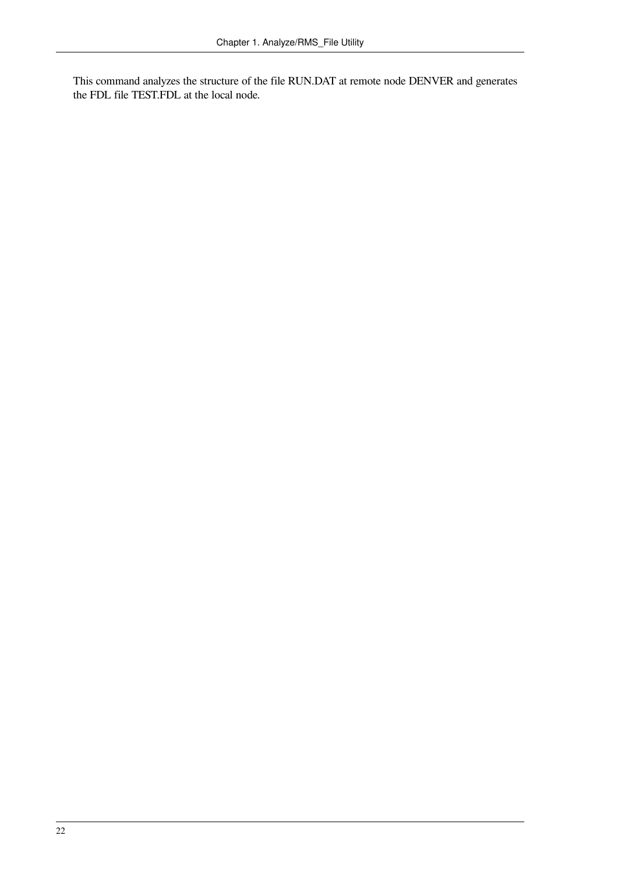This command analyzes the structure of the file RUN.DAT at remote node DENVER and generates the FDL file TEST.FDL at the local node.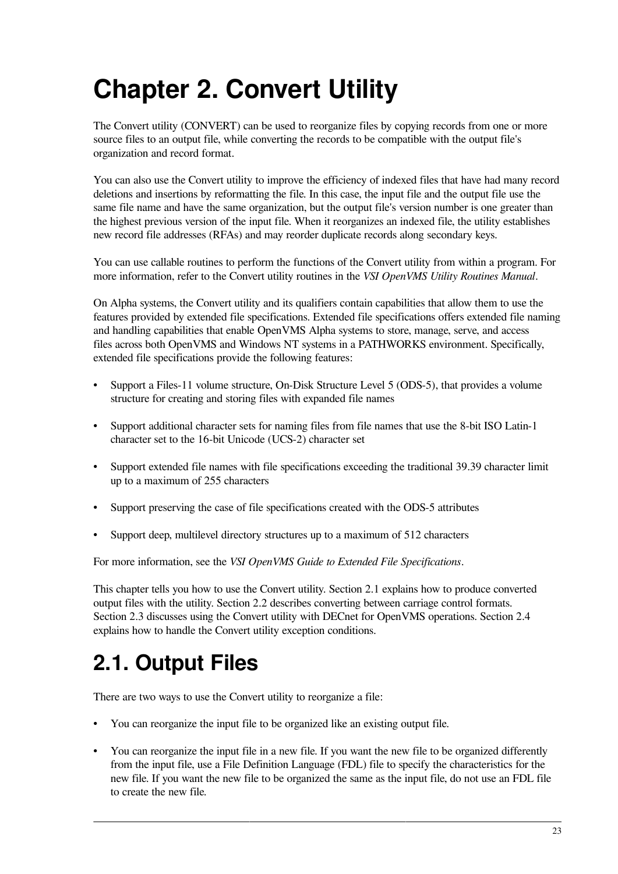# <span id="page-30-0"></span>**Chapter 2. Convert Utility**

The Convert utility (CONVERT) can be used to reorganize files by copying records from one or more source files to an output file, while converting the records to be compatible with the output file's organization and record format.

You can also use the Convert utility to improve the efficiency of indexed files that have had many record deletions and insertions by reformatting the file. In this case, the input file and the output file use the same file name and have the same organization, but the output file's version number is one greater than the highest previous version of the input file. When it reorganizes an indexed file, the utility establishes new record file addresses (RFAs) and may reorder duplicate records along secondary keys.

You can use callable routines to perform the functions of the Convert utility from within a program. For more information, refer to the Convert utility routines in the *VSI OpenVMS Utility Routines Manual*.

On Alpha systems, the Convert utility and its qualifiers contain capabilities that allow them to use the features provided by extended file specifications. Extended file specifications offers extended file naming and handling capabilities that enable OpenVMS Alpha systems to store, manage, serve, and access files across both OpenVMS and Windows NT systems in a PATHWORKS environment. Specifically, extended file specifications provide the following features:

- Support a Files-11 volume structure, On-Disk Structure Level 5 (ODS-5), that provides a volume structure for creating and storing files with expanded file names
- Support additional character sets for naming files from file names that use the 8-bit ISO Latin-1 character set to the 16-bit Unicode (UCS-2) character set
- Support extended file names with file specifications exceeding the traditional 39.39 character limit up to a maximum of 255 characters
- Support preserving the case of file specifications created with the ODS-5 attributes
- Support deep, multilevel directory structures up to a maximum of 512 characters

For more information, see the *VSI OpenVMS Guide to Extended File Specifications*.

This chapter tells you how to use the Convert utility. [Section](#page-30-1) 2.1 explains how to produce converted output files with the utility. [Section](#page-32-0) 2.2 describes converting between carriage control formats. [Section](#page-33-0) 2.3 discusses using the Convert utility with DECnet for OpenVMS operations. [Section](#page-33-1) 2.4 explains how to handle the Convert utility exception conditions.

# <span id="page-30-1"></span>**2.1. Output Files**

There are two ways to use the Convert utility to reorganize a file:

- You can reorganize the input file to be organized like an existing output file.
- You can reorganize the input file in a new file. If you want the new file to be organized differently from the input file, use a File Definition Language (FDL) file to specify the characteristics for the new file. If you want the new file to be organized the same as the input file, do not use an FDL file to create the new file.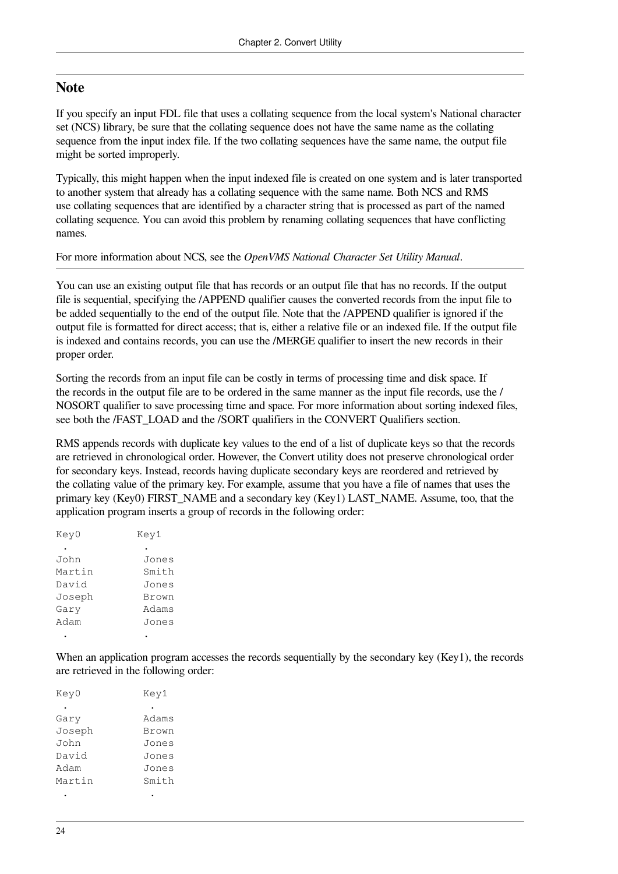#### **Note**

If you specify an input FDL file that uses a collating sequence from the local system's National character set (NCS) library, be sure that the collating sequence does not have the same name as the collating sequence from the input index file. If the two collating sequences have the same name, the output file might be sorted improperly.

Typically, this might happen when the input indexed file is created on one system and is later transported to another system that already has a collating sequence with the same name. Both NCS and RMS use collating sequences that are identified by a character string that is processed as part of the named collating sequence. You can avoid this problem by renaming collating sequences that have conflicting names.

For more information about NCS, see the *OpenVMS National Character Set Utility Manual*.

You can use an existing output file that has records or an output file that has no records. If the output file is sequential, specifying the /APPEND qualifier causes the converted records from the input file to be added sequentially to the end of the output file. Note that the /APPEND qualifier is ignored if the output file is formatted for direct access; that is, either a relative file or an indexed file. If the output file is indexed and contains records, you can use the /MERGE qualifier to insert the new records in their proper order.

Sorting the records from an input file can be costly in terms of processing time and disk space. If the records in the output file are to be ordered in the same manner as the input file records, use the / NOSORT qualifier to save processing time and space. For more information about sorting indexed files, see both the /FAST\_LOAD and the /SORT qualifiers in the CONVERT Qualifiers section.

RMS appends records with duplicate key values to the end of a list of duplicate keys so that the records are retrieved in chronological order. However, the Convert utility does not preserve chronological order for secondary keys. Instead, records having duplicate secondary keys are reordered and retrieved by the collating value of the primary key. For example, assume that you have a file of names that uses the primary key (Key0) FIRST\_NAME and a secondary key (Key1) LAST\_NAME. Assume, too, that the application program inserts a group of records in the following order:

| Key0   | Key1  |  |
|--------|-------|--|
|        |       |  |
| John   | Jones |  |
| Martin | Smith |  |
| David  | Jones |  |
| Joseph | Brown |  |
| Gary   | Adams |  |
| Adam   | Jones |  |
|        |       |  |

When an application program accesses the records sequentially by the secondary key (Key1), the records are retrieved in the following order:

| Key0   | Key1  |
|--------|-------|
|        |       |
| Gary   | Adams |
| Joseph | Brown |
| John   | Jones |
| David  | Jones |
| Adam   | Jones |
| Martin | Smith |
|        |       |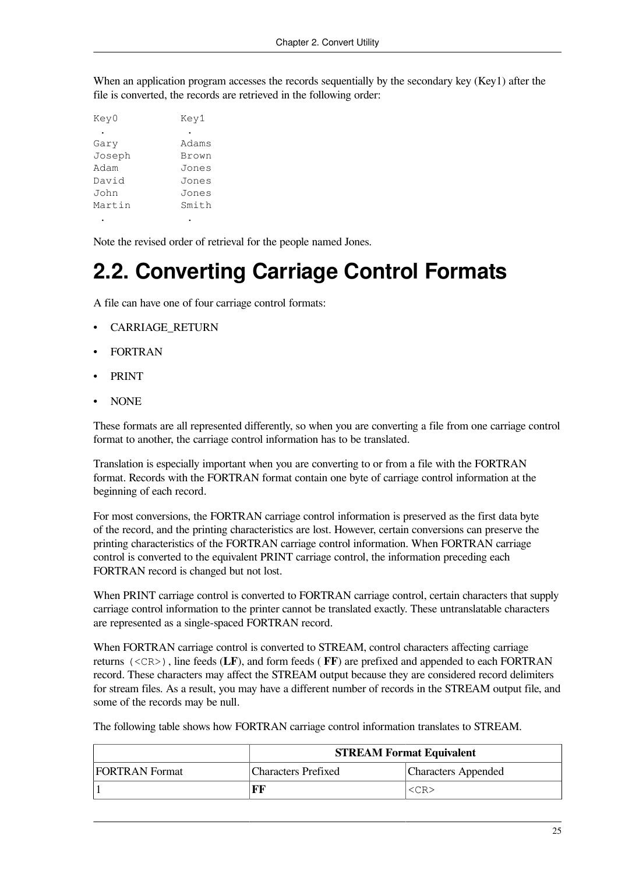When an application program accesses the records sequentially by the secondary key (Key1) after the file is converted, the records are retrieved in the following order:

| Key0   | Key1  |
|--------|-------|
|        |       |
| Gary   | Adams |
| Joseph | Brown |
| Adam   | Jones |
| David  | Jones |
| John   | Jones |
| Martin | Smith |
|        |       |

Note the revised order of retrieval for the people named Jones.

# <span id="page-32-0"></span>**2.2. Converting Carriage Control Formats**

A file can have one of four carriage control formats:

- CARRIAGE\_RETURN
- FORTRAN
- PRINT
- NONE

These formats are all represented differently, so when you are converting a file from one carriage control format to another, the carriage control information has to be translated.

Translation is especially important when you are converting to or from a file with the FORTRAN format. Records with the FORTRAN format contain one byte of carriage control information at the beginning of each record.

For most conversions, the FORTRAN carriage control information is preserved as the first data byte of the record, and the printing characteristics are lost. However, certain conversions can preserve the printing characteristics of the FORTRAN carriage control information. When FORTRAN carriage control is converted to the equivalent PRINT carriage control, the information preceding each FORTRAN record is changed but not lost.

When PRINT carriage control is converted to FORTRAN carriage control, certain characters that supply carriage control information to the printer cannot be translated exactly. These untranslatable characters are represented as a single-spaced FORTRAN record.

When FORTRAN carriage control is converted to STREAM, control characters affecting carriage returns (<CR>), line feeds (**LF**), and form feeds ( **FF**) are prefixed and appended to each FORTRAN record. These characters may affect the STREAM output because they are considered record delimiters for stream files. As a result, you may have a different number of records in the STREAM output file, and some of the records may be null.

The following table shows how FORTRAN carriage control information translates to STREAM.

|                       | <b>STREAM Format Equivalent</b> |                            |  |
|-----------------------|---------------------------------|----------------------------|--|
| <b>FORTRAN Format</b> | <b>Characters Prefixed</b>      | <b>Characters Appended</b> |  |
|                       | FF                              | <cr></cr>                  |  |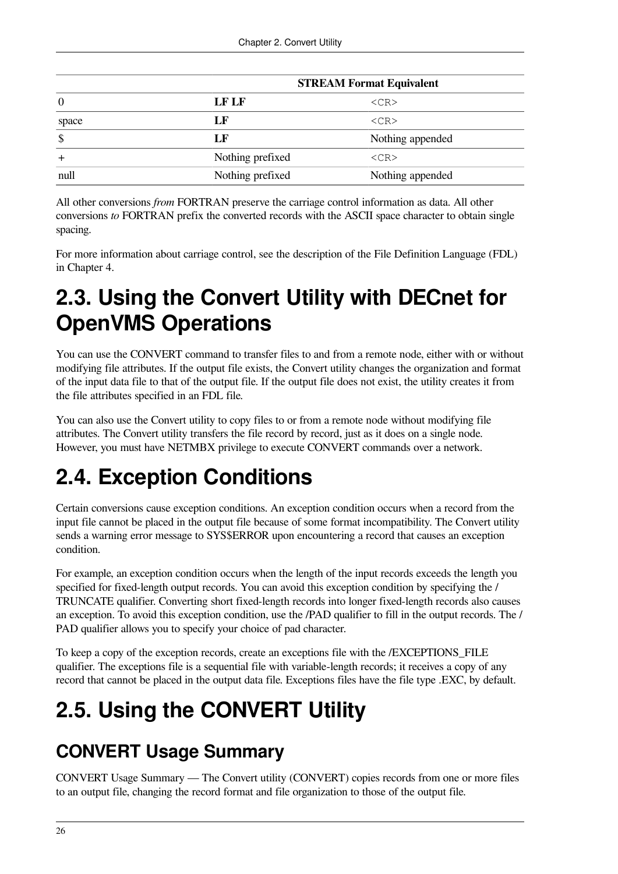|       | <b>STREAM Format Equivalent</b>      |                  |  |
|-------|--------------------------------------|------------------|--|
| 0     | <b>LF LF</b>                         | $<$ CR $>$       |  |
| space | LF                                   | $<$ CR $>$       |  |
| \$    | LF                                   | Nothing appended |  |
|       | Nothing prefixed                     | $<$ CR $>$       |  |
| null  | Nothing prefixed<br>Nothing appended |                  |  |

All other conversions *from* FORTRAN preserve the carriage control information as data. All other conversions *to* FORTRAN prefix the converted records with the ASCII space character to obtain single spacing.

For more information about carriage control, see the description of the File Definition Language (FDL) in [Chapter](#page-54-0) 4.

# <span id="page-33-0"></span>**2.3. Using the Convert Utility with DECnet for OpenVMS Operations**

You can use the CONVERT command to transfer files to and from a remote node, either with or without modifying file attributes. If the output file exists, the Convert utility changes the organization and format of the input data file to that of the output file. If the output file does not exist, the utility creates it from the file attributes specified in an FDL file.

You can also use the Convert utility to copy files to or from a remote node without modifying file attributes. The Convert utility transfers the file record by record, just as it does on a single node. However, you must have NETMBX privilege to execute CONVERT commands over a network.

# <span id="page-33-1"></span>**2.4. Exception Conditions**

Certain conversions cause exception conditions. An exception condition occurs when a record from the input file cannot be placed in the output file because of some format incompatibility. The Convert utility sends a warning error message to SYS\$ERROR upon encountering a record that causes an exception condition.

For example, an exception condition occurs when the length of the input records exceeds the length you specified for fixed-length output records. You can avoid this exception condition by specifying the / TRUNCATE qualifier. Converting short fixed-length records into longer fixed-length records also causes an exception. To avoid this exception condition, use the /PAD qualifier to fill in the output records. The / PAD qualifier allows you to specify your choice of pad character.

To keep a copy of the exception records, create an exceptions file with the /EXCEPTIONS\_FILE qualifier. The exceptions file is a sequential file with variable-length records; it receives a copy of any record that cannot be placed in the output data file. Exceptions files have the file type .EXC, by default.

# <span id="page-33-2"></span>**2.5. Using the CONVERT Utility**

# **CONVERT Usage Summary**

CONVERT Usage Summary — The Convert utility (CONVERT) copies records from one or more files to an output file, changing the record format and file organization to those of the output file.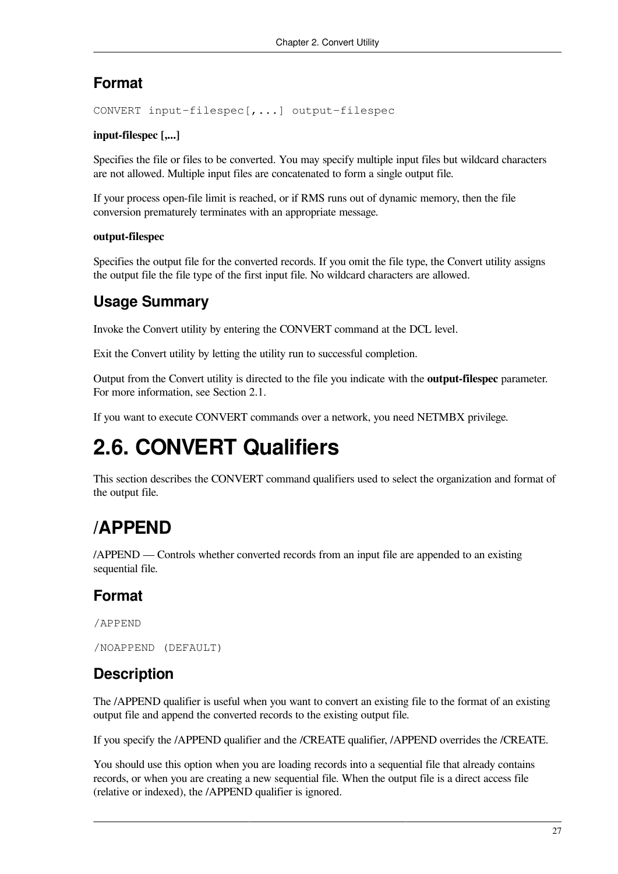### **Format**

CONVERT input-filespec[,...] output-filespec

#### **input-filespec [,...]**

Specifies the file or files to be converted. You may specify multiple input files but wildcard characters are not allowed. Multiple input files are concatenated to form a single output file.

If your process open-file limit is reached, or if RMS runs out of dynamic memory, then the file conversion prematurely terminates with an appropriate message.

#### **output-filespec**

Specifies the output file for the converted records. If you omit the file type, the Convert utility assigns the output file the file type of the first input file. No wildcard characters are allowed.

### **Usage Summary**

Invoke the Convert utility by entering the CONVERT command at the DCL level.

Exit the Convert utility by letting the utility run to successful completion.

Output from the Convert utility is directed to the file you indicate with the **output-filespec** parameter. For more information, see [Section](#page-30-1) 2.1.

If you want to execute CONVERT commands over a network, you need NETMBX privilege.

# <span id="page-34-0"></span>**2.6. CONVERT Qualifiers**

This section describes the CONVERT command qualifiers used to select the organization and format of the output file.

# **/APPEND**

/APPEND — Controls whether converted records from an input file are appended to an existing sequential file.

### **Format**

/APPEND

```
/NOAPPEND (DEFAULT)
```
### **Description**

The /APPEND qualifier is useful when you want to convert an existing file to the format of an existing output file and append the converted records to the existing output file.

If you specify the /APPEND qualifier and the /CREATE qualifier, /APPEND overrides the /CREATE.

You should use this option when you are loading records into a sequential file that already contains records, or when you are creating a new sequential file. When the output file is a direct access file (relative or indexed), the /APPEND qualifier is ignored.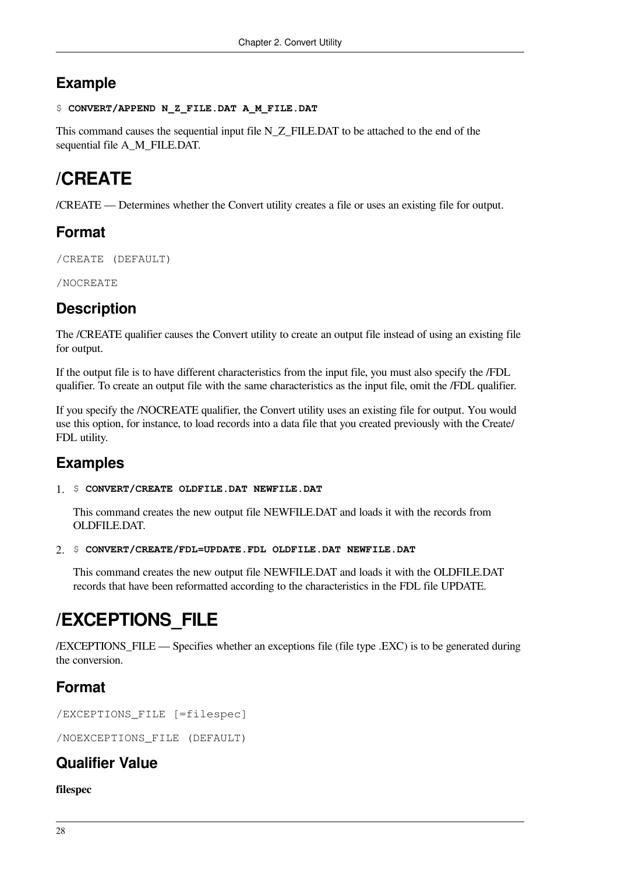### **Example**

```
$ CONVERT/APPEND N_Z_FILE.DAT A_M_FILE.DAT
```
This command causes the sequential input file N\_Z\_FILE.DAT to be attached to the end of the sequential file A\_M\_FILE.DAT.

# **/CREATE**

/CREATE — Determines whether the Convert utility creates a file or uses an existing file for output.

### **Format**

/CREATE (DEFAULT)

/NOCREATE

### **Description**

The /CREATE qualifier causes the Convert utility to create an output file instead of using an existing file for output.

If the output file is to have different characteristics from the input file, you must also specify the /FDL qualifier. To create an output file with the same characteristics as the input file, omit the /FDL qualifier.

If you specify the /NOCREATE qualifier, the Convert utility uses an existing file for output. You would use this option, for instance, to load records into a data file that you created previously with the Create/ FDL utility.

### **Examples**

1. \$ **CONVERT/CREATE OLDFILE.DAT NEWFILE.DAT**

This command creates the new output file NEWFILE.DAT and loads it with the records from OLDFILE.DAT.

```
2. $ CONVERT/CREATE/FDL=UPDATE.FDL OLDFILE.DAT NEWFILE.DAT
```
This command creates the new output file NEWFILE.DAT and loads it with the OLDFILE.DAT records that have been reformatted according to the characteristics in the FDL file UPDATE.

# **/EXCEPTIONS\_FILE**

/EXCEPTIONS\_FILE — Specifies whether an exceptions file (file type .EXC) is to be generated during the conversion.

### **Format**

/EXCEPTIONS\_FILE [=filespec]

/NOEXCEPTIONS\_FILE (DEFAULT)

### **Qualifier Value**

**filespec**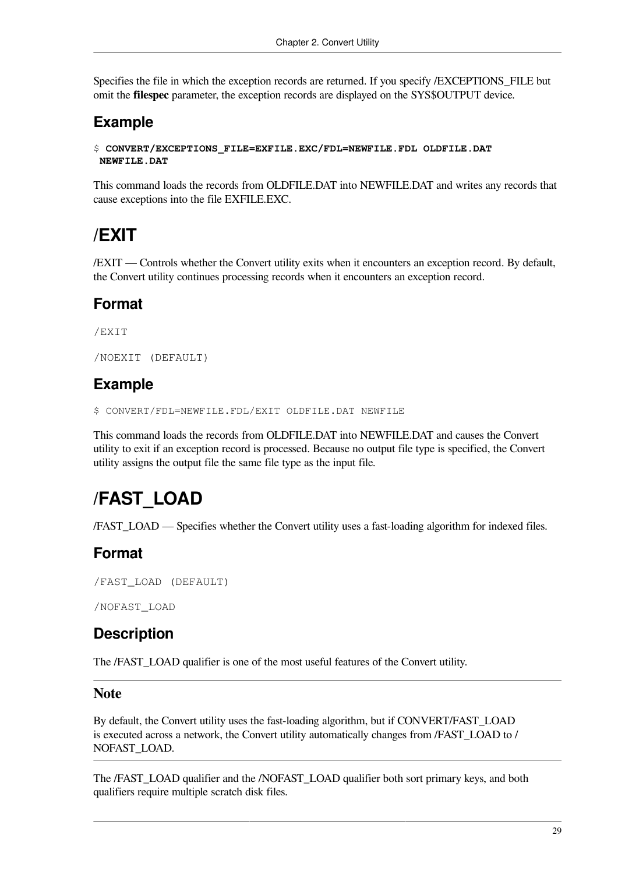Specifies the file in which the exception records are returned. If you specify /EXCEPTIONS\_FILE but omit the **filespec** parameter, the exception records are displayed on the SYS\$OUTPUT device.

### **Example**

\$ **CONVERT/EXCEPTIONS\_FILE=EXFILE.EXC/FDL=NEWFILE.FDL OLDFILE.DAT NEWFILE.DAT**

This command loads the records from OLDFILE.DAT into NEWFILE.DAT and writes any records that cause exceptions into the file EXFILE.EXC.

## **/EXIT**

/EXIT — Controls whether the Convert utility exits when it encounters an exception record. By default, the Convert utility continues processing records when it encounters an exception record.

### **Format**

/EXIT

```
/NOEXIT (DEFAULT)
```
### **Example**

\$ CONVERT/FDL=NEWFILE.FDL/EXIT OLDFILE.DAT NEWFILE

This command loads the records from OLDFILE.DAT into NEWFILE.DAT and causes the Convert utility to exit if an exception record is processed. Because no output file type is specified, the Convert utility assigns the output file the same file type as the input file.

## **/FAST\_LOAD**

/FAST\_LOAD — Specifies whether the Convert utility uses a fast-loading algorithm for indexed files.

## **Format**

```
/FAST_LOAD (DEFAULT)
```
/NOFAST\_LOAD

## **Description**

The /FAST\_LOAD qualifier is one of the most useful features of the Convert utility.

#### **Note**

By default, the Convert utility uses the fast-loading algorithm, but if CONVERT/FAST\_LOAD is executed across a network, the Convert utility automatically changes from /FAST\_LOAD to / NOFAST\_LOAD.

The /FAST\_LOAD qualifier and the /NOFAST\_LOAD qualifier both sort primary keys, and both qualifiers require multiple scratch disk files.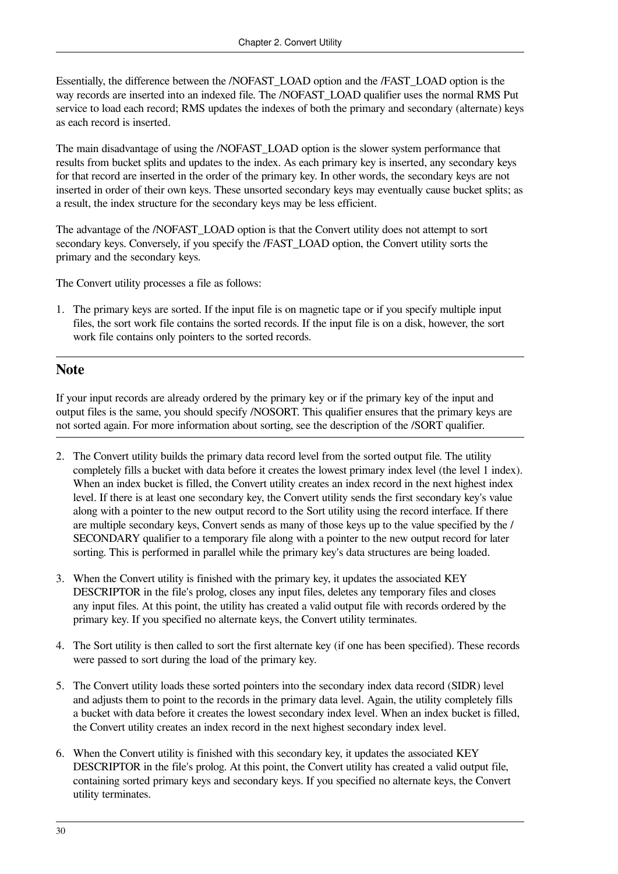Essentially, the difference between the /NOFAST\_LOAD option and the /FAST\_LOAD option is the way records are inserted into an indexed file. The /NOFAST\_LOAD qualifier uses the normal RMS Put service to load each record; RMS updates the indexes of both the primary and secondary (alternate) keys as each record is inserted.

The main disadvantage of using the /NOFAST\_LOAD option is the slower system performance that results from bucket splits and updates to the index. As each primary key is inserted, any secondary keys for that record are inserted in the order of the primary key. In other words, the secondary keys are not inserted in order of their own keys. These unsorted secondary keys may eventually cause bucket splits; as a result, the index structure for the secondary keys may be less efficient.

The advantage of the /NOFAST\_LOAD option is that the Convert utility does not attempt to sort secondary keys. Conversely, if you specify the /FAST\_LOAD option, the Convert utility sorts the primary and the secondary keys.

The Convert utility processes a file as follows:

1. The primary keys are sorted. If the input file is on magnetic tape or if you specify multiple input files, the sort work file contains the sorted records. If the input file is on a disk, however, the sort work file contains only pointers to the sorted records.

#### **Note**

If your input records are already ordered by the primary key or if the primary key of the input and output files is the same, you should specify /NOSORT. This qualifier ensures that the primary keys are not sorted again. For more information about sorting, see the description of the /SORT qualifier.

- 2. The Convert utility builds the primary data record level from the sorted output file. The utility completely fills a bucket with data before it creates the lowest primary index level (the level 1 index). When an index bucket is filled, the Convert utility creates an index record in the next highest index level. If there is at least one secondary key, the Convert utility sends the first secondary key's value along with a pointer to the new output record to the Sort utility using the record interface. If there are multiple secondary keys, Convert sends as many of those keys up to the value specified by the / SECONDARY qualifier to a temporary file along with a pointer to the new output record for later sorting. This is performed in parallel while the primary key's data structures are being loaded.
- 3. When the Convert utility is finished with the primary key, it updates the associated KEY DESCRIPTOR in the file's prolog, closes any input files, deletes any temporary files and closes any input files. At this point, the utility has created a valid output file with records ordered by the primary key. If you specified no alternate keys, the Convert utility terminates.
- 4. The Sort utility is then called to sort the first alternate key (if one has been specified). These records were passed to sort during the load of the primary key.
- 5. The Convert utility loads these sorted pointers into the secondary index data record (SIDR) level and adjusts them to point to the records in the primary data level. Again, the utility completely fills a bucket with data before it creates the lowest secondary index level. When an index bucket is filled, the Convert utility creates an index record in the next highest secondary index level.
- 6. When the Convert utility is finished with this secondary key, it updates the associated KEY DESCRIPTOR in the file's prolog. At this point, the Convert utility has created a valid output file, containing sorted primary keys and secondary keys. If you specified no alternate keys, the Convert utility terminates.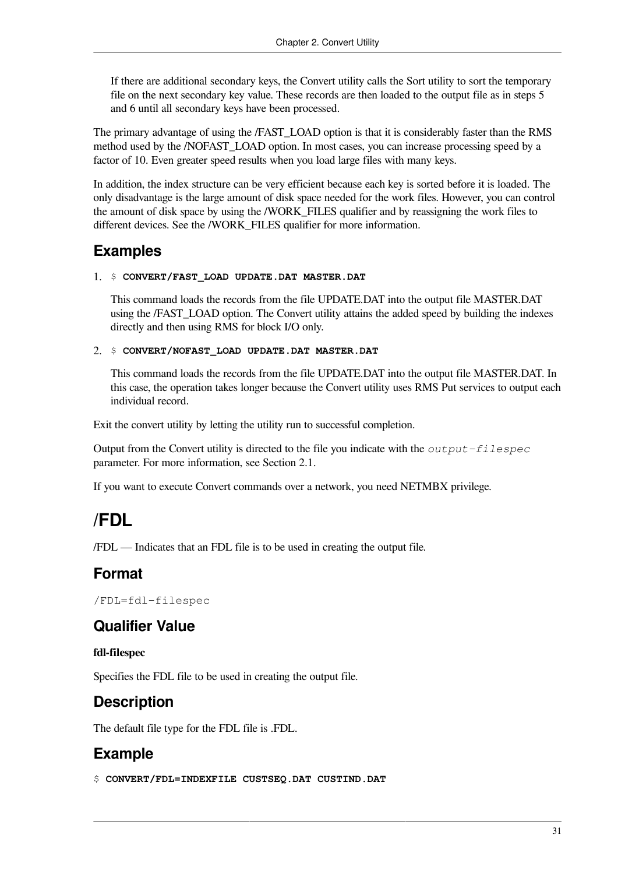If there are additional secondary keys, the Convert utility calls the Sort utility to sort the temporary file on the next secondary key value. These records are then loaded to the output file as in steps 5 and 6 until all secondary keys have been processed.

The primary advantage of using the /FAST\_LOAD option is that it is considerably faster than the RMS method used by the /NOFAST\_LOAD option. In most cases, you can increase processing speed by a factor of 10. Even greater speed results when you load large files with many keys.

In addition, the index structure can be very efficient because each key is sorted before it is loaded. The only disadvantage is the large amount of disk space needed for the work files. However, you can control the amount of disk space by using the /WORK\_FILES qualifier and by reassigning the work files to different devices. See the /WORK\_FILES qualifier for more information.

### **Examples**

#### 1. \$ **CONVERT/FAST\_LOAD UPDATE.DAT MASTER.DAT**

This command loads the records from the file UPDATE.DAT into the output file MASTER.DAT using the /FAST\_LOAD option. The Convert utility attains the added speed by building the indexes directly and then using RMS for block I/O only.

#### 2. \$ **CONVERT/NOFAST\_LOAD UPDATE.DAT MASTER.DAT**

This command loads the records from the file UPDATE.DAT into the output file MASTER.DAT. In this case, the operation takes longer because the Convert utility uses RMS Put services to output each individual record.

Exit the convert utility by letting the utility run to successful completion.

Output from the Convert utility is directed to the file you indicate with the *output-filespec* parameter. For more information, see [Section](#page-30-0) 2.1.

If you want to execute Convert commands over a network, you need NETMBX privilege.

## **/FDL**

/FDL — Indicates that an FDL file is to be used in creating the output file.

### **Format**

/FDL=fdl-filespec

### **Qualifier Value**

#### **fdl-filespec**

Specifies the FDL file to be used in creating the output file.

## **Description**

The default file type for the FDL file is .FDL.

## **Example**

\$ **CONVERT/FDL=INDEXFILE CUSTSEQ.DAT CUSTIND.DAT**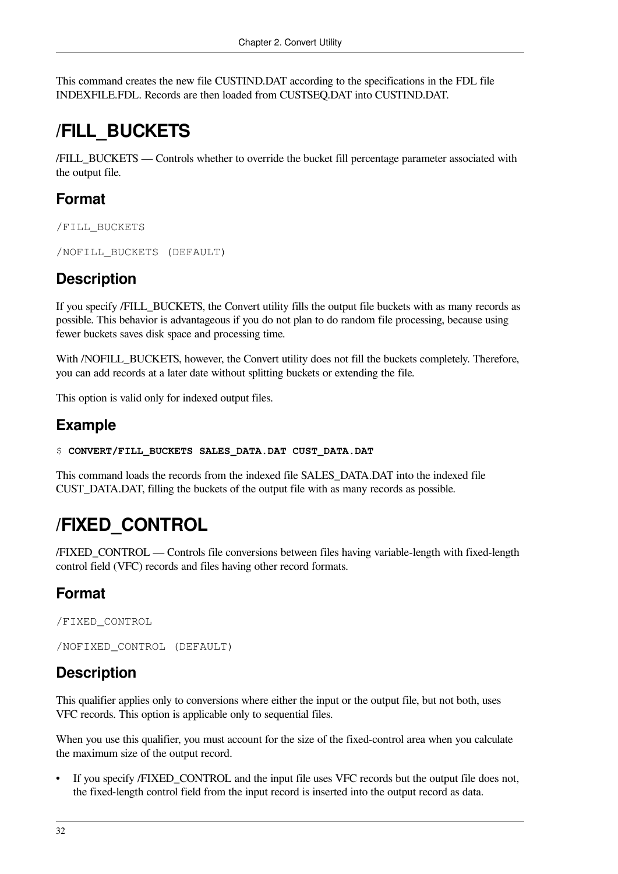This command creates the new file CUSTIND.DAT according to the specifications in the FDL file INDEXFILE.FDL. Records are then loaded from CUSTSEQ.DAT into CUSTIND.DAT.

## **/FILL\_BUCKETS**

/FILL\_BUCKETS — Controls whether to override the bucket fill percentage parameter associated with the output file.

## **Format**

/FILL\_BUCKETS

```
/NOFILL_BUCKETS (DEFAULT)
```
## **Description**

If you specify /FILL\_BUCKETS, the Convert utility fills the output file buckets with as many records as possible. This behavior is advantageous if you do not plan to do random file processing, because using fewer buckets saves disk space and processing time.

With /NOFILL\_BUCKETS, however, the Convert utility does not fill the buckets completely. Therefore, you can add records at a later date without splitting buckets or extending the file.

This option is valid only for indexed output files.

## **Example**

```
$ CONVERT/FILL_BUCKETS SALES_DATA.DAT CUST_DATA.DAT
```
This command loads the records from the indexed file SALES\_DATA.DAT into the indexed file CUST\_DATA.DAT, filling the buckets of the output file with as many records as possible.

## **/FIXED\_CONTROL**

/FIXED\_CONTROL — Controls file conversions between files having variable-length with fixed-length control field (VFC) records and files having other record formats.

## **Format**

/FIXED\_CONTROL

```
/NOFIXED_CONTROL (DEFAULT)
```
## **Description**

This qualifier applies only to conversions where either the input or the output file, but not both, uses VFC records. This option is applicable only to sequential files.

When you use this qualifier, you must account for the size of the fixed-control area when you calculate the maximum size of the output record.

If you specify /FIXED\_CONTROL and the input file uses VFC records but the output file does not, the fixed-length control field from the input record is inserted into the output record as data.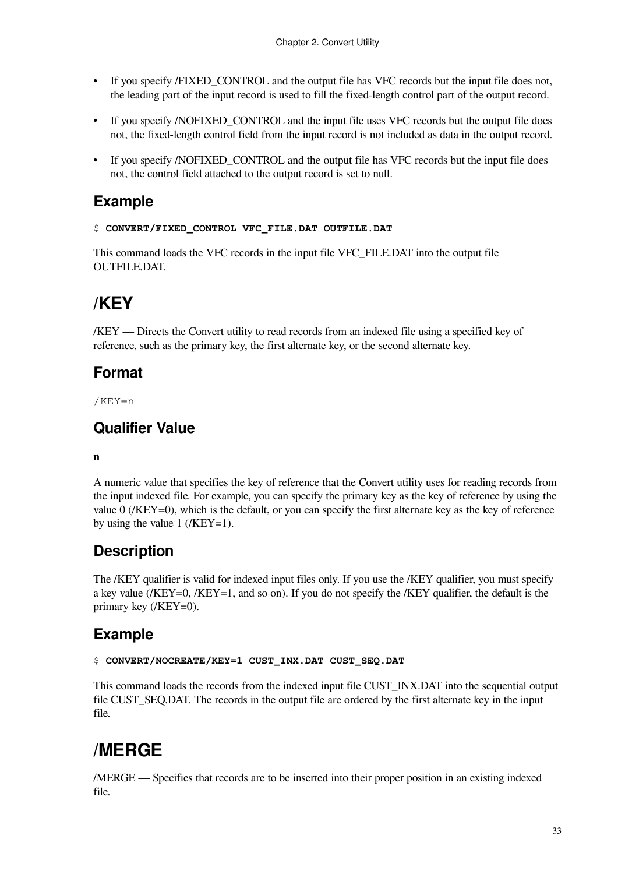- If you specify /FIXED CONTROL and the output file has VFC records but the input file does not, the leading part of the input record is used to fill the fixed-length control part of the output record.
- If you specify /NOFIXED\_CONTROL and the input file uses VFC records but the output file does not, the fixed-length control field from the input record is not included as data in the output record.
- If you specify */NOFIXED* CONTROL and the output file has VFC records but the input file does not, the control field attached to the output record is set to null.

### **Example**

#### \$ **CONVERT/FIXED\_CONTROL VFC\_FILE.DAT OUTFILE.DAT**

This command loads the VFC records in the input file VFC\_FILE.DAT into the output file OUTFILE.DAT.

## **/KEY**

/KEY — Directs the Convert utility to read records from an indexed file using a specified key of reference, such as the primary key, the first alternate key, or the second alternate key.

### **Format**

/KEY=n

## **Qualifier Value**

#### **n**

A numeric value that specifies the key of reference that the Convert utility uses for reading records from the input indexed file. For example, you can specify the primary key as the key of reference by using the value 0 (/KEY=0), which is the default, or you can specify the first alternate key as the key of reference by using the value  $1$  (/KEY=1).

## **Description**

The /KEY qualifier is valid for indexed input files only. If you use the /KEY qualifier, you must specify a key value (/KEY=0, /KEY=1, and so on). If you do not specify the /KEY qualifier, the default is the primary key (/KEY=0).

### **Example**

```
$ CONVERT/NOCREATE/KEY=1 CUST_INX.DAT CUST_SEQ.DAT
```
This command loads the records from the indexed input file CUST\_INX.DAT into the sequential output file CUST\_SEQ.DAT. The records in the output file are ordered by the first alternate key in the input file.

## **/MERGE**

/MERGE — Specifies that records are to be inserted into their proper position in an existing indexed file.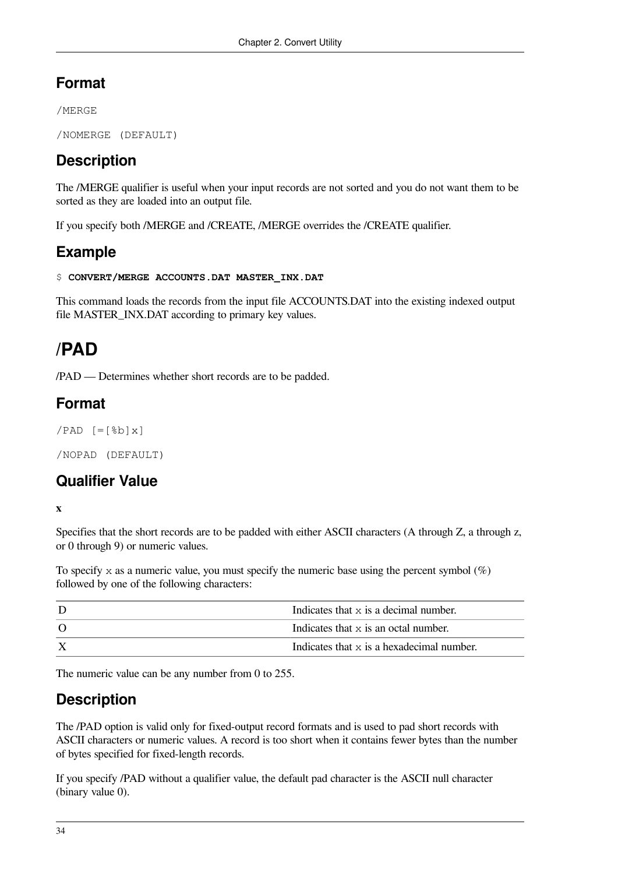## **Format**

/MERGE

```
/NOMERGE (DEFAULT)
```
## **Description**

The /MERGE qualifier is useful when your input records are not sorted and you do not want them to be sorted as they are loaded into an output file.

If you specify both /MERGE and /CREATE, /MERGE overrides the /CREATE qualifier.

## **Example**

```
$ CONVERT/MERGE ACCOUNTS.DAT MASTER_INX.DAT
```
This command loads the records from the input file ACCOUNTS.DAT into the existing indexed output file MASTER\_INX.DAT according to primary key values.

## **/PAD**

/PAD — Determines whether short records are to be padded.

## **Format**

```
/PAD [=\frac{8b}{x}]
```
/NOPAD (DEFAULT)

## **Qualifier Value**

**x**

Specifies that the short records are to be padded with either ASCII characters (A through Z, a through z, or 0 through 9) or numeric values.

To specify x as a numeric value, you must specify the numeric base using the percent symbol  $(\%)$ followed by one of the following characters:

| Indicates that $\times$ is a decimal number. |  |
|----------------------------------------------|--|
| Indicates that x is an octal number.         |  |
| Indicates that x is a hexadecimal number.    |  |

The numeric value can be any number from 0 to 255.

## **Description**

The /PAD option is valid only for fixed-output record formats and is used to pad short records with ASCII characters or numeric values. A record is too short when it contains fewer bytes than the number of bytes specified for fixed-length records.

If you specify /PAD without a qualifier value, the default pad character is the ASCII null character (binary value 0).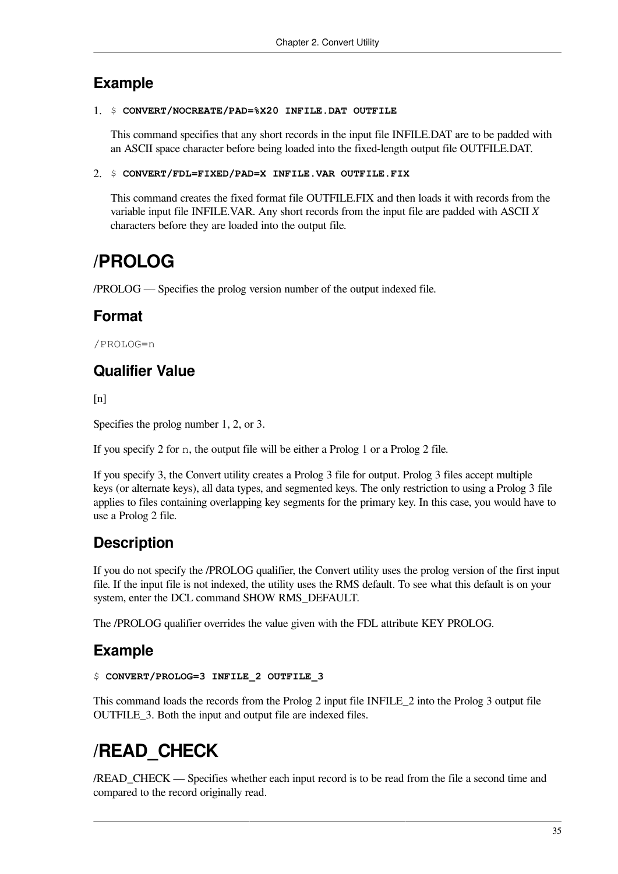### **Example**

#### 1. \$ **CONVERT/NOCREATE/PAD=%X20 INFILE.DAT OUTFILE**

This command specifies that any short records in the input file INFILE.DAT are to be padded with an ASCII space character before being loaded into the fixed-length output file OUTFILE.DAT.

```
2. $ CONVERT/FDL=FIXED/PAD=X INFILE.VAR OUTFILE.FIX
```
This command creates the fixed format file OUTFILE.FIX and then loads it with records from the variable input file INFILE.VAR. Any short records from the input file are padded with ASCII *X* characters before they are loaded into the output file.

## **/PROLOG**

/PROLOG — Specifies the prolog version number of the output indexed file.

## **Format**

/PROLOG=n

## **Qualifier Value**

 $[n]$ 

Specifies the prolog number 1, 2, or 3.

If you specify 2 for n, the output file will be either a Prolog 1 or a Prolog 2 file.

If you specify 3, the Convert utility creates a Prolog 3 file for output. Prolog 3 files accept multiple keys (or alternate keys), all data types, and segmented keys. The only restriction to using a Prolog 3 file applies to files containing overlapping key segments for the primary key. In this case, you would have to use a Prolog 2 file.

## **Description**

If you do not specify the /PROLOG qualifier, the Convert utility uses the prolog version of the first input file. If the input file is not indexed, the utility uses the RMS default. To see what this default is on your system, enter the DCL command SHOW RMS\_DEFAULT.

The /PROLOG qualifier overrides the value given with the FDL attribute KEY PROLOG.

## **Example**

```
$ CONVERT/PROLOG=3 INFILE_2 OUTFILE_3
```
This command loads the records from the Prolog 2 input file INFILE\_2 into the Prolog 3 output file OUTFILE\_3. Both the input and output file are indexed files.

## **/READ\_CHECK**

/READ\_CHECK — Specifies whether each input record is to be read from the file a second time and compared to the record originally read.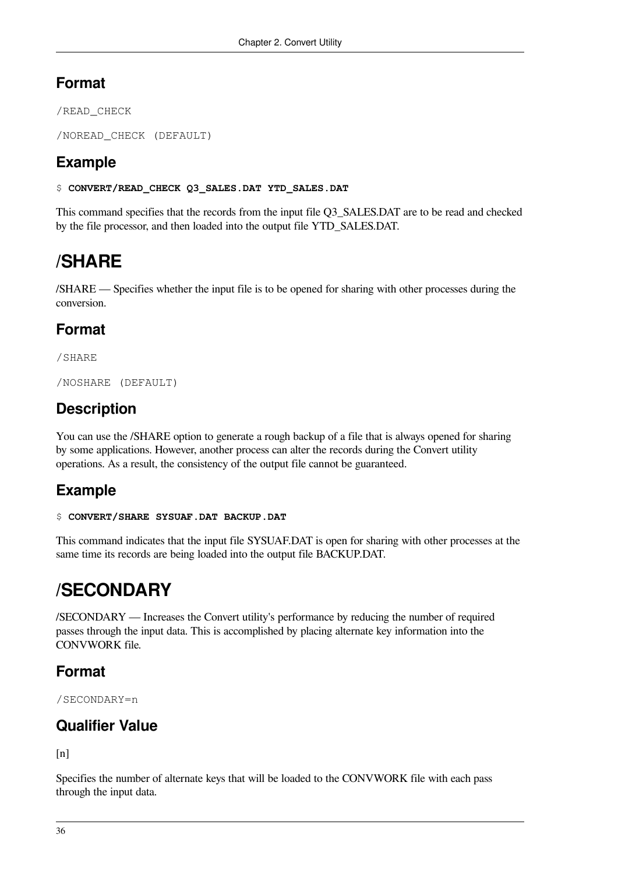## **Format**

/READ\_CHECK

/NOREAD\_CHECK (DEFAULT)

## **Example**

\$ **CONVERT/READ\_CHECK Q3\_SALES.DAT YTD\_SALES.DAT**

This command specifies that the records from the input file Q3\_SALES.DAT are to be read and checked by the file processor, and then loaded into the output file YTD\_SALES.DAT.

## **/SHARE**

/SHARE — Specifies whether the input file is to be opened for sharing with other processes during the conversion.

## **Format**

/SHARE

/NOSHARE (DEFAULT)

## **Description**

You can use the /SHARE option to generate a rough backup of a file that is always opened for sharing by some applications. However, another process can alter the records during the Convert utility operations. As a result, the consistency of the output file cannot be guaranteed.

## **Example**

#### \$ **CONVERT/SHARE SYSUAF.DAT BACKUP.DAT**

This command indicates that the input file SYSUAF.DAT is open for sharing with other processes at the same time its records are being loaded into the output file BACKUP.DAT.

## **/SECONDARY**

/SECONDARY — Increases the Convert utility's performance by reducing the number of required passes through the input data. This is accomplished by placing alternate key information into the CONVWORK file.

## **Format**

/SECONDARY=n

## **Qualifier Value**

 $[n]$ 

Specifies the number of alternate keys that will be loaded to the CONVWORK file with each pass through the input data.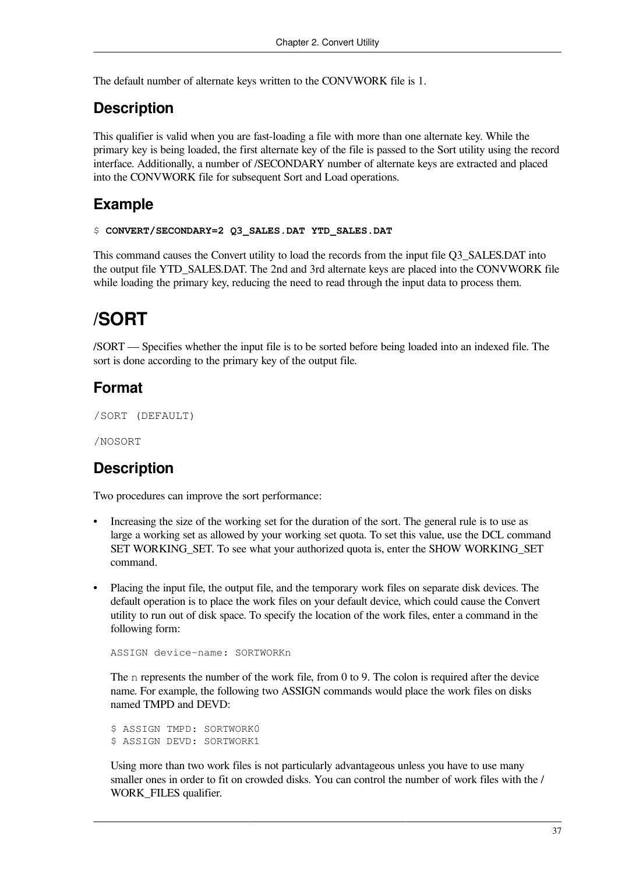The default number of alternate keys written to the CONVWORK file is 1.

## **Description**

This qualifier is valid when you are fast-loading a file with more than one alternate key. While the primary key is being loaded, the first alternate key of the file is passed to the Sort utility using the record interface. Additionally, a number of /SECONDARY number of alternate keys are extracted and placed into the CONVWORK file for subsequent Sort and Load operations.

## **Example**

```
$ CONVERT/SECONDARY=2 Q3_SALES.DAT YTD_SALES.DAT
```
This command causes the Convert utility to load the records from the input file Q3\_SALES.DAT into the output file YTD\_SALES.DAT. The 2nd and 3rd alternate keys are placed into the CONVWORK file while loading the primary key, reducing the need to read through the input data to process them.

## **/SORT**

/SORT — Specifies whether the input file is to be sorted before being loaded into an indexed file. The sort is done according to the primary key of the output file.

## **Format**

```
/SORT (DEFAULT)
```
/NOSORT

## **Description**

Two procedures can improve the sort performance:

- Increasing the size of the working set for the duration of the sort. The general rule is to use as large a working set as allowed by your working set quota. To set this value, use the DCL command SET WORKING\_SET. To see what your authorized quota is, enter the SHOW WORKING\_SET command.
- Placing the input file, the output file, and the temporary work files on separate disk devices. The default operation is to place the work files on your default device, which could cause the Convert utility to run out of disk space. To specify the location of the work files, enter a command in the following form:

```
ASSIGN device-name: SORTWORKn
```
The n represents the number of the work file, from 0 to 9. The colon is required after the device name. For example, the following two ASSIGN commands would place the work files on disks named TMPD and DEVD:

\$ ASSIGN TMPD: SORTWORK0 \$ ASSIGN DEVD: SORTWORK1

Using more than two work files is not particularly advantageous unless you have to use many smaller ones in order to fit on crowded disks. You can control the number of work files with the / WORK FILES qualifier.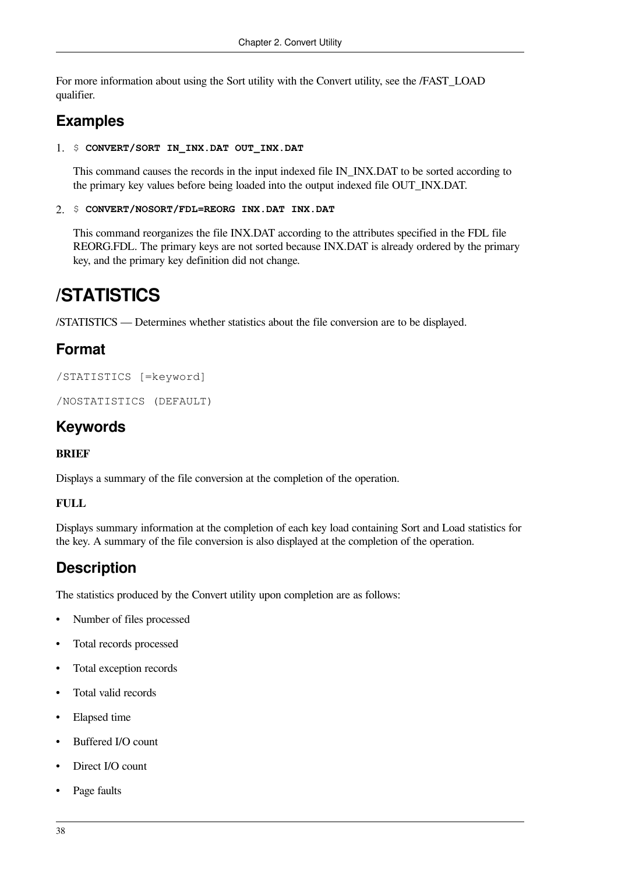For more information about using the Sort utility with the Convert utility, see the /FAST\_LOAD qualifier.

## **Examples**

1. \$ **CONVERT/SORT IN\_INX.DAT OUT\_INX.DAT**

This command causes the records in the input indexed file IN\_INX.DAT to be sorted according to the primary key values before being loaded into the output indexed file OUT\_INX.DAT.

2. \$ **CONVERT/NOSORT/FDL=REORG INX.DAT INX.DAT**

This command reorganizes the file INX.DAT according to the attributes specified in the FDL file REORG.FDL. The primary keys are not sorted because INX.DAT is already ordered by the primary key, and the primary key definition did not change.

## **/STATISTICS**

/STATISTICS — Determines whether statistics about the file conversion are to be displayed.

## **Format**

```
/STATISTICS [=keyword]
```

```
/NOSTATISTICS (DEFAULT)
```
## **Keywords**

#### **BRIEF**

Displays a summary of the file conversion at the completion of the operation.

#### **FULL**

Displays summary information at the completion of each key load containing Sort and Load statistics for the key. A summary of the file conversion is also displayed at the completion of the operation.

## **Description**

The statistics produced by the Convert utility upon completion are as follows:

- Number of files processed
- Total records processed
- Total exception records
- Total valid records
- Elapsed time
- Buffered I/O count
- Direct I/O count
- Page faults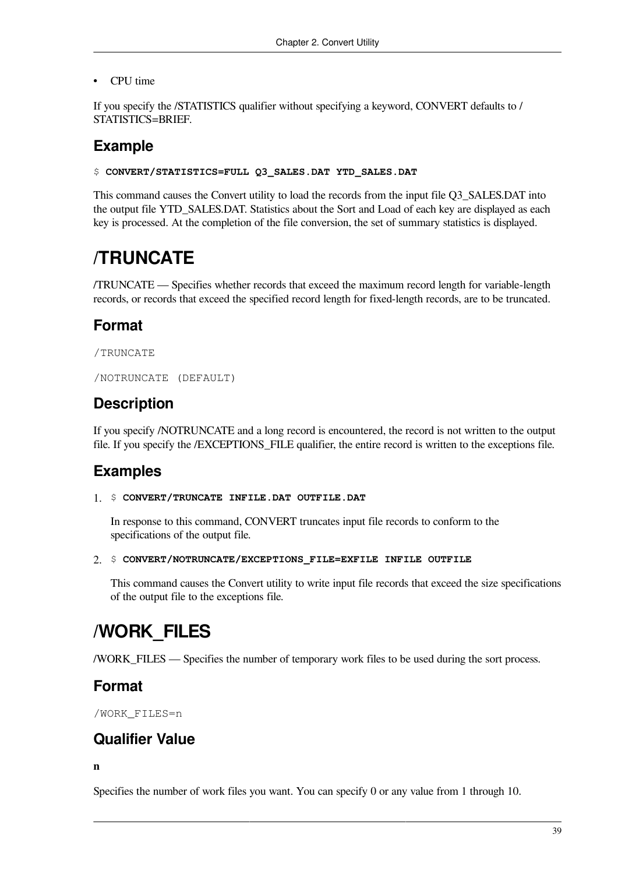• CPU time

If you specify the /STATISTICS qualifier without specifying a keyword, CONVERT defaults to / STATISTICS=BRIEF.

### **Example**

#### \$ **CONVERT/STATISTICS=FULL Q3\_SALES.DAT YTD\_SALES.DAT**

This command causes the Convert utility to load the records from the input file Q3\_SALES.DAT into the output file YTD\_SALES.DAT. Statistics about the Sort and Load of each key are displayed as each key is processed. At the completion of the file conversion, the set of summary statistics is displayed.

## **/TRUNCATE**

/TRUNCATE — Specifies whether records that exceed the maximum record length for variable-length records, or records that exceed the specified record length for fixed-length records, are to be truncated.

#### **Format**

```
/TRUNCATE
```

```
/NOTRUNCATE (DEFAULT)
```
### **Description**

If you specify /NOTRUNCATE and a long record is encountered, the record is not written to the output file. If you specify the /EXCEPTIONS\_FILE qualifier, the entire record is written to the exceptions file.

#### **Examples**

#### 1. \$ **CONVERT/TRUNCATE INFILE.DAT OUTFILE.DAT**

In response to this command, CONVERT truncates input file records to conform to the specifications of the output file.

#### 2. \$ **CONVERT/NOTRUNCATE/EXCEPTIONS\_FILE=EXFILE INFILE OUTFILE**

This command causes the Convert utility to write input file records that exceed the size specifications of the output file to the exceptions file.

## **/WORK\_FILES**

/WORK\_FILES — Specifies the number of temporary work files to be used during the sort process.

#### **Format**

/WORK\_FILES=n

#### **Qualifier Value**

#### **n**

Specifies the number of work files you want. You can specify 0 or any value from 1 through 10.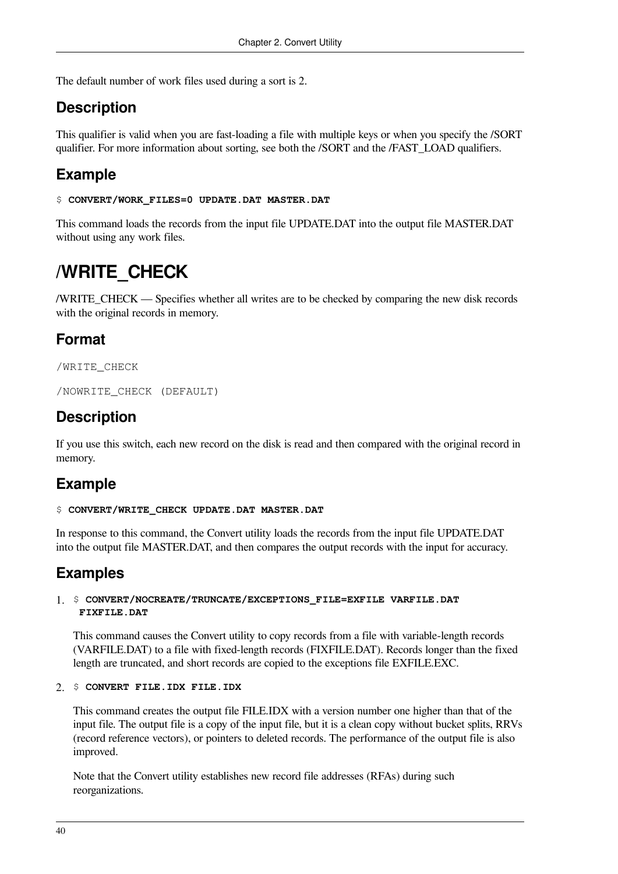The default number of work files used during a sort is 2.

### **Description**

This qualifier is valid when you are fast-loading a file with multiple keys or when you specify the /SORT qualifier. For more information about sorting, see both the /SORT and the /FAST\_LOAD qualifiers.

## **Example**

```
$ CONVERT/WORK_FILES=0 UPDATE.DAT MASTER.DAT
```
This command loads the records from the input file UPDATE.DAT into the output file MASTER.DAT without using any work files.

## **/WRITE\_CHECK**

/WRITE\_CHECK — Specifies whether all writes are to be checked by comparing the new disk records with the original records in memory.

## **Format**

/WRITE\_CHECK

/NOWRITE\_CHECK (DEFAULT)

## **Description**

If you use this switch, each new record on the disk is read and then compared with the original record in memory.

## **Example**

#### \$ **CONVERT/WRITE\_CHECK UPDATE.DAT MASTER.DAT**

In response to this command, the Convert utility loads the records from the input file UPDATE.DAT into the output file MASTER.DAT, and then compares the output records with the input for accuracy.

## **Examples**

#### 1. \$ **CONVERT/NOCREATE/TRUNCATE/EXCEPTIONS\_FILE=EXFILE VARFILE.DAT FIXFILE.DAT**

This command causes the Convert utility to copy records from a file with variable-length records (VARFILE.DAT) to a file with fixed-length records (FIXFILE.DAT). Records longer than the fixed length are truncated, and short records are copied to the exceptions file EXFILE.EXC.

#### 2. \$ **CONVERT FILE.IDX FILE.IDX**

This command creates the output file FILE.IDX with a version number one higher than that of the input file. The output file is a copy of the input file, but it is a clean copy without bucket splits, RRVs (record reference vectors), or pointers to deleted records. The performance of the output file is also improved.

Note that the Convert utility establishes new record file addresses (RFAs) during such reorganizations.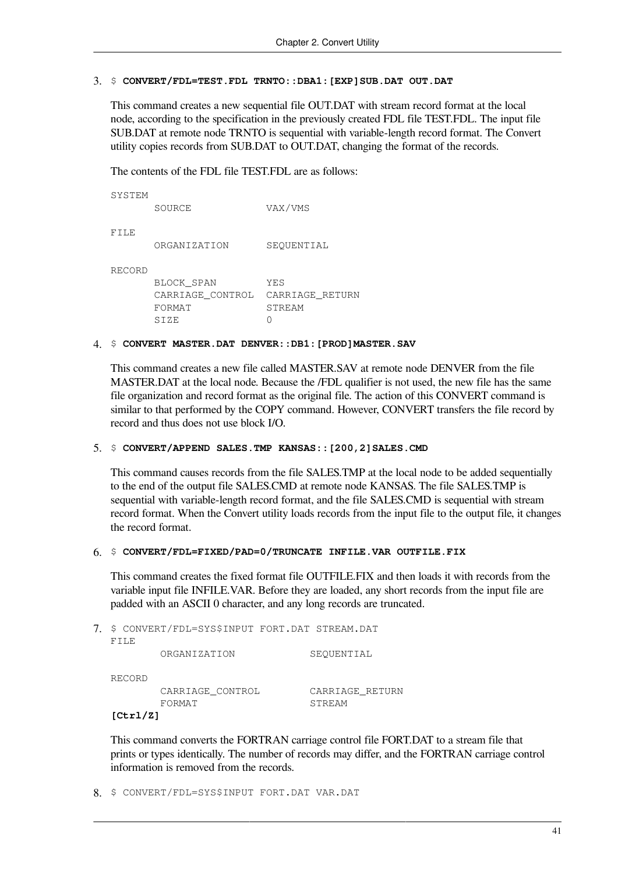#### 3. \$ **CONVERT/FDL=TEST.FDL TRNTO::DBA1:[EXP]SUB.DAT OUT.DAT**

This command creates a new sequential file OUT.DAT with stream record format at the local node, according to the specification in the previously created FDL file TEST.FDL. The input file SUB.DAT at remote node TRNTO is sequential with variable-length record format. The Convert utility copies records from SUB.DAT to OUT.DAT, changing the format of the records.

The contents of the FDL file TEST.FDL are as follows:

| SOURCE           | VAX/VMS         |
|------------------|-----------------|
|                  |                 |
| ORGANIZATION     | SEOUENTIAL      |
|                  |                 |
| BLOCK SPAN       | YES             |
| CARRIAGE CONTROL | CARRIAGE RETURN |
| FORMAT           | <b>STREAM</b>   |
| SIZE             |                 |
|                  |                 |

#### 4. \$ **CONVERT MASTER.DAT DENVER::DB1:[PROD]MASTER.SAV**

This command creates a new file called MASTER.SAV at remote node DENVER from the file MASTER.DAT at the local node. Because the /FDL qualifier is not used, the new file has the same file organization and record format as the original file. The action of this CONVERT command is similar to that performed by the COPY command. However, CONVERT transfers the file record by record and thus does not use block I/O.

#### 5. \$ **CONVERT/APPEND SALES.TMP KANSAS::[200,2]SALES.CMD**

This command causes records from the file SALES.TMP at the local node to be added sequentially to the end of the output file SALES.CMD at remote node KANSAS. The file SALES.TMP is sequential with variable-length record format, and the file SALES.CMD is sequential with stream record format. When the Convert utility loads records from the input file to the output file, it changes the record format.

#### 6. \$ **CONVERT/FDL=FIXED/PAD=0/TRUNCATE INFILE.VAR OUTFILE.FIX**

This command creates the fixed format file OUTFILE.FIX and then loads it with records from the variable input file INFILE.VAR. Before they are loaded, any short records from the input file are padded with an ASCII 0 character, and any long records are truncated.

7. \$ CONVERT/FDL=SYS\$INPUT FORT.DAT STREAM.DAT FILE ORGANIZATION SEQUENTIAL RECORD CARRIAGE\_CONTROL CARRIAGE\_RETURN FORMAT STREAM **[Ctrl/Z]**

This command converts the FORTRAN carriage control file FORT.DAT to a stream file that prints or types identically. The number of records may differ, and the FORTRAN carriage control information is removed from the records.

8. \$ CONVERT/FDL=SYS\$INPUT FORT.DAT VAR.DAT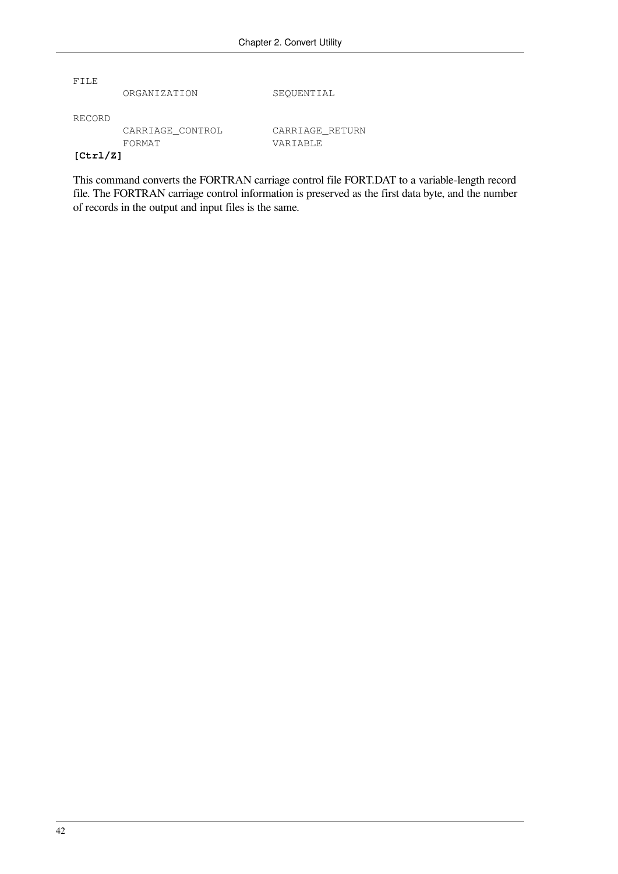FILE

ORGANIZATION SEQUENTIAL

RECORD

 CARRIAGE\_CONTROL CARRIAGE\_RETURN FORMAT VARIABLE

#### **[Ctrl/Z]**

This command converts the FORTRAN carriage control file FORT.DAT to a variable-length record file. The FORTRAN carriage control information is preserved as the first data byte, and the number of records in the output and input files is the same.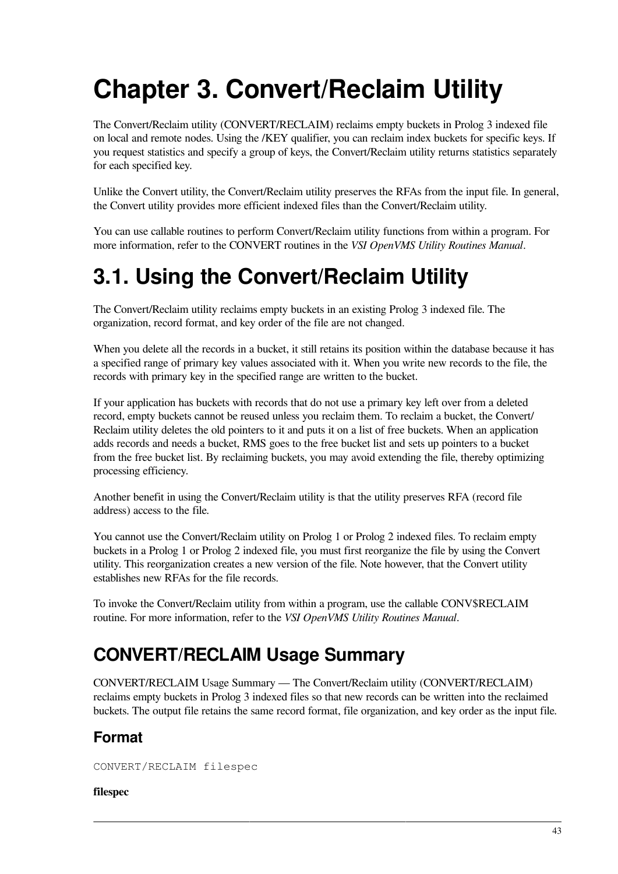# <span id="page-50-0"></span>**Chapter 3. Convert/Reclaim Utility**

The Convert/Reclaim utility (CONVERT/RECLAIM) reclaims empty buckets in Prolog 3 indexed file on local and remote nodes. Using the /KEY qualifier, you can reclaim index buckets for specific keys. If you request statistics and specify a group of keys, the Convert/Reclaim utility returns statistics separately for each specified key.

Unlike the Convert utility, the Convert/Reclaim utility preserves the RFAs from the input file. In general, the Convert utility provides more efficient indexed files than the Convert/Reclaim utility.

You can use callable routines to perform Convert/Reclaim utility functions from within a program. For more information, refer to the CONVERT routines in the *VSI OpenVMS Utility Routines Manual*.

# **3.1. Using the Convert/Reclaim Utility**

The Convert/Reclaim utility reclaims empty buckets in an existing Prolog 3 indexed file. The organization, record format, and key order of the file are not changed.

When you delete all the records in a bucket, it still retains its position within the database because it has a specified range of primary key values associated with it. When you write new records to the file, the records with primary key in the specified range are written to the bucket.

If your application has buckets with records that do not use a primary key left over from a deleted record, empty buckets cannot be reused unless you reclaim them. To reclaim a bucket, the Convert/ Reclaim utility deletes the old pointers to it and puts it on a list of free buckets. When an application adds records and needs a bucket, RMS goes to the free bucket list and sets up pointers to a bucket from the free bucket list. By reclaiming buckets, you may avoid extending the file, thereby optimizing processing efficiency.

Another benefit in using the Convert/Reclaim utility is that the utility preserves RFA (record file address) access to the file.

You cannot use the Convert/Reclaim utility on Prolog 1 or Prolog 2 indexed files. To reclaim empty buckets in a Prolog 1 or Prolog 2 indexed file, you must first reorganize the file by using the Convert utility. This reorganization creates a new version of the file. Note however, that the Convert utility establishes new RFAs for the file records.

To invoke the Convert/Reclaim utility from within a program, use the callable CONV\$RECLAIM routine. For more information, refer to the *VSI OpenVMS Utility Routines Manual*.

## **CONVERT/RECLAIM Usage Summary**

CONVERT/RECLAIM Usage Summary — The Convert/Reclaim utility (CONVERT/RECLAIM) reclaims empty buckets in Prolog 3 indexed files so that new records can be written into the reclaimed buckets. The output file retains the same record format, file organization, and key order as the input file.

## **Format**

CONVERT/RECLAIM filespec

#### **filespec**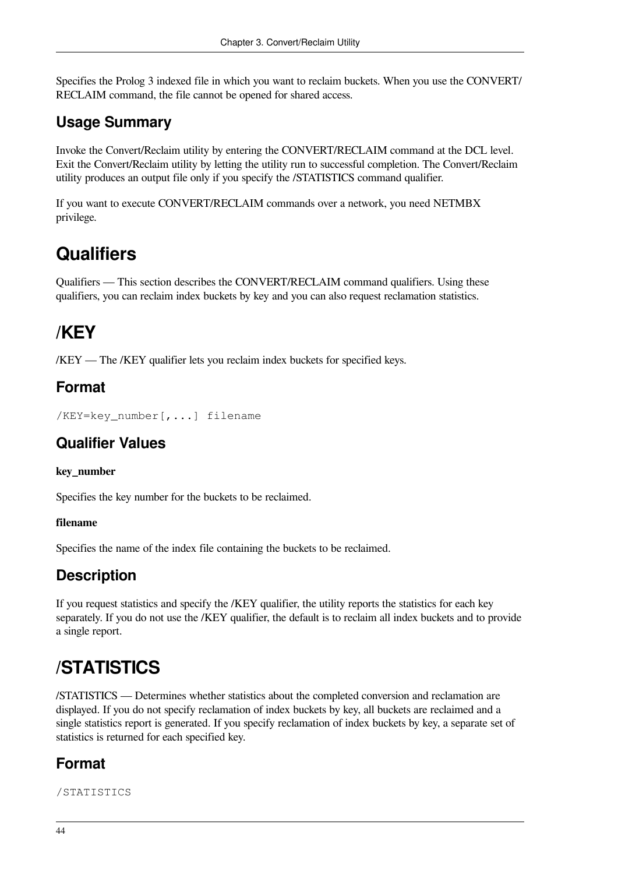Specifies the Prolog 3 indexed file in which you want to reclaim buckets. When you use the CONVERT/ RECLAIM command, the file cannot be opened for shared access.

## **Usage Summary**

Invoke the Convert/Reclaim utility by entering the CONVERT/RECLAIM command at the DCL level. Exit the Convert/Reclaim utility by letting the utility run to successful completion. The Convert/Reclaim utility produces an output file only if you specify the /STATISTICS command qualifier.

If you want to execute CONVERT/RECLAIM commands over a network, you need NETMBX privilege.

## **Qualifiers**

Qualifiers — This section describes the CONVERT/RECLAIM command qualifiers. Using these qualifiers, you can reclaim index buckets by key and you can also request reclamation statistics.

## **/KEY**

/KEY — The /KEY qualifier lets you reclaim index buckets for specified keys.

## **Format**

```
/KEY=key_number[,...] filename
```
## **Qualifier Values**

#### **key\_number**

Specifies the key number for the buckets to be reclaimed.

#### **filename**

Specifies the name of the index file containing the buckets to be reclaimed.

## **Description**

If you request statistics and specify the /KEY qualifier, the utility reports the statistics for each key separately. If you do not use the /KEY qualifier, the default is to reclaim all index buckets and to provide a single report.

## **/STATISTICS**

/STATISTICS — Determines whether statistics about the completed conversion and reclamation are displayed. If you do not specify reclamation of index buckets by key, all buckets are reclaimed and a single statistics report is generated. If you specify reclamation of index buckets by key, a separate set of statistics is returned for each specified key.

## **Format**

/STATISTICS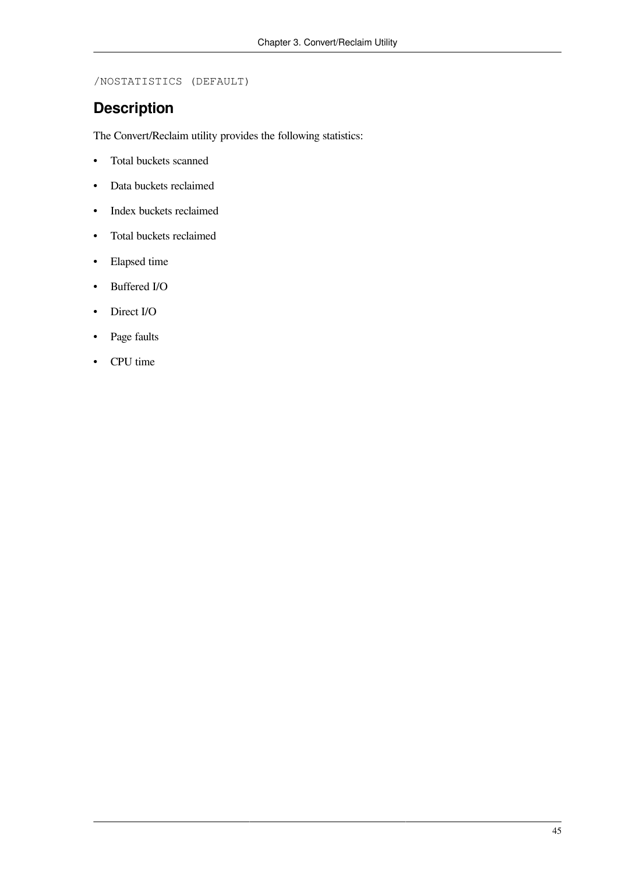/NOSTATISTICS (DEFAULT)

## **Description**

The Convert/Reclaim utility provides the following statistics:

- Total buckets scanned
- Data buckets reclaimed
- Index buckets reclaimed
- Total buckets reclaimed
- Elapsed time
- Buffered I/O
- Direct I/O
- Page faults
- CPU time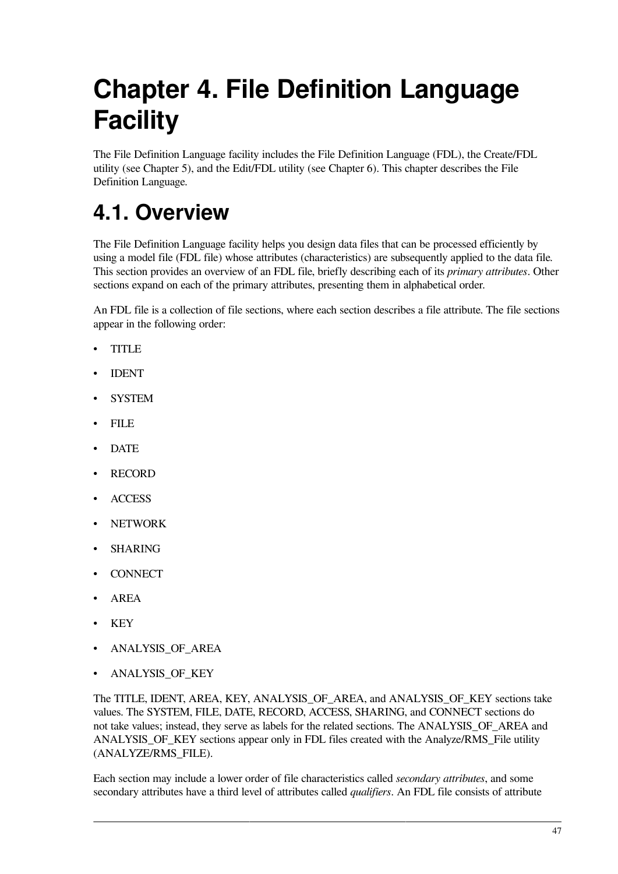# **Chapter 4. File Definition Language Facility**

The File Definition Language facility includes the File Definition Language (FDL), the Create/FDL utility (see [Chapter](#page-94-0) 5), and the Edit/FDL utility (see [Chapter](#page-98-0) 6). This chapter describes the File Definition Language.

# **4.1. Overview**

The File Definition Language facility helps you design data files that can be processed efficiently by using a model file (FDL file) whose attributes (characteristics) are subsequently applied to the data file. This section provides an overview of an FDL file, briefly describing each of its *primary attributes*. Other sections expand on each of the primary attributes, presenting them in alphabetical order.

An FDL file is a collection of file sections, where each section describes a file attribute. The file sections appear in the following order:

- TITLE
- IDENT
- SYSTEM
- FILE
- DATE
- RECORD
- ACCESS
- NETWORK
- **SHARING**
- CONNECT
- AREA
- KEY
- ANALYSIS\_OF\_AREA
- ANALYSIS\_OF\_KEY

The TITLE, IDENT, AREA, KEY, ANALYSIS\_OF\_AREA, and ANALYSIS\_OF\_KEY sections take values. The SYSTEM, FILE, DATE, RECORD, ACCESS, SHARING, and CONNECT sections do not take values; instead, they serve as labels for the related sections. The ANALYSIS\_OF\_AREA and ANALYSIS OF KEY sections appear only in FDL files created with the Analyze/RMS File utility (ANALYZE/RMS\_FILE).

Each section may include a lower order of file characteristics called *secondary attributes*, and some secondary attributes have a third level of attributes called *qualifiers*. An FDL file consists of attribute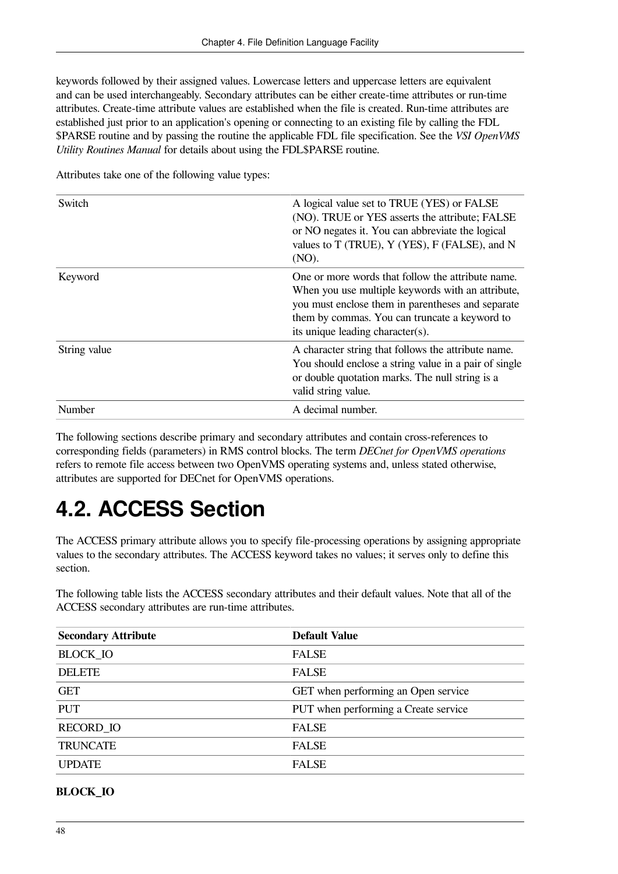keywords followed by their assigned values. Lowercase letters and uppercase letters are equivalent and can be used interchangeably. Secondary attributes can be either create-time attributes or run-time attributes. Create-time attribute values are established when the file is created. Run-time attributes are established just prior to an application's opening or connecting to an existing file by calling the FDL \$PARSE routine and by passing the routine the applicable FDL file specification. See the *VSI OpenVMS Utility Routines Manual* for details about using the FDL\$PARSE routine.

| Switch       | A logical value set to TRUE (YES) or FALSE<br>(NO). TRUE or YES asserts the attribute; FALSE<br>or NO negates it. You can abbreviate the logical<br>values to T (TRUE), Y (YES), F (FALSE), and N<br>(NO).                                       |
|--------------|--------------------------------------------------------------------------------------------------------------------------------------------------------------------------------------------------------------------------------------------------|
| Keyword      | One or more words that follow the attribute name.<br>When you use multiple keywords with an attribute,<br>you must enclose them in parentheses and separate<br>them by commas. You can truncate a keyword to<br>its unique leading character(s). |
| String value | A character string that follows the attribute name.<br>You should enclose a string value in a pair of single<br>or double quotation marks. The null string is a<br>valid string value.                                                           |
| Number       | A decimal number.                                                                                                                                                                                                                                |

Attributes take one of the following value types:

The following sections describe primary and secondary attributes and contain cross-references to corresponding fields (parameters) in RMS control blocks. The term *DECnet for OpenVMS operations* refers to remote file access between two OpenVMS operating systems and, unless stated otherwise, attributes are supported for DECnet for OpenVMS operations.

# **4.2. ACCESS Section**

The ACCESS primary attribute allows you to specify file-processing operations by assigning appropriate values to the secondary attributes. The ACCESS keyword takes no values; it serves only to define this section.

The following table lists the ACCESS secondary attributes and their default values. Note that all of the ACCESS secondary attributes are run-time attributes.

| <b>Secondary Attribute</b> | <b>Default Value</b>                       |  |
|----------------------------|--------------------------------------------|--|
| <b>BLOCK IO</b>            | <b>FALSE</b>                               |  |
| <b>DELETE</b>              | <b>FALSE</b>                               |  |
| <b>GET</b>                 | <b>GET</b> when performing an Open service |  |
| <b>PUT</b>                 | PUT when performing a Create service       |  |
| <b>RECORD IO</b>           | <b>FALSE</b>                               |  |
| <b>TRUNCATE</b>            | <b>FALSE</b>                               |  |
| <b>UPDATE</b>              | <b>FALSE</b>                               |  |

#### **BLOCK\_IO**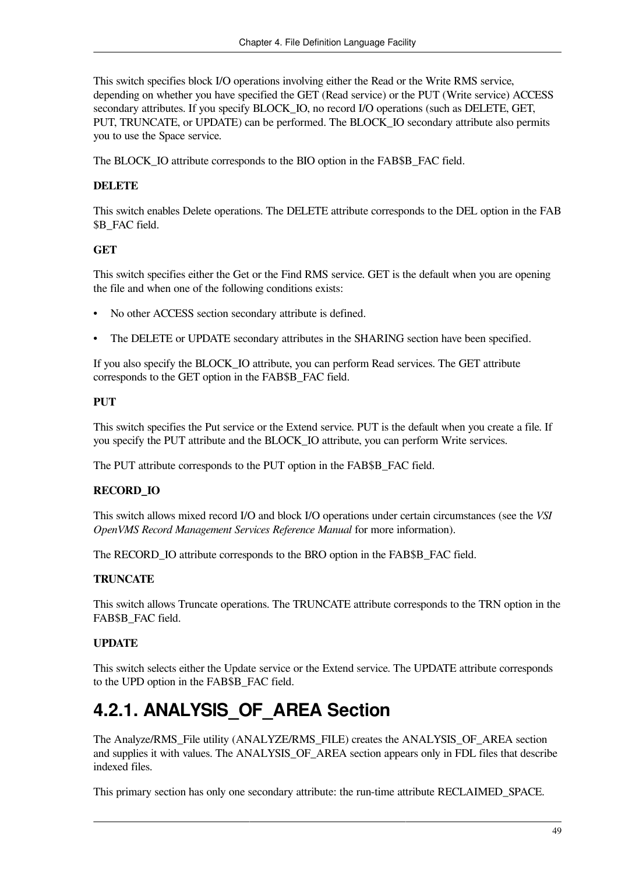This switch specifies block I/O operations involving either the Read or the Write RMS service, depending on whether you have specified the GET (Read service) or the PUT (Write service) ACCESS secondary attributes. If you specify BLOCK IO, no record I/O operations (such as DELETE, GET, PUT, TRUNCATE, or UPDATE) can be performed. The BLOCK\_IO secondary attribute also permits you to use the Space service.

The BLOCK\_IO attribute corresponds to the BIO option in the FAB\$B\_FAC field.

#### **DELETE**

This switch enables Delete operations. The DELETE attribute corresponds to the DEL option in the FAB \$B\_FAC field.

#### **GET**

This switch specifies either the Get or the Find RMS service. GET is the default when you are opening the file and when one of the following conditions exists:

- No other ACCESS section secondary attribute is defined.
- The DELETE or UPDATE secondary attributes in the SHARING section have been specified.

If you also specify the BLOCK\_IO attribute, you can perform Read services. The GET attribute corresponds to the GET option in the FAB\$B\_FAC field.

#### **PUT**

This switch specifies the Put service or the Extend service. PUT is the default when you create a file. If you specify the PUT attribute and the BLOCK\_IO attribute, you can perform Write services.

The PUT attribute corresponds to the PUT option in the FAB\$B\_FAC field.

#### **RECORD\_IO**

This switch allows mixed record I/O and block I/O operations under certain circumstances (see the *VSI OpenVMS Record Management Services Reference Manual* for more information).

The RECORD–IO attribute corresponds to the BRO option in the FAB\$B\_FAC field.

#### **TRUNCATE**

This switch allows Truncate operations. The TRUNCATE attribute corresponds to the TRN option in the FAB\$B\_FAC field.

#### **UPDATE**

This switch selects either the Update service or the Extend service. The UPDATE attribute corresponds to the UPD option in the FAB\$B\_FAC field.

## **4.2.1. ANALYSIS\_OF\_AREA Section**

The Analyze/RMS\_File utility (ANALYZE/RMS\_FILE) creates the ANALYSIS\_OF\_AREA section and supplies it with values. The ANALYSIS\_OF\_AREA section appears only in FDL files that describe indexed files.

This primary section has only one secondary attribute: the run-time attribute RECLAIMED\_SPACE.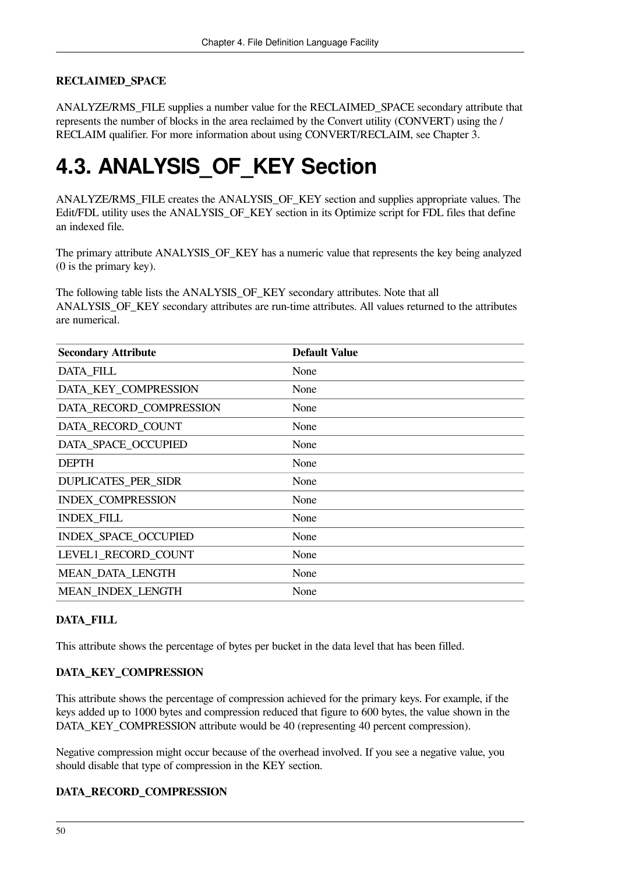#### **RECLAIMED\_SPACE**

ANALYZE/RMS\_FILE supplies a number value for the RECLAIMED\_SPACE secondary attribute that represents the number of blocks in the area reclaimed by the Convert utility (CONVERT) using the / RECLAIM qualifier. For more information about using CONVERT/RECLAIM, see [Chapter](#page-50-0) 3.

# **4.3. ANALYSIS\_OF\_KEY Section**

ANALYZE/RMS\_FILE creates the ANALYSIS\_OF\_KEY section and supplies appropriate values. The Edit/FDL utility uses the ANALYSIS OF KEY section in its Optimize script for FDL files that define an indexed file.

The primary attribute ANALYSIS\_OF\_KEY has a numeric value that represents the key being analyzed (0 is the primary key).

The following table lists the ANALYSIS\_OF\_KEY secondary attributes. Note that all ANALYSIS\_OF\_KEY secondary attributes are run-time attributes. All values returned to the attributes are numerical.

| <b>Secondary Attribute</b>  | <b>Default Value</b> |
|-----------------------------|----------------------|
| <b>DATA FILL</b>            | None                 |
| DATA_KEY_COMPRESSION        | None                 |
| DATA_RECORD_COMPRESSION     | None                 |
| DATA RECORD COUNT           | None                 |
| DATA SPACE OCCUPIED         | None                 |
| <b>DEPTH</b>                | None                 |
| <b>DUPLICATES_PER_SIDR</b>  | None                 |
| <b>INDEX COMPRESSION</b>    | None                 |
| <b>INDEX_FILL</b>           | None                 |
| <b>INDEX SPACE OCCUPIED</b> | None                 |
| LEVEL1 RECORD COUNT         | None                 |
| <b>MEAN DATA LENGTH</b>     | None                 |
| MEAN INDEX LENGTH           | None                 |

#### **DATA\_FILL**

This attribute shows the percentage of bytes per bucket in the data level that has been filled.

#### **DATA\_KEY\_COMPRESSION**

This attribute shows the percentage of compression achieved for the primary keys. For example, if the keys added up to 1000 bytes and compression reduced that figure to 600 bytes, the value shown in the DATA\_KEY\_COMPRESSION attribute would be 40 (representing 40 percent compression).

Negative compression might occur because of the overhead involved. If you see a negative value, you should disable that type of compression in the KEY section.

#### **DATA\_RECORD\_COMPRESSION**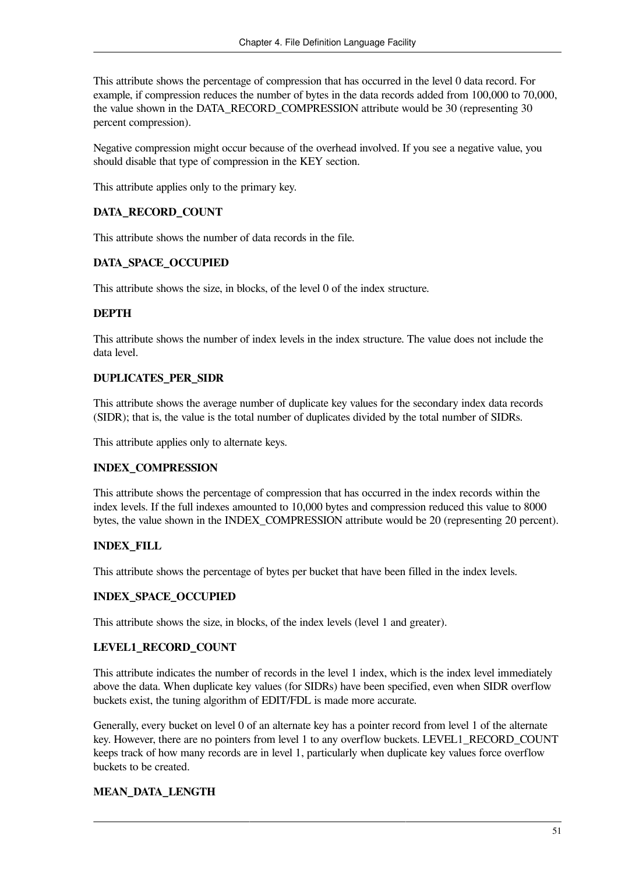This attribute shows the percentage of compression that has occurred in the level 0 data record. For example, if compression reduces the number of bytes in the data records added from 100,000 to 70,000, the value shown in the DATA\_RECORD\_COMPRESSION attribute would be 30 (representing 30 percent compression).

Negative compression might occur because of the overhead involved. If you see a negative value, you should disable that type of compression in the KEY section.

This attribute applies only to the primary key.

#### **DATA\_RECORD\_COUNT**

This attribute shows the number of data records in the file.

#### **DATA\_SPACE\_OCCUPIED**

This attribute shows the size, in blocks, of the level 0 of the index structure.

#### **DEPTH**

This attribute shows the number of index levels in the index structure. The value does not include the data level.

#### **DUPLICATES\_PER\_SIDR**

This attribute shows the average number of duplicate key values for the secondary index data records (SIDR); that is, the value is the total number of duplicates divided by the total number of SIDRs.

This attribute applies only to alternate keys.

#### **INDEX\_COMPRESSION**

This attribute shows the percentage of compression that has occurred in the index records within the index levels. If the full indexes amounted to 10,000 bytes and compression reduced this value to 8000 bytes, the value shown in the INDEX\_COMPRESSION attribute would be 20 (representing 20 percent).

#### **INDEX\_FILL**

This attribute shows the percentage of bytes per bucket that have been filled in the index levels.

#### **INDEX\_SPACE\_OCCUPIED**

This attribute shows the size, in blocks, of the index levels (level 1 and greater).

#### **LEVEL1\_RECORD\_COUNT**

This attribute indicates the number of records in the level 1 index, which is the index level immediately above the data. When duplicate key values (for SIDRs) have been specified, even when SIDR overflow buckets exist, the tuning algorithm of EDIT/FDL is made more accurate.

Generally, every bucket on level 0 of an alternate key has a pointer record from level 1 of the alternate key. However, there are no pointers from level 1 to any overflow buckets. LEVEL1 RECORD COUNT keeps track of how many records are in level 1, particularly when duplicate key values force overflow buckets to be created.

#### **MEAN\_DATA\_LENGTH**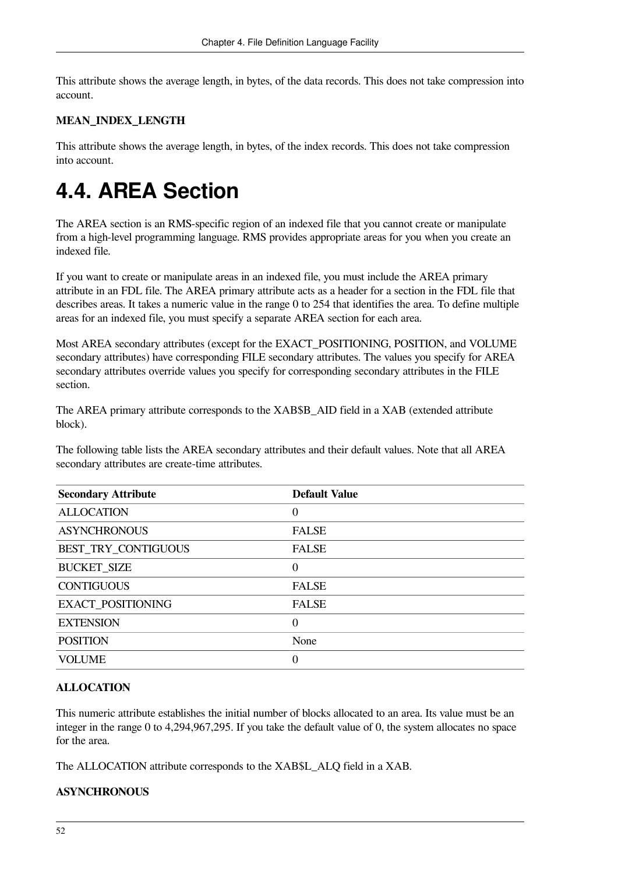This attribute shows the average length, in bytes, of the data records. This does not take compression into account.

#### **MEAN\_INDEX\_LENGTH**

This attribute shows the average length, in bytes, of the index records. This does not take compression into account.

## **4.4. AREA Section**

The AREA section is an RMS-specific region of an indexed file that you cannot create or manipulate from a high-level programming language. RMS provides appropriate areas for you when you create an indexed file.

If you want to create or manipulate areas in an indexed file, you must include the AREA primary attribute in an FDL file. The AREA primary attribute acts as a header for a section in the FDL file that describes areas. It takes a numeric value in the range 0 to 254 that identifies the area. To define multiple areas for an indexed file, you must specify a separate AREA section for each area.

Most AREA secondary attributes (except for the EXACT\_POSITIONING, POSITION, and VOLUME secondary attributes) have corresponding FILE secondary attributes. The values you specify for AREA secondary attributes override values you specify for corresponding secondary attributes in the FILE section.

The AREA primary attribute corresponds to the XAB\$B\_AID field in a XAB (extended attribute block).

The following table lists the AREA secondary attributes and their default values. Note that all AREA secondary attributes are create-time attributes.

| <b>Secondary Attribute</b> | <b>Default Value</b> |
|----------------------------|----------------------|
| <b>ALLOCATION</b>          | $\theta$             |
| <b>ASYNCHRONOUS</b>        | <b>FALSE</b>         |
| BEST_TRY_CONTIGUOUS        | <b>FALSE</b>         |
| <b>BUCKET_SIZE</b>         | $\theta$             |
| <b>CONTIGUOUS</b>          | <b>FALSE</b>         |
| <b>EXACT_POSITIONING</b>   | <b>FALSE</b>         |
| <b>EXTENSION</b>           | 0                    |
| <b>POSITION</b>            | None                 |
| <b>VOLUME</b>              | 0                    |

#### **ALLOCATION**

This numeric attribute establishes the initial number of blocks allocated to an area. Its value must be an integer in the range 0 to 4,294,967,295. If you take the default value of 0, the system allocates no space for the area.

The ALLOCATION attribute corresponds to the XAB\$L\_ALQ field in a XAB.

#### **ASYNCHRONOUS**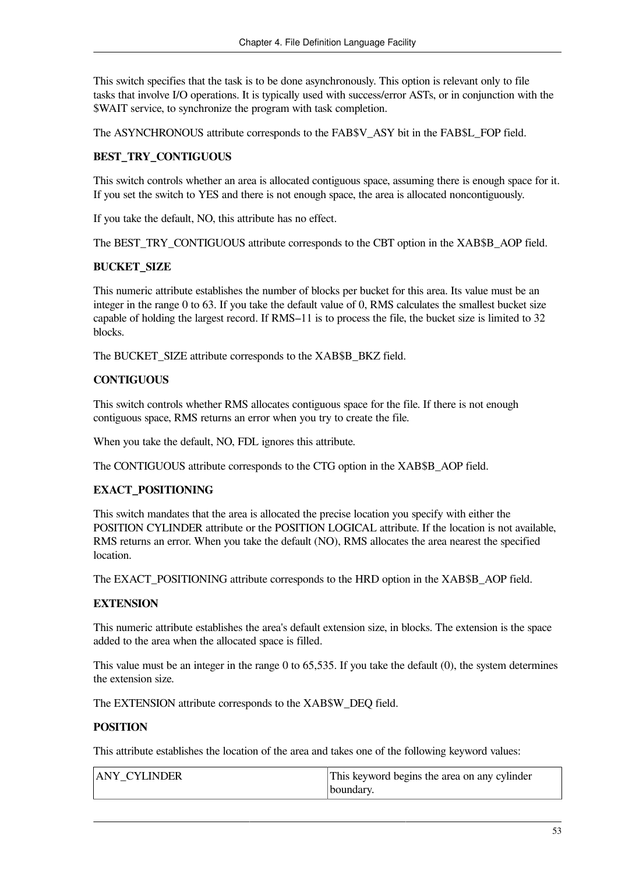This switch specifies that the task is to be done asynchronously. This option is relevant only to file tasks that involve I/O operations. It is typically used with success/error ASTs, or in conjunction with the \$WAIT service, to synchronize the program with task completion.

The ASYNCHRONOUS attribute corresponds to the FAB\$V\_ASY bit in the FAB\$L\_FOP field.

#### **BEST\_TRY\_CONTIGUOUS**

This switch controls whether an area is allocated contiguous space, assuming there is enough space for it. If you set the switch to YES and there is not enough space, the area is allocated noncontiguously.

If you take the default, NO, this attribute has no effect.

The BEST\_TRY\_CONTIGUOUS attribute corresponds to the CBT option in the XAB\$B\_AOP field.

#### **BUCKET\_SIZE**

This numeric attribute establishes the number of blocks per bucket for this area. Its value must be an integer in the range 0 to 63. If you take the default value of 0, RMS calculates the smallest bucket size capable of holding the largest record. If RMS–11 is to process the file, the bucket size is limited to 32 blocks.

The BUCKET\_SIZE attribute corresponds to the XAB\$B\_BKZ field.

#### **CONTIGUOUS**

This switch controls whether RMS allocates contiguous space for the file. If there is not enough contiguous space, RMS returns an error when you try to create the file.

When you take the default, NO, FDL ignores this attribute.

The CONTIGUOUS attribute corresponds to the CTG option in the XAB\$B\_AOP field.

#### **EXACT\_POSITIONING**

This switch mandates that the area is allocated the precise location you specify with either the POSITION CYLINDER attribute or the POSITION LOGICAL attribute. If the location is not available, RMS returns an error. When you take the default (NO), RMS allocates the area nearest the specified **location** 

The EXACT\_POSITIONING attribute corresponds to the HRD option in the XAB\$B\_AOP field.

#### **EXTENSION**

This numeric attribute establishes the area's default extension size, in blocks. The extension is the space added to the area when the allocated space is filled.

This value must be an integer in the range 0 to 65,535. If you take the default (0), the system determines the extension size.

The EXTENSION attribute corresponds to the XAB\$W\_DEQ field.

#### **POSITION**

This attribute establishes the location of the area and takes one of the following keyword values:

| <b>ANY CYLINDER</b> | This keyword begins the area on any cylinder |
|---------------------|----------------------------------------------|
|                     | boundary.                                    |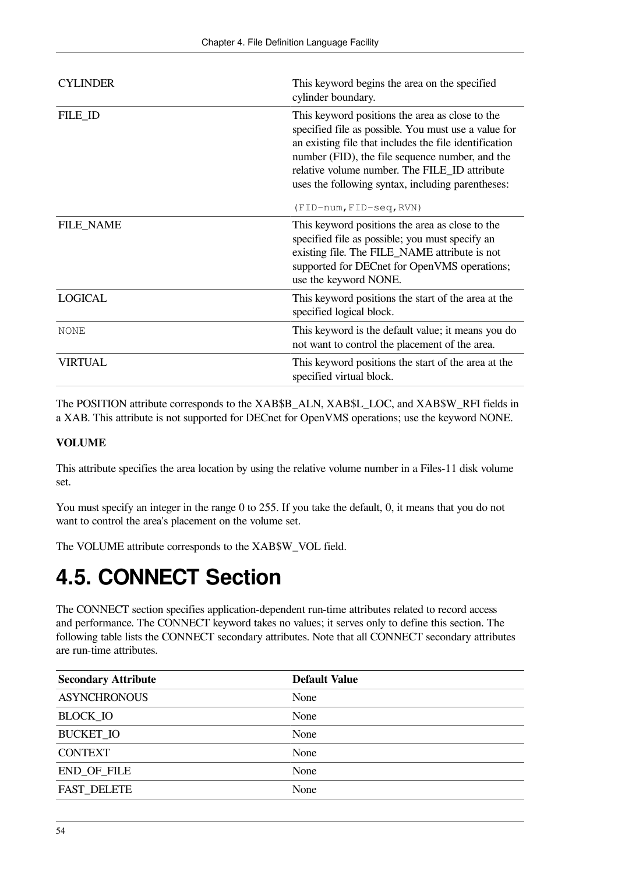| <b>CYLINDER</b>  | This keyword begins the area on the specified<br>cylinder boundary.                                                                                                                                                                                                                                                                                   |
|------------------|-------------------------------------------------------------------------------------------------------------------------------------------------------------------------------------------------------------------------------------------------------------------------------------------------------------------------------------------------------|
| FILE_ID          | This keyword positions the area as close to the<br>specified file as possible. You must use a value for<br>an existing file that includes the file identification<br>number (FID), the file sequence number, and the<br>relative volume number. The FILE_ID attribute<br>uses the following syntax, including parentheses:<br>(FID-num, FID-seq, RVN) |
| <b>FILE_NAME</b> | This keyword positions the area as close to the<br>specified file as possible; you must specify an<br>existing file. The FILE_NAME attribute is not<br>supported for DECnet for OpenVMS operations;<br>use the keyword NONE.                                                                                                                          |
| <b>LOGICAL</b>   | This keyword positions the start of the area at the<br>specified logical block.                                                                                                                                                                                                                                                                       |
| <b>NONE</b>      | This keyword is the default value; it means you do<br>not want to control the placement of the area.                                                                                                                                                                                                                                                  |
| <b>VIRTUAL</b>   | This keyword positions the start of the area at the<br>specified virtual block.                                                                                                                                                                                                                                                                       |

The POSITION attribute corresponds to the XAB\$B\_ALN, XAB\$L\_LOC, and XAB\$W\_RFI fields in a XAB. This attribute is not supported for DECnet for OpenVMS operations; use the keyword NONE.

#### **VOLUME**

This attribute specifies the area location by using the relative volume number in a Files-11 disk volume set.

You must specify an integer in the range 0 to 255. If you take the default, 0, it means that you do not want to control the area's placement on the volume set.

The VOLUME attribute corresponds to the XAB\$W\_VOL field.

## **4.5. CONNECT Section**

The CONNECT section specifies application-dependent run-time attributes related to record access and performance. The CONNECT keyword takes no values; it serves only to define this section. The following table lists the CONNECT secondary attributes. Note that all CONNECT secondary attributes are run-time attributes.

| <b>Secondary Attribute</b> | <b>Default Value</b> |
|----------------------------|----------------------|
| <b>ASYNCHRONOUS</b>        | None                 |
| <b>BLOCK_IO</b>            | None                 |
| <b>BUCKET IO</b>           | None                 |
| <b>CONTEXT</b>             | None                 |
| <b>END_OF_FILE</b>         | None                 |
| <b>FAST DELETE</b>         | None                 |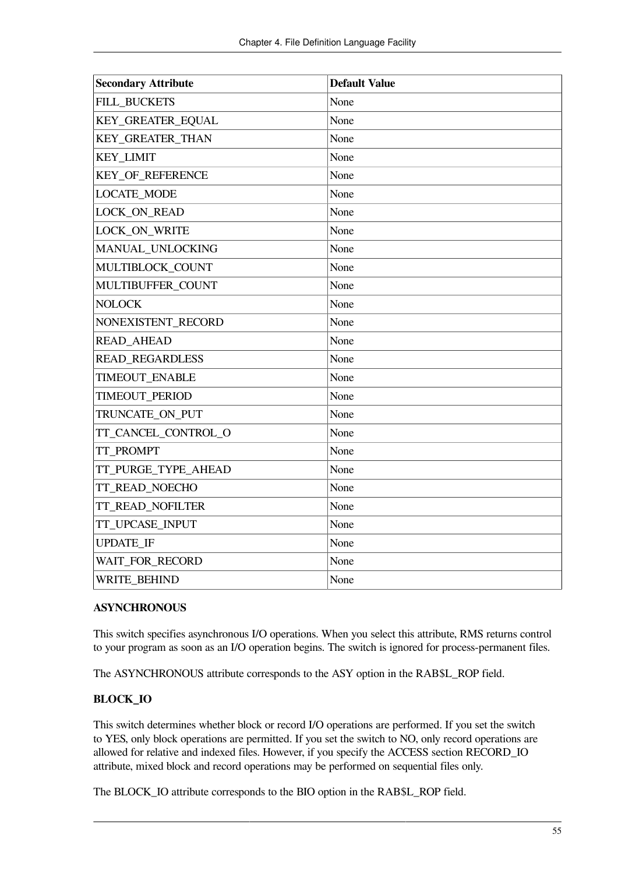| <b>Secondary Attribute</b> | <b>Default Value</b> |
|----------------------------|----------------------|
| FILL_BUCKETS               | None                 |
| KEY_GREATER_EQUAL          | None                 |
| KEY_GREATER_THAN           | None                 |
| <b>KEY_LIMIT</b>           | None                 |
| <b>KEY_OF_REFERENCE</b>    | None                 |
| <b>LOCATE_MODE</b>         | None                 |
| LOCK_ON_READ               | None                 |
| LOCK_ON_WRITE              | None                 |
| MANUAL_UNLOCKING           | None                 |
| MULTIBLOCK_COUNT           | None                 |
| MULTIBUFFER_COUNT          | None                 |
| <b>NOLOCK</b>              | None                 |
| NONEXISTENT_RECORD         | None                 |
| <b>READ_AHEAD</b>          | None                 |
| <b>READ_REGARDLESS</b>     | None                 |
| TIMEOUT_ENABLE             | None                 |
| TIMEOUT_PERIOD             | None                 |
| TRUNCATE_ON_PUT            | None                 |
| TT_CANCEL_CONTROL_O        | None                 |
| TT PROMPT                  | None                 |
| TT_PURGE_TYPE_AHEAD        | None                 |
| TT_READ_NOECHO             | None                 |
| TT_READ_NOFILTER           | None                 |
| TT UPCASE INPUT            | None                 |
| <b>UPDATE_IF</b>           | None                 |
| WAIT_FOR_RECORD            | None                 |
| <b>WRITE BEHIND</b>        | None                 |

#### **ASYNCHRONOUS**

This switch specifies asynchronous I/O operations. When you select this attribute, RMS returns control to your program as soon as an I/O operation begins. The switch is ignored for process-permanent files.

The ASYNCHRONOUS attribute corresponds to the ASY option in the RAB\$L\_ROP field.

#### **BLOCK\_IO**

This switch determines whether block or record I/O operations are performed. If you set the switch to YES, only block operations are permitted. If you set the switch to NO, only record operations are allowed for relative and indexed files. However, if you specify the ACCESS section RECORD\_IO attribute, mixed block and record operations may be performed on sequential files only.

The BLOCK\_IO attribute corresponds to the BIO option in the RAB\$L\_ROP field.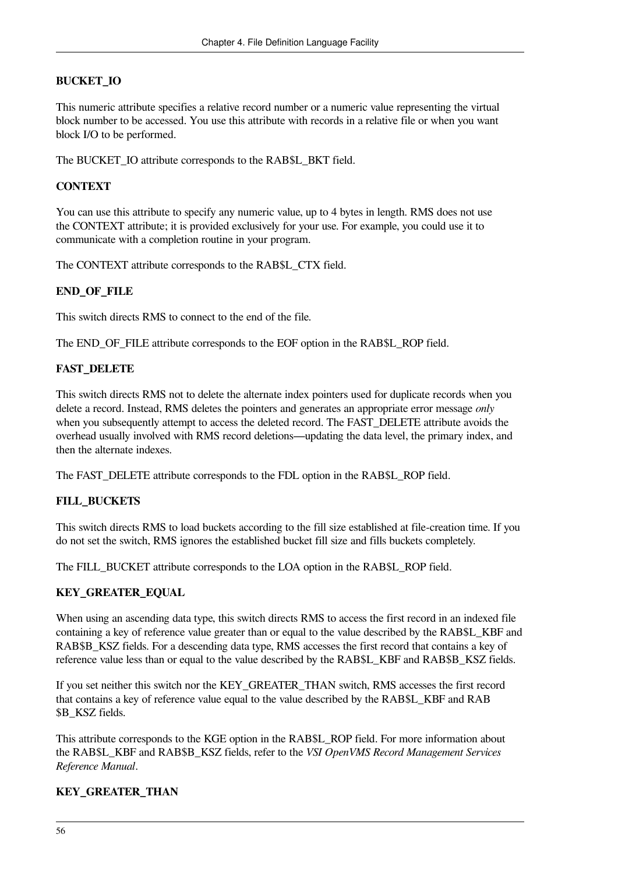#### **BUCKET\_IO**

This numeric attribute specifies a relative record number or a numeric value representing the virtual block number to be accessed. You use this attribute with records in a relative file or when you want block I/O to be performed.

The BUCKET\_IO attribute corresponds to the RAB\$L\_BKT field.

#### **CONTEXT**

You can use this attribute to specify any numeric value, up to 4 bytes in length. RMS does not use the CONTEXT attribute; it is provided exclusively for your use. For example, you could use it to communicate with a completion routine in your program.

The CONTEXT attribute corresponds to the RAB\$L\_CTX field.

#### **END\_OF\_FILE**

This switch directs RMS to connect to the end of the file.

The END\_OF\_FILE attribute corresponds to the EOF option in the RAB\$L\_ROP field.

#### **FAST\_DELETE**

This switch directs RMS not to delete the alternate index pointers used for duplicate records when you delete a record. Instead, RMS deletes the pointers and generates an appropriate error message *only* when you subsequently attempt to access the deleted record. The FAST\_DELETE attribute avoids the overhead usually involved with RMS record deletions—updating the data level, the primary index, and then the alternate indexes.

The FAST\_DELETE attribute corresponds to the FDL option in the RAB\$L\_ROP field.

#### **FILL\_BUCKETS**

This switch directs RMS to load buckets according to the fill size established at file-creation time. If you do not set the switch, RMS ignores the established bucket fill size and fills buckets completely.

The FILL\_BUCKET attribute corresponds to the LOA option in the RAB\$L\_ROP field.

#### **KEY\_GREATER\_EQUAL**

When using an ascending data type, this switch directs RMS to access the first record in an indexed file containing a key of reference value greater than or equal to the value described by the RAB\$L\_KBF and RAB\$B\_KSZ fields. For a descending data type, RMS accesses the first record that contains a key of reference value less than or equal to the value described by the RAB\$L\_KBF and RAB\$B\_KSZ fields.

If you set neither this switch nor the KEY\_GREATER\_THAN switch, RMS accesses the first record that contains a key of reference value equal to the value described by the RAB\$L\_KBF and RAB \$B\_KSZ fields.

This attribute corresponds to the KGE option in the RAB\$L\_ROP field. For more information about the RAB\$L\_KBF and RAB\$B\_KSZ fields, refer to the *VSI OpenVMS Record Management Services Reference Manual*.

#### **KEY\_GREATER\_THAN**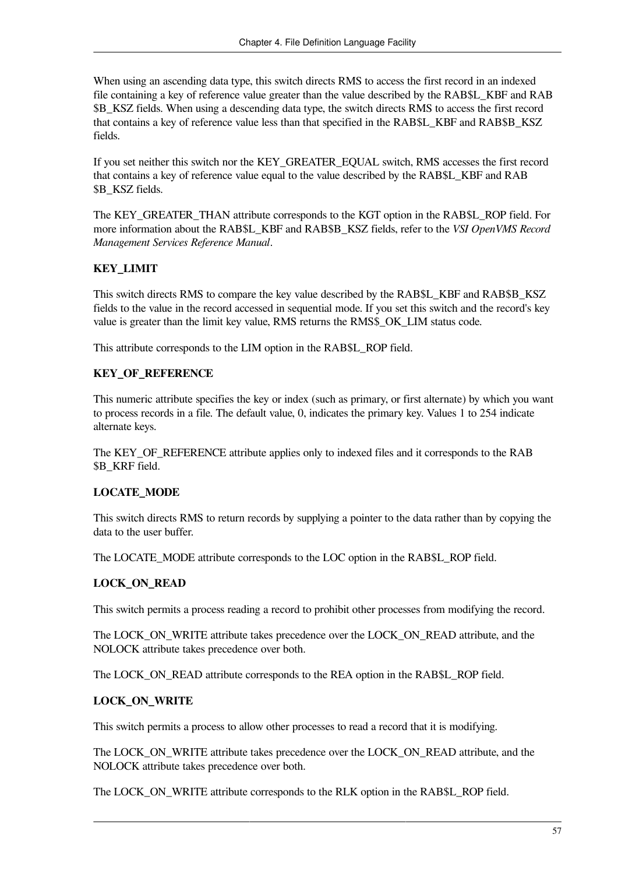When using an ascending data type, this switch directs RMS to access the first record in an indexed file containing a key of reference value greater than the value described by the RAB\$L\_KBF and RAB \$B\_KSZ fields. When using a descending data type, the switch directs RMS to access the first record that contains a key of reference value less than that specified in the RAB\$L\_KBF and RAB\$B\_KSZ fields.

If you set neither this switch nor the KEY\_GREATER\_EQUAL switch, RMS accesses the first record that contains a key of reference value equal to the value described by the RAB\$L\_KBF and RAB \$B\_KSZ fields.

The KEY\_GREATER\_THAN attribute corresponds to the KGT option in the RAB\$L\_ROP field. For more information about the RAB\$L\_KBF and RAB\$B\_KSZ fields, refer to the *VSI OpenVMS Record Management Services Reference Manual*.

#### **KEY\_LIMIT**

This switch directs RMS to compare the key value described by the RAB\$L\_KBF and RAB\$B\_KSZ fields to the value in the record accessed in sequential mode. If you set this switch and the record's key value is greater than the limit key value, RMS returns the RMS\$\_OK\_LIM status code.

This attribute corresponds to the LIM option in the RAB\$L\_ROP field.

#### **KEY\_OF\_REFERENCE**

This numeric attribute specifies the key or index (such as primary, or first alternate) by which you want to process records in a file. The default value, 0, indicates the primary key. Values 1 to 254 indicate alternate keys.

The KEY\_OF\_REFERENCE attribute applies only to indexed files and it corresponds to the RAB \$B\_KRF field.

#### **LOCATE\_MODE**

This switch directs RMS to return records by supplying a pointer to the data rather than by copying the data to the user buffer.

The LOCATE\_MODE attribute corresponds to the LOC option in the RAB\$L\_ROP field.

#### **LOCK\_ON\_READ**

This switch permits a process reading a record to prohibit other processes from modifying the record.

The LOCK\_ON\_WRITE attribute takes precedence over the LOCK\_ON\_READ attribute, and the NOLOCK attribute takes precedence over both.

The LOCK\_ON\_READ attribute corresponds to the REA option in the RAB\$L\_ROP field.

#### **LOCK\_ON\_WRITE**

This switch permits a process to allow other processes to read a record that it is modifying.

The LOCK\_ON\_WRITE attribute takes precedence over the LOCK\_ON\_READ attribute, and the NOLOCK attribute takes precedence over both.

The LOCK ON WRITE attribute corresponds to the RLK option in the RAB\$L\_ROP field.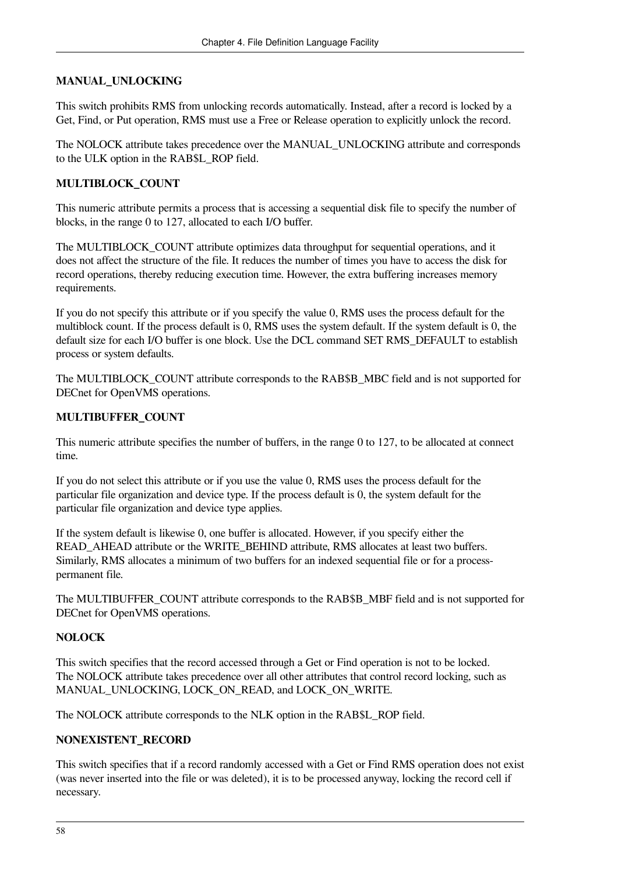#### **MANUAL\_UNLOCKING**

This switch prohibits RMS from unlocking records automatically. Instead, after a record is locked by a Get, Find, or Put operation, RMS must use a Free or Release operation to explicitly unlock the record.

The NOLOCK attribute takes precedence over the MANUAL\_UNLOCKING attribute and corresponds to the ULK option in the RAB\$L\_ROP field.

#### **MULTIBLOCK\_COUNT**

This numeric attribute permits a process that is accessing a sequential disk file to specify the number of blocks, in the range 0 to 127, allocated to each I/O buffer.

The MULTIBLOCK\_COUNT attribute optimizes data throughput for sequential operations, and it does not affect the structure of the file. It reduces the number of times you have to access the disk for record operations, thereby reducing execution time. However, the extra buffering increases memory requirements.

If you do not specify this attribute or if you specify the value 0, RMS uses the process default for the multiblock count. If the process default is 0, RMS uses the system default. If the system default is 0, the default size for each I/O buffer is one block. Use the DCL command SET RMS\_DEFAULT to establish process or system defaults.

The MULTIBLOCK\_COUNT attribute corresponds to the RAB\$B\_MBC field and is not supported for DECnet for OpenVMS operations.

#### **MULTIBUFFER\_COUNT**

This numeric attribute specifies the number of buffers, in the range 0 to 127, to be allocated at connect time.

If you do not select this attribute or if you use the value 0, RMS uses the process default for the particular file organization and device type. If the process default is 0, the system default for the particular file organization and device type applies.

If the system default is likewise 0, one buffer is allocated. However, if you specify either the READ\_AHEAD attribute or the WRITE\_BEHIND attribute, RMS allocates at least two buffers. Similarly, RMS allocates a minimum of two buffers for an indexed sequential file or for a processpermanent file.

The MULTIBUFFER\_COUNT attribute corresponds to the RAB\$B\_MBF field and is not supported for DECnet for OpenVMS operations.

#### **NOLOCK**

This switch specifies that the record accessed through a Get or Find operation is not to be locked. The NOLOCK attribute takes precedence over all other attributes that control record locking, such as MANUAL\_UNLOCKING, LOCK\_ON\_READ, and LOCK\_ON\_WRITE.

The NOLOCK attribute corresponds to the NLK option in the RAB\$L\_ROP field.

#### **NONEXISTENT\_RECORD**

This switch specifies that if a record randomly accessed with a Get or Find RMS operation does not exist (was never inserted into the file or was deleted), it is to be processed anyway, locking the record cell if necessary.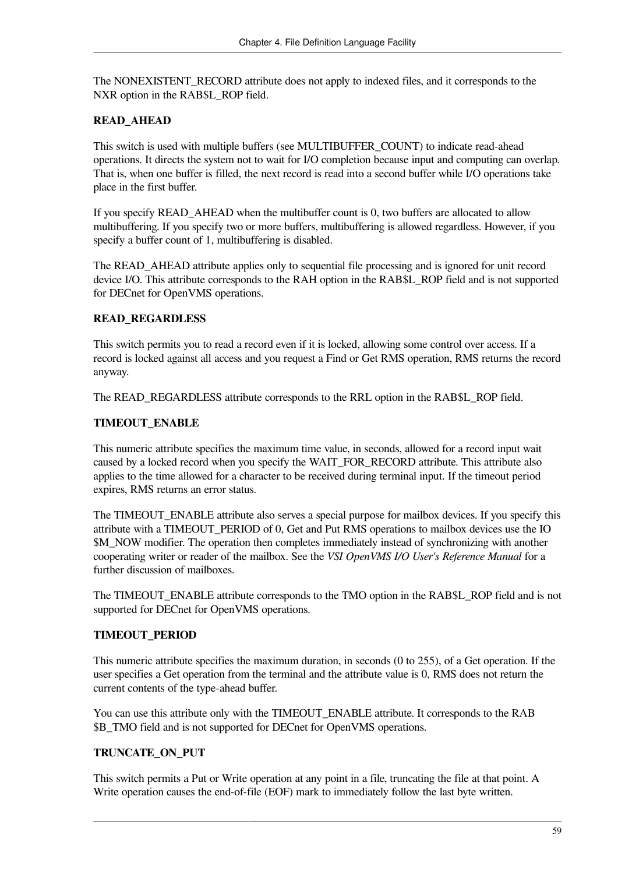The NONEXISTENT\_RECORD attribute does not apply to indexed files, and it corresponds to the NXR option in the RAB\$L\_ROP field.

#### **READ\_AHEAD**

This switch is used with multiple buffers (see MULTIBUFFER\_COUNT) to indicate read-ahead operations. It directs the system not to wait for I/O completion because input and computing can overlap. That is, when one buffer is filled, the next record is read into a second buffer while I/O operations take place in the first buffer.

If you specify READ AHEAD when the multibuffer count is 0, two buffers are allocated to allow multibuffering. If you specify two or more buffers, multibuffering is allowed regardless. However, if you specify a buffer count of 1, multibuffering is disabled.

The READ\_AHEAD attribute applies only to sequential file processing and is ignored for unit record device I/O. This attribute corresponds to the RAH option in the RAB\$L\_ROP field and is not supported for DECnet for OpenVMS operations.

#### **READ\_REGARDLESS**

This switch permits you to read a record even if it is locked, allowing some control over access. If a record is locked against all access and you request a Find or Get RMS operation, RMS returns the record anyway.

The READ\_REGARDLESS attribute corresponds to the RRL option in the RAB\$L\_ROP field.

#### **TIMEOUT\_ENABLE**

This numeric attribute specifies the maximum time value, in seconds, allowed for a record input wait caused by a locked record when you specify the WAIT\_FOR\_RECORD attribute. This attribute also applies to the time allowed for a character to be received during terminal input. If the timeout period expires, RMS returns an error status.

The TIMEOUT ENABLE attribute also serves a special purpose for mailbox devices. If you specify this attribute with a TIMEOUT\_PERIOD of 0, Get and Put RMS operations to mailbox devices use the IO \$M\_NOW modifier. The operation then completes immediately instead of synchronizing with another cooperating writer or reader of the mailbox. See the *VSI OpenVMS I/O User's Reference Manual* for a further discussion of mailboxes.

The TIMEOUT\_ENABLE attribute corresponds to the TMO option in the RAB\$L\_ROP field and is not supported for DECnet for OpenVMS operations.

#### **TIMEOUT\_PERIOD**

This numeric attribute specifies the maximum duration, in seconds (0 to 255), of a Get operation. If the user specifies a Get operation from the terminal and the attribute value is 0, RMS does not return the current contents of the type-ahead buffer.

You can use this attribute only with the TIMEOUT\_ENABLE attribute. It corresponds to the RAB \$B\_TMO field and is not supported for DECnet for OpenVMS operations.

#### **TRUNCATE\_ON\_PUT**

This switch permits a Put or Write operation at any point in a file, truncating the file at that point. A Write operation causes the end-of-file (EOF) mark to immediately follow the last byte written.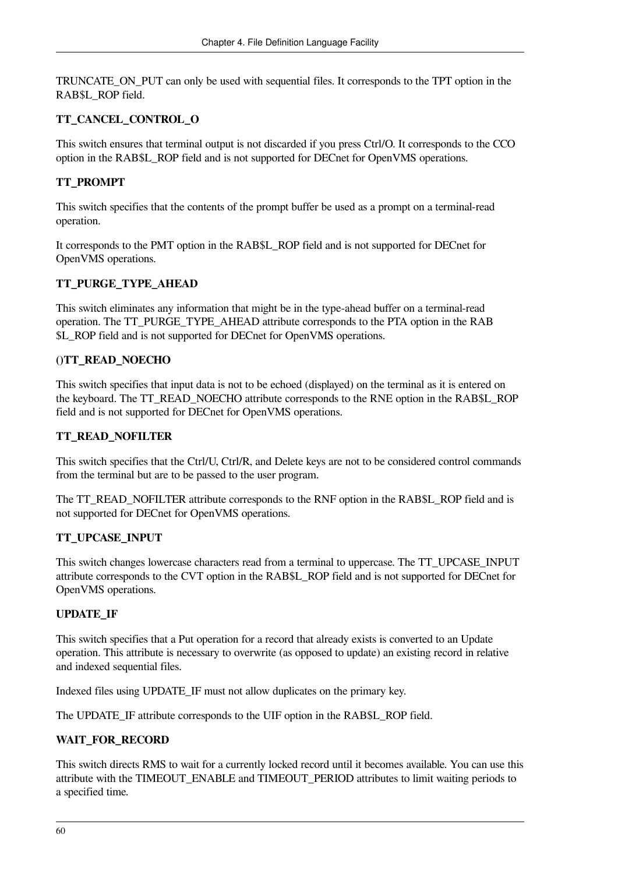TRUNCATE\_ON\_PUT can only be used with sequential files. It corresponds to the TPT option in the RAB\$L\_ROP field.

#### **TT\_CANCEL\_CONTROL\_O**

This switch ensures that terminal output is not discarded if you press Ctrl/O. It corresponds to the CCO option in the RAB\$L\_ROP field and is not supported for DECnet for OpenVMS operations.

#### **TT\_PROMPT**

This switch specifies that the contents of the prompt buffer be used as a prompt on a terminal-read operation.

It corresponds to the PMT option in the RAB\$L\_ROP field and is not supported for DECnet for OpenVMS operations.

#### **TT\_PURGE\_TYPE\_AHEAD**

This switch eliminates any information that might be in the type-ahead buffer on a terminal-read operation. The TT\_PURGE\_TYPE\_AHEAD attribute corresponds to the PTA option in the RAB \$L\_ROP field and is not supported for DECnet for OpenVMS operations.

#### **()TT\_READ\_NOECHO**

This switch specifies that input data is not to be echoed (displayed) on the terminal as it is entered on the keyboard. The TT\_READ\_NOECHO attribute corresponds to the RNE option in the RAB\$L\_ROP field and is not supported for DECnet for OpenVMS operations.

#### **TT\_READ\_NOFILTER**

This switch specifies that the Ctrl/U, Ctrl/R, and Delete keys are not to be considered control commands from the terminal but are to be passed to the user program.

The TT\_READ\_NOFILTER attribute corresponds to the RNF option in the RAB\$L\_ROP field and is not supported for DECnet for OpenVMS operations.

#### **TT\_UPCASE\_INPUT**

This switch changes lowercase characters read from a terminal to uppercase. The TT\_UPCASE\_INPUT attribute corresponds to the CVT option in the RAB\$L\_ROP field and is not supported for DECnet for OpenVMS operations.

#### **UPDATE\_IF**

This switch specifies that a Put operation for a record that already exists is converted to an Update operation. This attribute is necessary to overwrite (as opposed to update) an existing record in relative and indexed sequential files.

Indexed files using UPDATE\_IF must not allow duplicates on the primary key.

The UPDATE\_IF attribute corresponds to the UIF option in the RAB\$L\_ROP field.

#### **WAIT\_FOR\_RECORD**

This switch directs RMS to wait for a currently locked record until it becomes available. You can use this attribute with the TIMEOUT\_ENABLE and TIMEOUT\_PERIOD attributes to limit waiting periods to a specified time.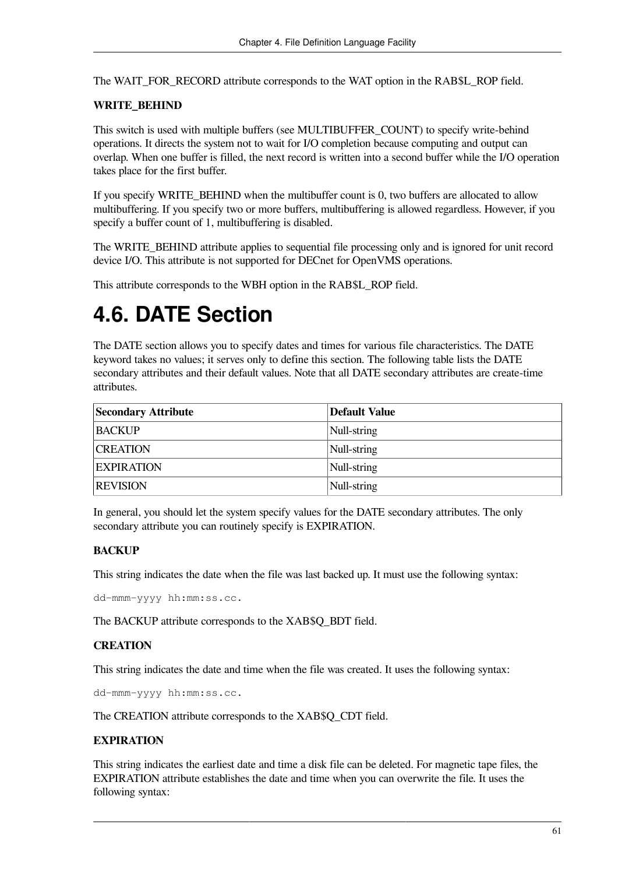The WAIT\_FOR\_RECORD attribute corresponds to the WAT option in the RAB\$L\_ROP field.

#### **WRITE\_BEHIND**

This switch is used with multiple buffers (see MULTIBUFFER\_COUNT) to specify write-behind operations. It directs the system not to wait for I/O completion because computing and output can overlap. When one buffer is filled, the next record is written into a second buffer while the I/O operation takes place for the first buffer.

If you specify WRITE\_BEHIND when the multibuffer count is 0, two buffers are allocated to allow multibuffering. If you specify two or more buffers, multibuffering is allowed regardless. However, if you specify a buffer count of 1, multibuffering is disabled.

The WRITE BEHIND attribute applies to sequential file processing only and is ignored for unit record device I/O. This attribute is not supported for DECnet for OpenVMS operations.

This attribute corresponds to the WBH option in the RAB\$L\_ROP field.

# **4.6. DATE Section**

The DATE section allows you to specify dates and times for various file characteristics. The DATE keyword takes no values; it serves only to define this section. The following table lists the DATE secondary attributes and their default values. Note that all DATE secondary attributes are create-time attributes.

| <b>Secondary Attribute</b> | <b>Default Value</b> |
|----------------------------|----------------------|
| <b>BACKUP</b>              | Null-string          |
| <b>CREATION</b>            | Null-string          |
| <b>EXPIRATION</b>          | Null-string          |
| <b>REVISION</b>            | Null-string          |

In general, you should let the system specify values for the DATE secondary attributes. The only secondary attribute you can routinely specify is EXPIRATION.

#### **BACKUP**

This string indicates the date when the file was last backed up. It must use the following syntax:

dd-mmm-yyyy hh:mm:ss.cc.

The BACKUP attribute corresponds to the XAB\$O\_BDT field.

#### **CREATION**

This string indicates the date and time when the file was created. It uses the following syntax:

dd-mmm-yyyy hh:mm:ss.cc.

The CREATION attribute corresponds to the XAB\$Q\_CDT field.

#### **EXPIRATION**

This string indicates the earliest date and time a disk file can be deleted. For magnetic tape files, the EXPIRATION attribute establishes the date and time when you can overwrite the file. It uses the following syntax: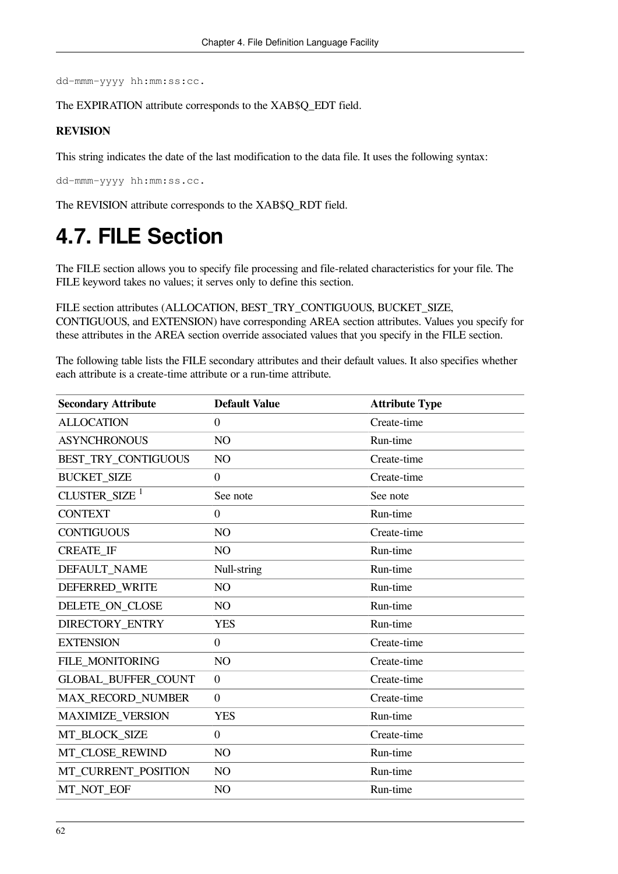dd-mmm-yyyy hh:mm:ss:cc.

The EXPIRATION attribute corresponds to the XAB\$Q\_EDT field.

#### **REVISION**

This string indicates the date of the last modification to the data file. It uses the following syntax:

dd-mmm-yyyy hh:mm:ss.cc.

The REVISION attribute corresponds to the XAB\$Q\_RDT field.

# **4.7. FILE Section**

The FILE section allows you to specify file processing and file-related characteristics for your file. The FILE keyword takes no values; it serves only to define this section.

FILE section attributes (ALLOCATION, BEST\_TRY\_CONTIGUOUS, BUCKET\_SIZE, CONTIGUOUS, and EXTENSION) have corresponding AREA section attributes. Values you specify for these attributes in the AREA section override associated values that you specify in the FILE section.

The following table lists the FILE secondary attributes and their default values. It also specifies whether each attribute is a create-time attribute or a run-time attribute.

| <b>Secondary Attribute</b> | <b>Default Value</b> | <b>Attribute Type</b> |
|----------------------------|----------------------|-----------------------|
| <b>ALLOCATION</b>          | $\theta$             | Create-time           |
| <b>ASYNCHRONOUS</b>        | NO                   | Run-time              |
| BEST TRY CONTIGUOUS        | NO                   | Create-time           |
| <b>BUCKET_SIZE</b>         | $\Omega$             | Create-time           |
| CLUSTER SIZE <sup>1</sup>  | See note             | See note              |
| <b>CONTEXT</b>             | $\theta$             | Run-time              |
| <b>CONTIGUOUS</b>          | NO                   | Create-time           |
| <b>CREATE IF</b>           | NO                   | Run-time              |
| DEFAULT_NAME               | Null-string          | Run-time              |
| DEFERRED WRITE             | NO                   | Run-time              |
| DELETE ON CLOSE            | NO                   | Run-time              |
| DIRECTORY_ENTRY            | <b>YES</b>           | Run-time              |
| <b>EXTENSION</b>           | $\overline{0}$       | Create-time           |
| FILE_MONITORING            | NO                   | Create-time           |
| <b>GLOBAL BUFFER COUNT</b> | $\overline{0}$       | Create-time           |
| MAX_RECORD_NUMBER          | $\overline{0}$       | Create-time           |
| MAXIMIZE_VERSION           | <b>YES</b>           | Run-time              |
| MT_BLOCK_SIZE              | $\overline{0}$       | Create-time           |
| MT_CLOSE_REWIND            | NO                   | Run-time              |
| MT CURRENT POSITION        | NO                   | Run-time              |
| MT NOT EOF                 | NO                   | Run-time              |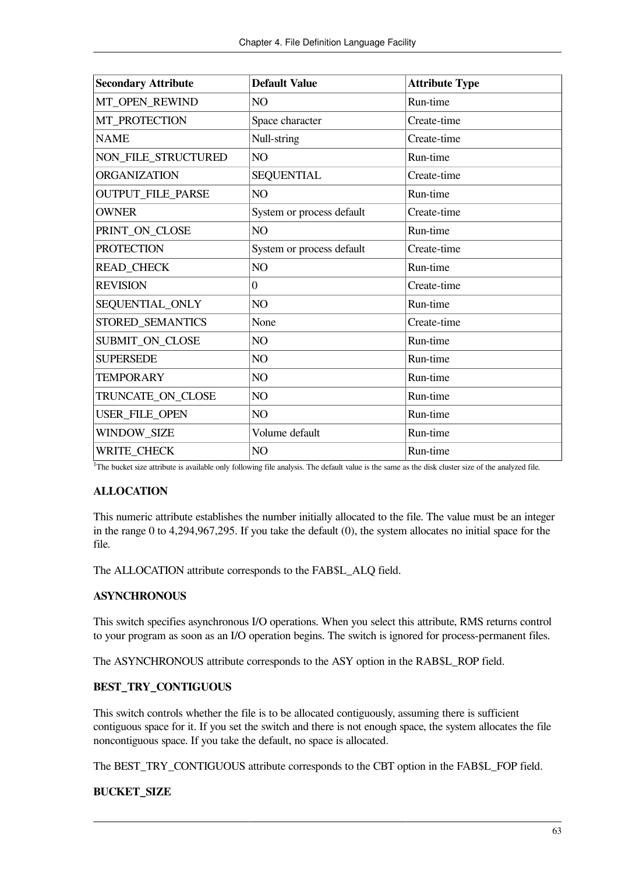| <b>Secondary Attribute</b> | <b>Default Value</b>      | <b>Attribute Type</b> |
|----------------------------|---------------------------|-----------------------|
| MT_OPEN_REWIND             | NO                        | Run-time              |
| MT_PROTECTION              | Space character           | Create-time           |
| <b>NAME</b>                | Null-string               | Create-time           |
| NON_FILE_STRUCTURED        | NO                        | Run-time              |
| <b>ORGANIZATION</b>        | <b>SEQUENTIAL</b>         | Create-time           |
| OUTPUT_FILE_PARSE          | NO                        | Run-time              |
| <b>OWNER</b>               | System or process default | Create-time           |
| PRINT_ON_CLOSE             | NO                        | Run-time              |
| <b>PROTECTION</b>          | System or process default | Create-time           |
| <b>READ_CHECK</b>          | NO                        | Run-time              |
| <b>REVISION</b>            | $\overline{0}$            | Create-time           |
| SEQUENTIAL_ONLY            | NO                        | Run-time              |
| STORED_SEMANTICS           | None                      | Create-time           |
| SUBMIT_ON_CLOSE            | NO                        | Run-time              |
| <b>SUPERSEDE</b>           | NO                        | Run-time              |
| <b>TEMPORARY</b>           | NO                        | Run-time              |
| TRUNCATE_ON_CLOSE          | NO                        | Run-time              |
| USER_FILE_OPEN             | NO                        | Run-time              |
| WINDOW_SIZE                | Volume default            | Run-time              |
| <b>WRITE_CHECK</b>         | NO                        | Run-time              |

<sup>1</sup>The bucket size attribute is available only following file analysis. The default value is the same as the disk cluster size of the analyzed file.

#### **ALLOCATION**

This numeric attribute establishes the number initially allocated to the file. The value must be an integer in the range 0 to 4,294,967,295. If you take the default (0), the system allocates no initial space for the file.

The ALLOCATION attribute corresponds to the FAB\$L\_ALQ field.

#### **ASYNCHRONOUS**

This switch specifies asynchronous I/O operations. When you select this attribute, RMS returns control to your program as soon as an I/O operation begins. The switch is ignored for process-permanent files.

The ASYNCHRONOUS attribute corresponds to the ASY option in the RAB\$L\_ROP field.

#### **BEST\_TRY\_CONTIGUOUS**

This switch controls whether the file is to be allocated contiguously, assuming there is sufficient contiguous space for it. If you set the switch and there is not enough space, the system allocates the file noncontiguous space. If you take the default, no space is allocated.

The BEST\_TRY\_CONTIGUOUS attribute corresponds to the CBT option in the FAB\$L\_FOP field.

#### **BUCKET\_SIZE**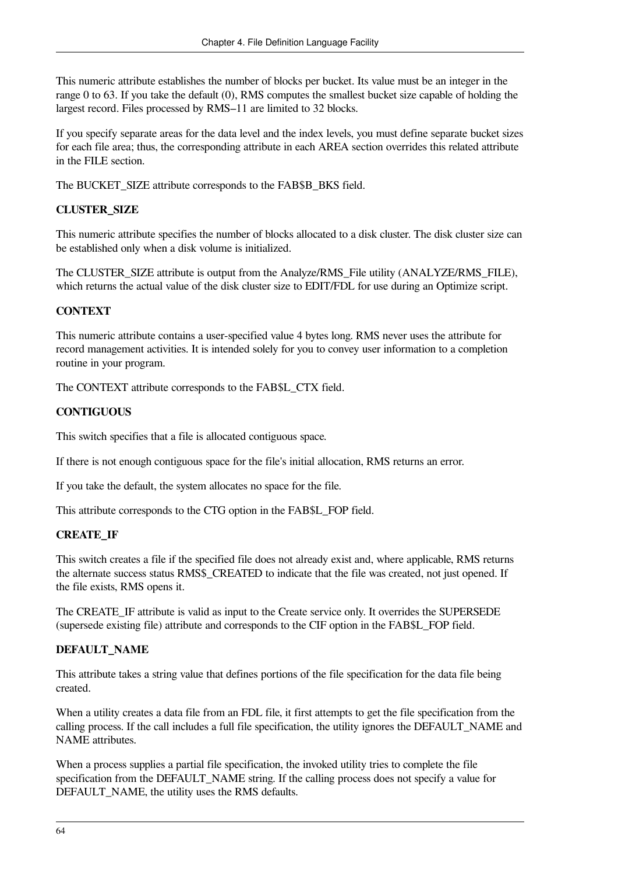This numeric attribute establishes the number of blocks per bucket. Its value must be an integer in the range 0 to 63. If you take the default (0), RMS computes the smallest bucket size capable of holding the largest record. Files processed by RMS–11 are limited to 32 blocks.

If you specify separate areas for the data level and the index levels, you must define separate bucket sizes for each file area; thus, the corresponding attribute in each AREA section overrides this related attribute in the FILE section.

The BUCKET\_SIZE attribute corresponds to the FAB\$B\_BKS field.

#### **CLUSTER\_SIZE**

This numeric attribute specifies the number of blocks allocated to a disk cluster. The disk cluster size can be established only when a disk volume is initialized.

The CLUSTER\_SIZE attribute is output from the Analyze/RMS\_File utility (ANALYZE/RMS\_FILE), which returns the actual value of the disk cluster size to EDIT/FDL for use during an Optimize script.

#### **CONTEXT**

This numeric attribute contains a user-specified value 4 bytes long. RMS never uses the attribute for record management activities. It is intended solely for you to convey user information to a completion routine in your program.

The CONTEXT attribute corresponds to the FAB\$L\_CTX field.

#### **CONTIGUOUS**

This switch specifies that a file is allocated contiguous space.

If there is not enough contiguous space for the file's initial allocation, RMS returns an error.

If you take the default, the system allocates no space for the file.

This attribute corresponds to the CTG option in the FAB\$L\_FOP field.

#### **CREATE\_IF**

This switch creates a file if the specified file does not already exist and, where applicable, RMS returns the alternate success status RMS\$\_CREATED to indicate that the file was created, not just opened. If the file exists, RMS opens it.

The CREATE\_IF attribute is valid as input to the Create service only. It overrides the SUPERSEDE (supersede existing file) attribute and corresponds to the CIF option in the FAB\$L\_FOP field.

#### **DEFAULT\_NAME**

This attribute takes a string value that defines portions of the file specification for the data file being created.

When a utility creates a data file from an FDL file, it first attempts to get the file specification from the calling process. If the call includes a full file specification, the utility ignores the DEFAULT\_NAME and NAME attributes.

When a process supplies a partial file specification, the invoked utility tries to complete the file specification from the DEFAULT\_NAME string. If the calling process does not specify a value for DEFAULT\_NAME, the utility uses the RMS defaults.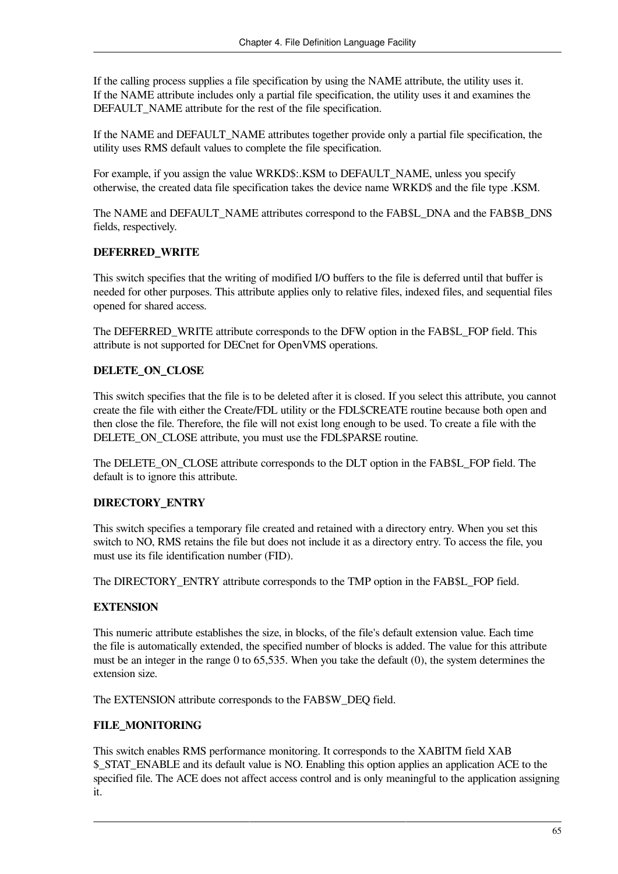If the calling process supplies a file specification by using the NAME attribute, the utility uses it. If the NAME attribute includes only a partial file specification, the utility uses it and examines the DEFAULT\_NAME attribute for the rest of the file specification.

If the NAME and DEFAULT\_NAME attributes together provide only a partial file specification, the utility uses RMS default values to complete the file specification.

For example, if you assign the value WRKD\$:.KSM to DEFAULT\_NAME, unless you specify otherwise, the created data file specification takes the device name WRKD\$ and the file type .KSM.

The NAME and DEFAULT\_NAME attributes correspond to the FAB\$L\_DNA and the FAB\$B\_DNS fields, respectively.

### **DEFERRED\_WRITE**

This switch specifies that the writing of modified I/O buffers to the file is deferred until that buffer is needed for other purposes. This attribute applies only to relative files, indexed files, and sequential files opened for shared access.

The DEFERRED WRITE attribute corresponds to the DFW option in the FAB\$L\_FOP field. This attribute is not supported for DECnet for OpenVMS operations.

### **DELETE\_ON\_CLOSE**

This switch specifies that the file is to be deleted after it is closed. If you select this attribute, you cannot create the file with either the Create/FDL utility or the FDL\$CREATE routine because both open and then close the file. Therefore, the file will not exist long enough to be used. To create a file with the DELETE\_ON\_CLOSE attribute, you must use the FDL\$PARSE routine.

The DELETE\_ON\_CLOSE attribute corresponds to the DLT option in the FAB\$L\_FOP field. The default is to ignore this attribute.

### **DIRECTORY\_ENTRY**

This switch specifies a temporary file created and retained with a directory entry. When you set this switch to NO, RMS retains the file but does not include it as a directory entry. To access the file, you must use its file identification number (FID).

The DIRECTORY\_ENTRY attribute corresponds to the TMP option in the FAB\$L\_FOP field.

### **EXTENSION**

This numeric attribute establishes the size, in blocks, of the file's default extension value. Each time the file is automatically extended, the specified number of blocks is added. The value for this attribute must be an integer in the range 0 to 65,535. When you take the default (0), the system determines the extension size.

The EXTENSION attribute corresponds to the FAB\$W\_DEQ field.

### **FILE\_MONITORING**

This switch enables RMS performance monitoring. It corresponds to the XABITM field XAB \$\_STAT\_ENABLE and its default value is NO. Enabling this option applies an application ACE to the specified file. The ACE does not affect access control and is only meaningful to the application assigning it.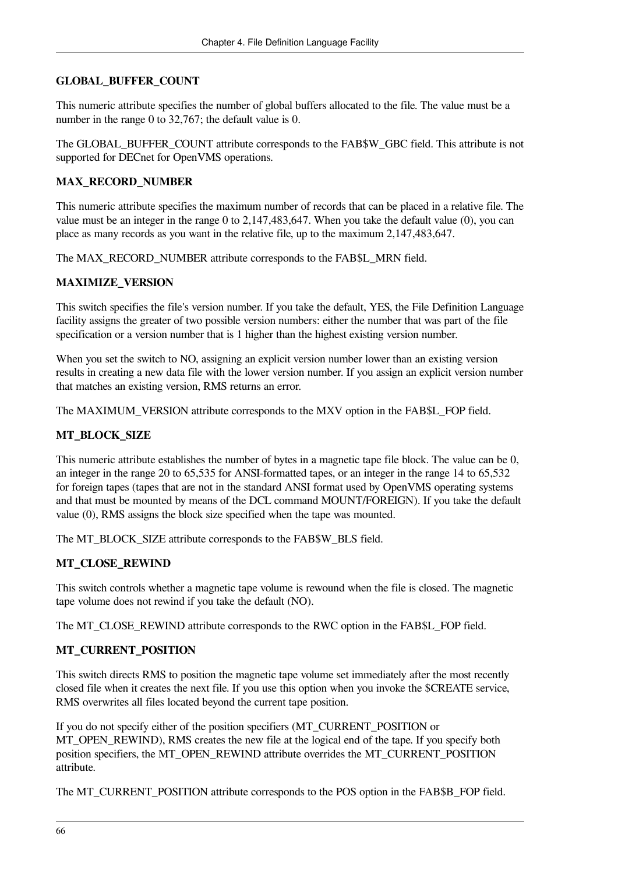### **GLOBAL\_BUFFER\_COUNT**

This numeric attribute specifies the number of global buffers allocated to the file. The value must be a number in the range 0 to 32,767; the default value is 0.

The GLOBAL\_BUFFER\_COUNT attribute corresponds to the FAB\$W\_GBC field. This attribute is not supported for DECnet for OpenVMS operations.

### **MAX\_RECORD\_NUMBER**

This numeric attribute specifies the maximum number of records that can be placed in a relative file. The value must be an integer in the range 0 to 2,147,483,647. When you take the default value (0), you can place as many records as you want in the relative file, up to the maximum 2,147,483,647.

The MAX\_RECORD\_NUMBER attribute corresponds to the FAB\$L\_MRN field.

### **MAXIMIZE\_VERSION**

This switch specifies the file's version number. If you take the default, YES, the File Definition Language facility assigns the greater of two possible version numbers: either the number that was part of the file specification or a version number that is 1 higher than the highest existing version number.

When you set the switch to NO, assigning an explicit version number lower than an existing version results in creating a new data file with the lower version number. If you assign an explicit version number that matches an existing version, RMS returns an error.

The MAXIMUM\_VERSION attribute corresponds to the MXV option in the FAB\$L\_FOP field.

### **MT\_BLOCK\_SIZE**

This numeric attribute establishes the number of bytes in a magnetic tape file block. The value can be 0, an integer in the range 20 to 65,535 for ANSI-formatted tapes, or an integer in the range 14 to 65,532 for foreign tapes (tapes that are not in the standard ANSI format used by OpenVMS operating systems and that must be mounted by means of the DCL command MOUNT/FOREIGN). If you take the default value (0), RMS assigns the block size specified when the tape was mounted.

The MT\_BLOCK\_SIZE attribute corresponds to the FAB\$W\_BLS field.

### **MT\_CLOSE\_REWIND**

This switch controls whether a magnetic tape volume is rewound when the file is closed. The magnetic tape volume does not rewind if you take the default (NO).

The MT\_CLOSE\_REWIND attribute corresponds to the RWC option in the FAB\$L\_FOP field.

### **MT\_CURRENT\_POSITION**

This switch directs RMS to position the magnetic tape volume set immediately after the most recently closed file when it creates the next file. If you use this option when you invoke the \$CREATE service, RMS overwrites all files located beyond the current tape position.

If you do not specify either of the position specifiers (MT\_CURRENT\_POSITION or MT\_OPEN\_REWIND), RMS creates the new file at the logical end of the tape. If you specify both position specifiers, the MT\_OPEN\_REWIND attribute overrides the MT\_CURRENT\_POSITION attribute.

The MT\_CURRENT\_POSITION attribute corresponds to the POS option in the FAB\$B\_FOP field.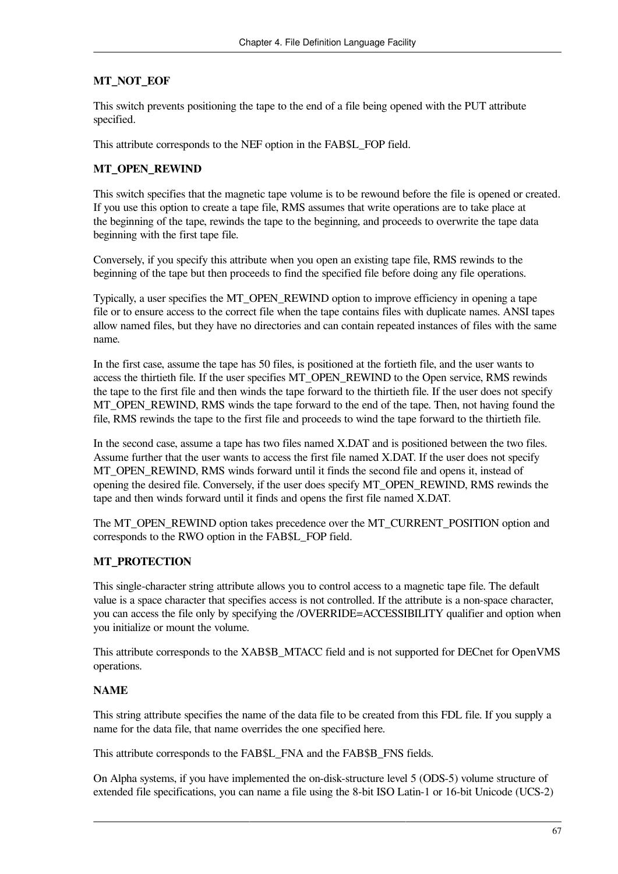### **MT\_NOT\_EOF**

This switch prevents positioning the tape to the end of a file being opened with the PUT attribute specified.

This attribute corresponds to the NEF option in the FAB\$L\_FOP field.

### **MT\_OPEN\_REWIND**

This switch specifies that the magnetic tape volume is to be rewound before the file is opened or created. If you use this option to create a tape file, RMS assumes that write operations are to take place at the beginning of the tape, rewinds the tape to the beginning, and proceeds to overwrite the tape data beginning with the first tape file.

Conversely, if you specify this attribute when you open an existing tape file, RMS rewinds to the beginning of the tape but then proceeds to find the specified file before doing any file operations.

Typically, a user specifies the MT\_OPEN\_REWIND option to improve efficiency in opening a tape file or to ensure access to the correct file when the tape contains files with duplicate names. ANSI tapes allow named files, but they have no directories and can contain repeated instances of files with the same name.

In the first case, assume the tape has 50 files, is positioned at the fortieth file, and the user wants to access the thirtieth file. If the user specifies MT\_OPEN\_REWIND to the Open service, RMS rewinds the tape to the first file and then winds the tape forward to the thirtieth file. If the user does not specify MT\_OPEN\_REWIND, RMS winds the tape forward to the end of the tape. Then, not having found the file, RMS rewinds the tape to the first file and proceeds to wind the tape forward to the thirtieth file.

In the second case, assume a tape has two files named X.DAT and is positioned between the two files. Assume further that the user wants to access the first file named X.DAT. If the user does not specify MT\_OPEN\_REWIND, RMS winds forward until it finds the second file and opens it, instead of opening the desired file. Conversely, if the user does specify MT\_OPEN\_REWIND, RMS rewinds the tape and then winds forward until it finds and opens the first file named X.DAT.

The MT\_OPEN\_REWIND option takes precedence over the MT\_CURRENT\_POSITION option and corresponds to the RWO option in the FAB\$L\_FOP field.

### **MT\_PROTECTION**

This single-character string attribute allows you to control access to a magnetic tape file. The default value is a space character that specifies access is not controlled. If the attribute is a non-space character, you can access the file only by specifying the /OVERRIDE=ACCESSIBILITY qualifier and option when you initialize or mount the volume.

This attribute corresponds to the XAB\$B\_MTACC field and is not supported for DECnet for OpenVMS operations.

### **NAME**

This string attribute specifies the name of the data file to be created from this FDL file. If you supply a name for the data file, that name overrides the one specified here.

This attribute corresponds to the FAB\$L\_FNA and the FAB\$B\_FNS fields.

On Alpha systems, if you have implemented the on-disk-structure level 5 (ODS-5) volume structure of extended file specifications, you can name a file using the 8-bit ISO Latin-1 or 16-bit Unicode (UCS-2)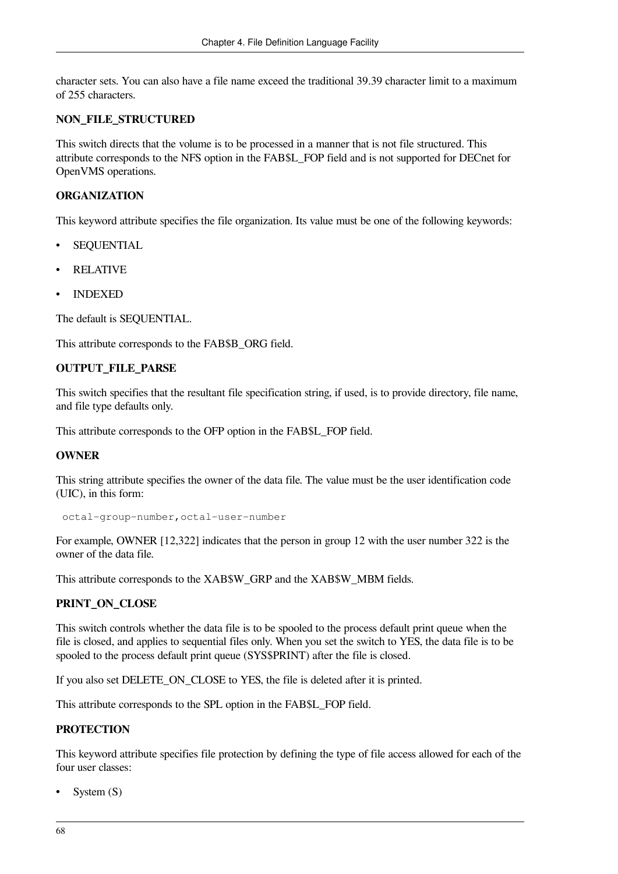character sets. You can also have a file name exceed the traditional 39.39 character limit to a maximum of 255 characters.

#### **NON\_FILE\_STRUCTURED**

This switch directs that the volume is to be processed in a manner that is not file structured. This attribute corresponds to the NFS option in the FAB\$L\_FOP field and is not supported for DECnet for OpenVMS operations.

#### **ORGANIZATION**

This keyword attribute specifies the file organization. Its value must be one of the following keywords:

- **SEQUENTIAL**
- **RELATIVE**
- INDEXED

The default is SEQUENTIAL.

This attribute corresponds to the FAB\$B\_ORG field.

### **OUTPUT\_FILE\_PARSE**

This switch specifies that the resultant file specification string, if used, is to provide directory, file name, and file type defaults only.

This attribute corresponds to the OFP option in the FAB\$L\_FOP field.

#### **OWNER**

This string attribute specifies the owner of the data file. The value must be the user identification code (UIC), in this form:

```
 octal-group-number,octal-user-number
```
For example, OWNER [12,322] indicates that the person in group 12 with the user number 322 is the owner of the data file.

This attribute corresponds to the XAB\$W\_GRP and the XAB\$W\_MBM fields.

### **PRINT\_ON\_CLOSE**

This switch controls whether the data file is to be spooled to the process default print queue when the file is closed, and applies to sequential files only. When you set the switch to YES, the data file is to be spooled to the process default print queue (SYS\$PRINT) after the file is closed.

If you also set DELETE\_ON\_CLOSE to YES, the file is deleted after it is printed.

This attribute corresponds to the SPL option in the FAB\$L\_FOP field.

### **PROTECTION**

This keyword attribute specifies file protection by defining the type of file access allowed for each of the four user classes:

System (S)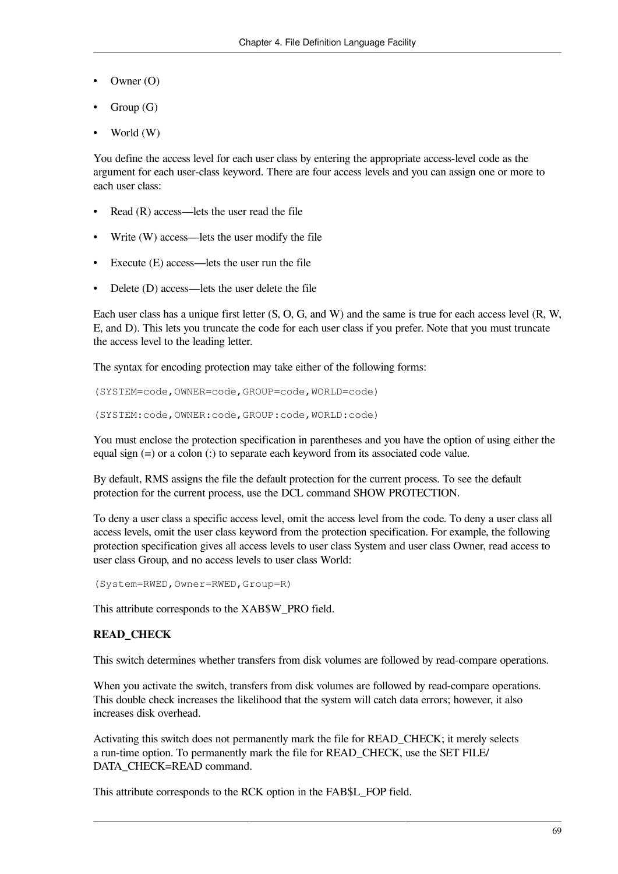- Owner (O)
- Group (G)
- World (W)

You define the access level for each user class by entering the appropriate access-level code as the argument for each user-class keyword. There are four access levels and you can assign one or more to each user class:

- Read (R) access—lets the user read the file
- Write (W) access—lets the user modify the file
- Execute (E) access—lets the user run the file
- Delete (D) access—lets the user delete the file

Each user class has a unique first letter (S, O, G, and W) and the same is true for each access level (R, W, E, and D). This lets you truncate the code for each user class if you prefer. Note that you must truncate the access level to the leading letter.

The syntax for encoding protection may take either of the following forms:

```
(SYSTEM=code,OWNER=code,GROUP=code,WORLD=code)
```

```
(SYSTEM:code,OWNER:code,GROUP:code,WORLD:code)
```
You must enclose the protection specification in parentheses and you have the option of using either the equal sign (=) or a colon (:) to separate each keyword from its associated code value.

By default, RMS assigns the file the default protection for the current process. To see the default protection for the current process, use the DCL command SHOW PROTECTION.

To deny a user class a specific access level, omit the access level from the code. To deny a user class all access levels, omit the user class keyword from the protection specification. For example, the following protection specification gives all access levels to user class System and user class Owner, read access to user class Group, and no access levels to user class World:

(System=RWED,Owner=RWED,Group=R)

This attribute corresponds to the XAB\$W\_PRO field.

### **READ\_CHECK**

This switch determines whether transfers from disk volumes are followed by read-compare operations.

When you activate the switch, transfers from disk volumes are followed by read-compare operations. This double check increases the likelihood that the system will catch data errors; however, it also increases disk overhead.

Activating this switch does not permanently mark the file for READ\_CHECK; it merely selects a run-time option. To permanently mark the file for READ\_CHECK, use the SET FILE/ DATA\_CHECK=READ command.

This attribute corresponds to the RCK option in the FAB\$L\_FOP field.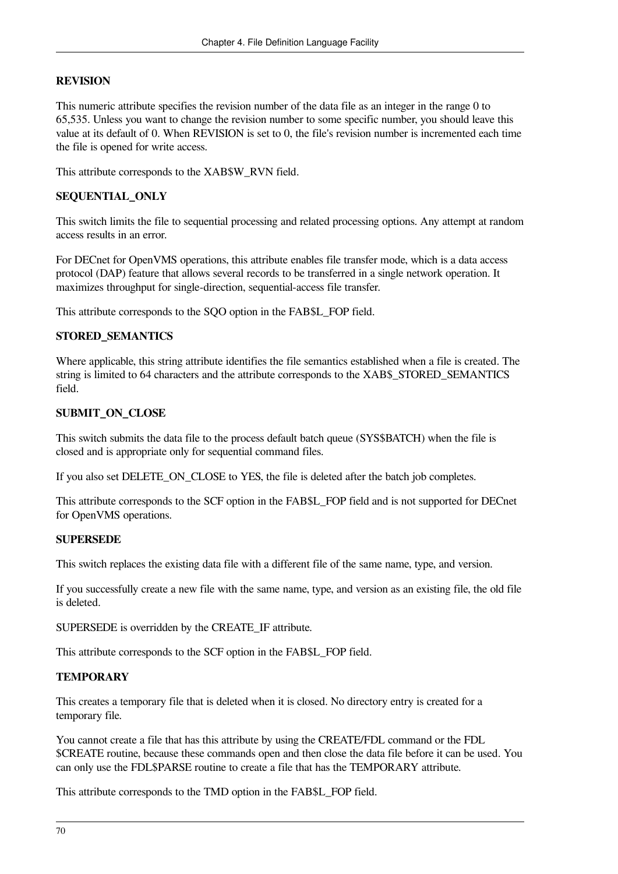### **REVISION**

This numeric attribute specifies the revision number of the data file as an integer in the range 0 to 65,535. Unless you want to change the revision number to some specific number, you should leave this value at its default of 0. When REVISION is set to 0, the file's revision number is incremented each time the file is opened for write access.

This attribute corresponds to the XAB\$W\_RVN field.

### **SEQUENTIAL\_ONLY**

This switch limits the file to sequential processing and related processing options. Any attempt at random access results in an error.

For DECnet for OpenVMS operations, this attribute enables file transfer mode, which is a data access protocol (DAP) feature that allows several records to be transferred in a single network operation. It maximizes throughput for single-direction, sequential-access file transfer.

This attribute corresponds to the SQO option in the FAB\$L\_FOP field.

### **STORED\_SEMANTICS**

Where applicable, this string attribute identifies the file semantics established when a file is created. The string is limited to 64 characters and the attribute corresponds to the XAB\$\_STORED\_SEMANTICS field.

### **SUBMIT\_ON\_CLOSE**

This switch submits the data file to the process default batch queue (SYS\$BATCH) when the file is closed and is appropriate only for sequential command files.

If you also set DELETE\_ON\_CLOSE to YES, the file is deleted after the batch job completes.

This attribute corresponds to the SCF option in the FAB\$L\_FOP field and is not supported for DECnet for OpenVMS operations.

### **SUPERSEDE**

This switch replaces the existing data file with a different file of the same name, type, and version.

If you successfully create a new file with the same name, type, and version as an existing file, the old file is deleted.

SUPERSEDE is overridden by the CREATE\_IF attribute.

This attribute corresponds to the SCF option in the FAB\$L\_FOP field.

### **TEMPORARY**

This creates a temporary file that is deleted when it is closed. No directory entry is created for a temporary file.

You cannot create a file that has this attribute by using the CREATE/FDL command or the FDL \$CREATE routine, because these commands open and then close the data file before it can be used. You can only use the FDL\$PARSE routine to create a file that has the TEMPORARY attribute.

This attribute corresponds to the TMD option in the FAB\$L\_FOP field.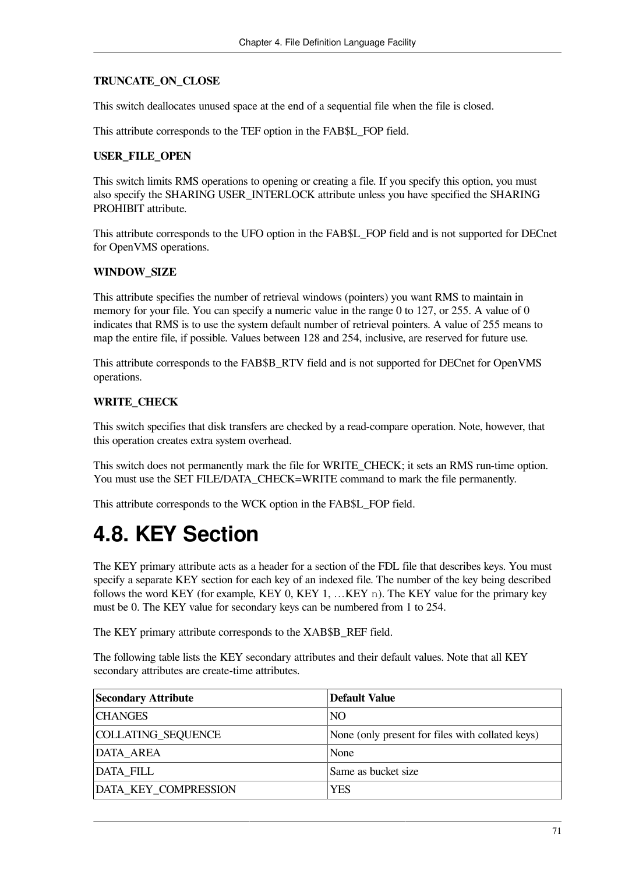### **TRUNCATE\_ON\_CLOSE**

This switch deallocates unused space at the end of a sequential file when the file is closed.

This attribute corresponds to the TEF option in the FAB\$L\_FOP field.

### **USER\_FILE\_OPEN**

This switch limits RMS operations to opening or creating a file. If you specify this option, you must also specify the SHARING USER\_INTERLOCK attribute unless you have specified the SHARING PROHIBIT attribute.

This attribute corresponds to the UFO option in the FAB\$L\_FOP field and is not supported for DECnet for OpenVMS operations.

### **WINDOW\_SIZE**

This attribute specifies the number of retrieval windows (pointers) you want RMS to maintain in memory for your file. You can specify a numeric value in the range 0 to 127, or 255. A value of 0 indicates that RMS is to use the system default number of retrieval pointers. A value of 255 means to map the entire file, if possible. Values between 128 and 254, inclusive, are reserved for future use.

This attribute corresponds to the FAB\$B\_RTV field and is not supported for DECnet for OpenVMS operations.

### **WRITE\_CHECK**

This switch specifies that disk transfers are checked by a read-compare operation. Note, however, that this operation creates extra system overhead.

This switch does not permanently mark the file for WRITE CHECK; it sets an RMS run-time option. You must use the SET FILE/DATA\_CHECK=WRITE command to mark the file permanently.

This attribute corresponds to the WCK option in the FAB\$L\_FOP field.

## **4.8. KEY Section**

The KEY primary attribute acts as a header for a section of the FDL file that describes keys. You must specify a separate KEY section for each key of an indexed file. The number of the key being described follows the word KEY (for example, KEY 0, KEY 1, …KEY n). The KEY value for the primary key must be 0. The KEY value for secondary keys can be numbered from 1 to 254.

The KEY primary attribute corresponds to the XAB\$B\_REF field.

The following table lists the KEY secondary attributes and their default values. Note that all KEY secondary attributes are create-time attributes.

| <b>Secondary Attribute</b> | <b>Default Value</b>                             |
|----------------------------|--------------------------------------------------|
| <b>CHANGES</b>             | NO <sub>1</sub>                                  |
| COLLATING_SEQUENCE         | None (only present for files with collated keys) |
| DATA_AREA                  | None                                             |
| DATA_FILL                  | Same as bucket size                              |
| DATA KEY COMPRESSION       | YES                                              |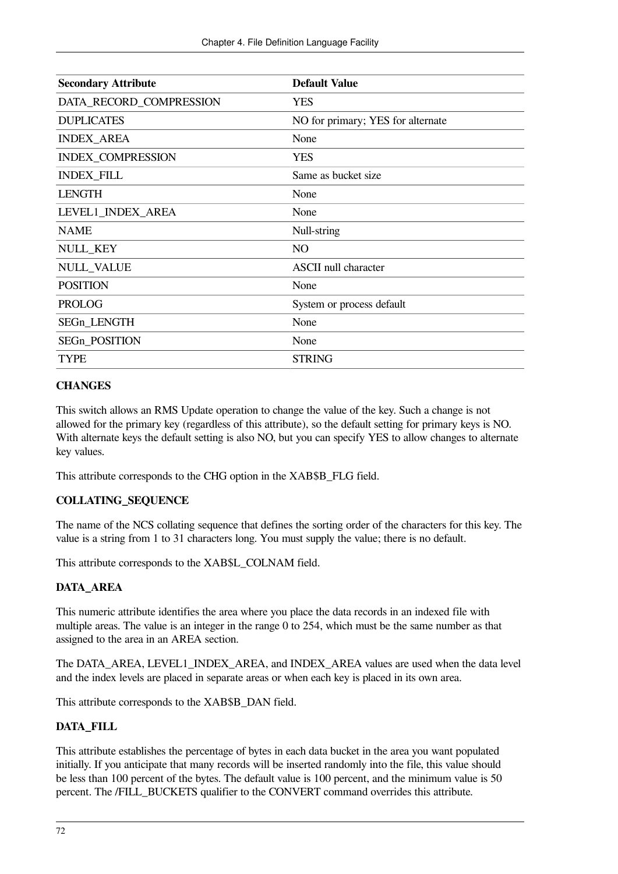| <b>Secondary Attribute</b> | <b>Default Value</b>              |
|----------------------------|-----------------------------------|
| DATA_RECORD_COMPRESSION    | <b>YES</b>                        |
| <b>DUPLICATES</b>          | NO for primary; YES for alternate |
| <b>INDEX_AREA</b>          | None                              |
| INDEX_COMPRESSION          | <b>YES</b>                        |
| <b>INDEX_FILL</b>          | Same as bucket size               |
| <b>LENGTH</b>              | None                              |
| LEVEL1_INDEX_AREA          | None                              |
| <b>NAME</b>                | Null-string                       |
| <b>NULL_KEY</b>            | NO                                |
| <b>NULL_VALUE</b>          | <b>ASCII</b> null character       |
| <b>POSITION</b>            | None                              |
| <b>PROLOG</b>              | System or process default         |
| SEGn_LENGTH                | None                              |
| SEGn_POSITION              | None                              |
| <b>TYPE</b>                | <b>STRING</b>                     |

### **CHANGES**

This switch allows an RMS Update operation to change the value of the key. Such a change is not allowed for the primary key (regardless of this attribute), so the default setting for primary keys is NO. With alternate keys the default setting is also NO, but you can specify YES to allow changes to alternate key values.

This attribute corresponds to the CHG option in the XAB\$B\_FLG field.

### **COLLATING\_SEQUENCE**

The name of the NCS collating sequence that defines the sorting order of the characters for this key. The value is a string from 1 to 31 characters long. You must supply the value; there is no default.

This attribute corresponds to the XAB\$L\_COLNAM field.

### **DATA\_AREA**

This numeric attribute identifies the area where you place the data records in an indexed file with multiple areas. The value is an integer in the range 0 to 254, which must be the same number as that assigned to the area in an AREA section.

The DATA\_AREA, LEVEL1\_INDEX\_AREA, and INDEX\_AREA values are used when the data level and the index levels are placed in separate areas or when each key is placed in its own area.

This attribute corresponds to the XAB\$B\_DAN field.

### **DATA\_FILL**

This attribute establishes the percentage of bytes in each data bucket in the area you want populated initially. If you anticipate that many records will be inserted randomly into the file, this value should be less than 100 percent of the bytes. The default value is 100 percent, and the minimum value is 50 percent. The /FILL\_BUCKETS qualifier to the CONVERT command overrides this attribute.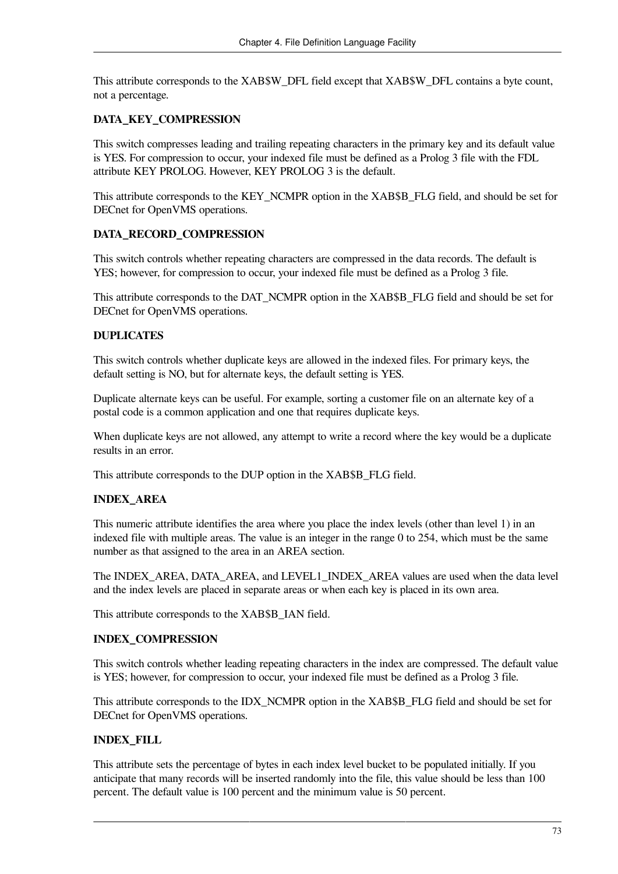This attribute corresponds to the XAB\$W\_DFL field except that XAB\$W\_DFL contains a byte count, not a percentage.

### **DATA\_KEY\_COMPRESSION**

This switch compresses leading and trailing repeating characters in the primary key and its default value is YES. For compression to occur, your indexed file must be defined as a Prolog 3 file with the FDL attribute KEY PROLOG. However, KEY PROLOG 3 is the default.

This attribute corresponds to the KEY\_NCMPR option in the XAB\$B\_FLG field, and should be set for DECnet for OpenVMS operations.

### **DATA\_RECORD\_COMPRESSION**

This switch controls whether repeating characters are compressed in the data records. The default is YES; however, for compression to occur, your indexed file must be defined as a Prolog 3 file.

This attribute corresponds to the DAT\_NCMPR option in the XAB\$B\_FLG field and should be set for DECnet for OpenVMS operations.

### **DUPLICATES**

This switch controls whether duplicate keys are allowed in the indexed files. For primary keys, the default setting is NO, but for alternate keys, the default setting is YES.

Duplicate alternate keys can be useful. For example, sorting a customer file on an alternate key of a postal code is a common application and one that requires duplicate keys.

When duplicate keys are not allowed, any attempt to write a record where the key would be a duplicate results in an error.

This attribute corresponds to the DUP option in the XAB\$B FLG field.

### **INDEX\_AREA**

This numeric attribute identifies the area where you place the index levels (other than level 1) in an indexed file with multiple areas. The value is an integer in the range 0 to 254, which must be the same number as that assigned to the area in an AREA section.

The INDEX\_AREA, DATA\_AREA, and LEVEL1\_INDEX\_AREA values are used when the data level and the index levels are placed in separate areas or when each key is placed in its own area.

This attribute corresponds to the XAB\$B\_IAN field.

### **INDEX\_COMPRESSION**

This switch controls whether leading repeating characters in the index are compressed. The default value is YES; however, for compression to occur, your indexed file must be defined as a Prolog 3 file.

This attribute corresponds to the IDX\_NCMPR option in the XAB\$B\_FLG field and should be set for DECnet for OpenVMS operations.

### **INDEX\_FILL**

This attribute sets the percentage of bytes in each index level bucket to be populated initially. If you anticipate that many records will be inserted randomly into the file, this value should be less than 100 percent. The default value is 100 percent and the minimum value is 50 percent.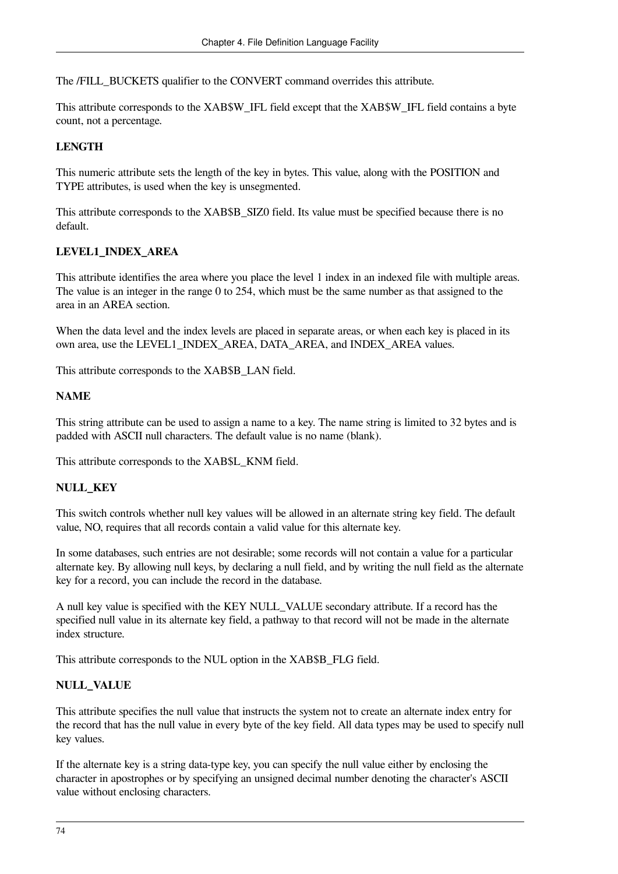The /FILL\_BUCKETS qualifier to the CONVERT command overrides this attribute.

This attribute corresponds to the XAB\$W\_IFL field except that the XAB\$W\_IFL field contains a byte count, not a percentage.

### **LENGTH**

This numeric attribute sets the length of the key in bytes. This value, along with the POSITION and TYPE attributes, is used when the key is unsegmented.

This attribute corresponds to the XAB\$B\_SIZ0 field. Its value must be specified because there is no default.

### **LEVEL1\_INDEX\_AREA**

This attribute identifies the area where you place the level 1 index in an indexed file with multiple areas. The value is an integer in the range 0 to 254, which must be the same number as that assigned to the area in an AREA section.

When the data level and the index levels are placed in separate areas, or when each key is placed in its own area, use the LEVEL1\_INDEX\_AREA, DATA\_AREA, and INDEX\_AREA values.

This attribute corresponds to the XAB\$B\_LAN field.

### **NAME**

This string attribute can be used to assign a name to a key. The name string is limited to 32 bytes and is padded with ASCII null characters. The default value is no name (blank).

This attribute corresponds to the XAB\$L\_KNM field.

### **NULL\_KEY**

This switch controls whether null key values will be allowed in an alternate string key field. The default value, NO, requires that all records contain a valid value for this alternate key.

In some databases, such entries are not desirable; some records will not contain a value for a particular alternate key. By allowing null keys, by declaring a null field, and by writing the null field as the alternate key for a record, you can include the record in the database.

A null key value is specified with the KEY NULL\_VALUE secondary attribute. If a record has the specified null value in its alternate key field, a pathway to that record will not be made in the alternate index structure.

This attribute corresponds to the NUL option in the XAB\$B\_FLG field.

### **NULL\_VALUE**

This attribute specifies the null value that instructs the system not to create an alternate index entry for the record that has the null value in every byte of the key field. All data types may be used to specify null key values.

If the alternate key is a string data-type key, you can specify the null value either by enclosing the character in apostrophes or by specifying an unsigned decimal number denoting the character's ASCII value without enclosing characters.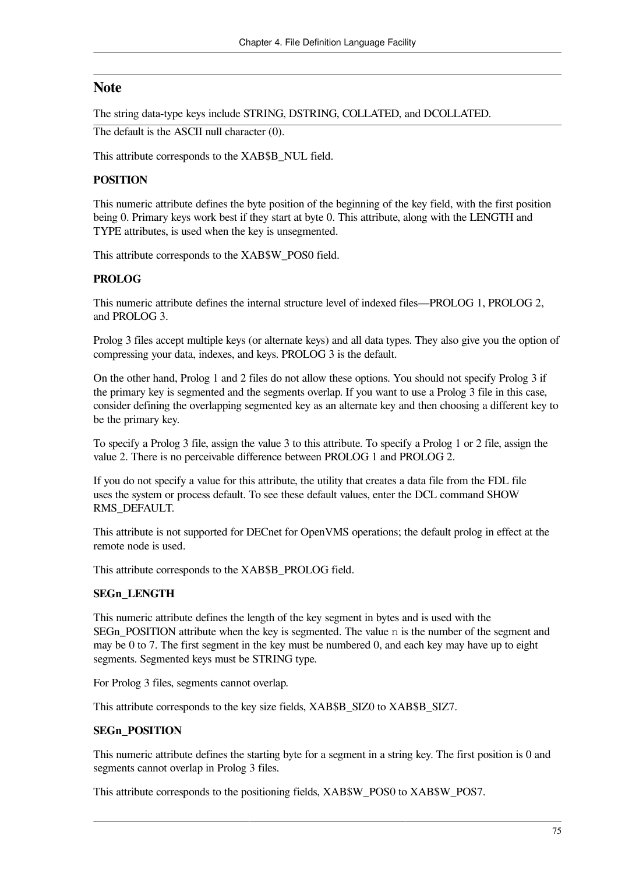### **Note**

The string data-type keys include STRING, DSTRING, COLLATED, and DCOLLATED.

The default is the ASCII null character (0).

This attribute corresponds to the XAB\$B\_NUL field.

### **POSITION**

This numeric attribute defines the byte position of the beginning of the key field, with the first position being 0. Primary keys work best if they start at byte 0. This attribute, along with the LENGTH and TYPE attributes, is used when the key is unsegmented.

This attribute corresponds to the XAB\$W\_POS0 field.

### **PROLOG**

This numeric attribute defines the internal structure level of indexed files—PROLOG 1, PROLOG 2, and PROLOG 3.

Prolog 3 files accept multiple keys (or alternate keys) and all data types. They also give you the option of compressing your data, indexes, and keys. PROLOG 3 is the default.

On the other hand, Prolog 1 and 2 files do not allow these options. You should not specify Prolog 3 if the primary key is segmented and the segments overlap. If you want to use a Prolog 3 file in this case, consider defining the overlapping segmented key as an alternate key and then choosing a different key to be the primary key.

To specify a Prolog 3 file, assign the value 3 to this attribute. To specify a Prolog 1 or 2 file, assign the value 2. There is no perceivable difference between PROLOG 1 and PROLOG 2.

If you do not specify a value for this attribute, the utility that creates a data file from the FDL file uses the system or process default. To see these default values, enter the DCL command SHOW RMS\_DEFAULT.

This attribute is not supported for DECnet for OpenVMS operations; the default prolog in effect at the remote node is used.

This attribute corresponds to the XAB\$B\_PROLOG field.

### **SEGn\_LENGTH**

This numeric attribute defines the length of the key segment in bytes and is used with the SEGn\_POSITION attribute when the key is segmented. The value  $n$  is the number of the segment and may be 0 to 7. The first segment in the key must be numbered 0, and each key may have up to eight segments. Segmented keys must be STRING type.

For Prolog 3 files, segments cannot overlap.

This attribute corresponds to the key size fields, XAB\$B\_SIZ0 to XAB\$B\_SIZ7.

### **SEGn\_POSITION**

This numeric attribute defines the starting byte for a segment in a string key. The first position is 0 and segments cannot overlap in Prolog 3 files.

This attribute corresponds to the positioning fields, XAB\$W\_POS0 to XAB\$W\_POS7.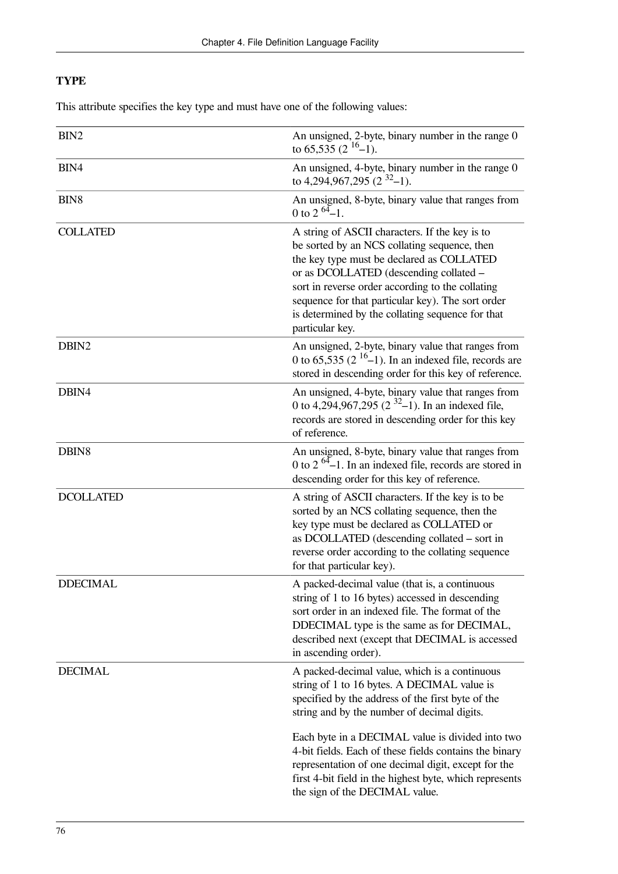### **TYPE**

This attribute specifies the key type and must have one of the following values:

| BIN2             | An unsigned, 2-byte, binary number in the range 0<br>to 65,535 $(2^{16}-1)$ .                                                                                                                                                                                                                                                                                                                                                                                      |
|------------------|--------------------------------------------------------------------------------------------------------------------------------------------------------------------------------------------------------------------------------------------------------------------------------------------------------------------------------------------------------------------------------------------------------------------------------------------------------------------|
| BIN4             | An unsigned, 4-byte, binary number in the range 0<br>to 4,294,967,295 (2 $3^{2}$ –1).                                                                                                                                                                                                                                                                                                                                                                              |
| BIN <sub>8</sub> | An unsigned, 8-byte, binary value that ranges from<br>0 to 2 $^{64}$ -1.                                                                                                                                                                                                                                                                                                                                                                                           |
| <b>COLLATED</b>  | A string of ASCII characters. If the key is to<br>be sorted by an NCS collating sequence, then<br>the key type must be declared as COLLATED<br>or as DCOLLATED (descending collated -<br>sort in reverse order according to the collating<br>sequence for that particular key). The sort order<br>is determined by the collating sequence for that<br>particular key.                                                                                              |
| DBIN2            | An unsigned, 2-byte, binary value that ranges from<br>0 to 65,535 ( $2^{16}$ –1). In an indexed file, records are<br>stored in descending order for this key of reference.                                                                                                                                                                                                                                                                                         |
| DBIN4            | An unsigned, 4-byte, binary value that ranges from<br>0 to 4,294,967,295 (2 $3^{2}$ –1). In an indexed file,<br>records are stored in descending order for this key<br>of reference.                                                                                                                                                                                                                                                                               |
| DBIN8            | An unsigned, 8-byte, binary value that ranges from<br>0 to 2 $^{64}$ –1. In an indexed file, records are stored in<br>descending order for this key of reference.                                                                                                                                                                                                                                                                                                  |
| <b>DCOLLATED</b> | A string of ASCII characters. If the key is to be<br>sorted by an NCS collating sequence, then the<br>key type must be declared as COLLATED or<br>as DCOLLATED (descending collated - sort in<br>reverse order according to the collating sequence<br>for that particular key).                                                                                                                                                                                    |
| <b>DDECIMAL</b>  | A packed-decimal value (that is, a continuous<br>string of 1 to 16 bytes) accessed in descending<br>sort order in an indexed file. The format of the<br>DDECIMAL type is the same as for DECIMAL,<br>described next (except that DECIMAL is accessed<br>in ascending order).                                                                                                                                                                                       |
| <b>DECIMAL</b>   | A packed-decimal value, which is a continuous<br>string of 1 to 16 bytes. A DECIMAL value is<br>specified by the address of the first byte of the<br>string and by the number of decimal digits.<br>Each byte in a DECIMAL value is divided into two<br>4-bit fields. Each of these fields contains the binary<br>representation of one decimal digit, except for the<br>first 4-bit field in the highest byte, which represents<br>the sign of the DECIMAL value. |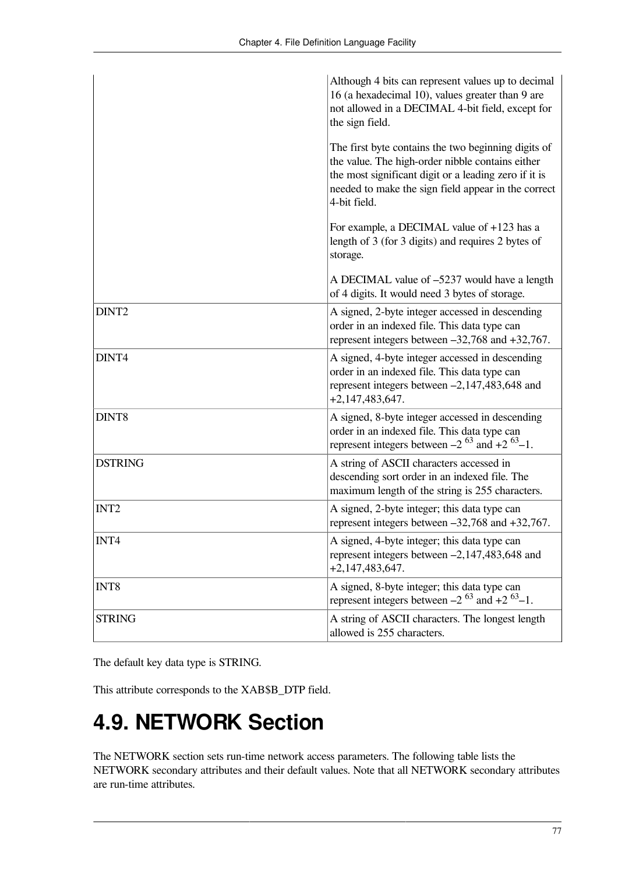|                   | Although 4 bits can represent values up to decimal<br>16 (a hexadecimal 10), values greater than 9 are<br>not allowed in a DECIMAL 4-bit field, except for<br>the sign field.                                                           |
|-------------------|-----------------------------------------------------------------------------------------------------------------------------------------------------------------------------------------------------------------------------------------|
|                   | The first byte contains the two beginning digits of<br>the value. The high-order nibble contains either<br>the most significant digit or a leading zero if it is<br>needed to make the sign field appear in the correct<br>4-bit field. |
|                   | For example, a DECIMAL value of +123 has a<br>length of 3 (for 3 digits) and requires 2 bytes of<br>storage.                                                                                                                            |
|                   | A DECIMAL value of -5237 would have a length<br>of 4 digits. It would need 3 bytes of storage.                                                                                                                                          |
| DINT <sub>2</sub> | A signed, 2-byte integer accessed in descending<br>order in an indexed file. This data type can<br>represent integers between $-32,768$ and $+32,767$ .                                                                                 |
| DINT4             | A signed, 4-byte integer accessed in descending<br>order in an indexed file. This data type can<br>represent integers between $-2,147,483,648$ and<br>$+2,147,483,647.$                                                                 |
| DINT8             | A signed, 8-byte integer accessed in descending<br>order in an indexed file. This data type can<br>represent integers between $-2^{63}$ and $+2^{63}-1$ .                                                                               |
| <b>DSTRING</b>    | A string of ASCII characters accessed in<br>descending sort order in an indexed file. The<br>maximum length of the string is 255 characters.                                                                                            |
| INT <sub>2</sub>  | A signed, 2-byte integer; this data type can<br>represent integers between $-32,768$ and $+32,767$ .                                                                                                                                    |
| INT4              | A signed, 4-byte integer; this data type can<br>represent integers between -2,147,483,648 and<br>$+2,147,483,647.$                                                                                                                      |
| INT <sub>8</sub>  | A signed, 8-byte integer; this data type can<br>represent integers between $-2^{63}$ and $+2^{63}$ -1.                                                                                                                                  |
| <b>STRING</b>     | A string of ASCII characters. The longest length<br>allowed is 255 characters.                                                                                                                                                          |

The default key data type is STRING.

This attribute corresponds to the XAB\$B\_DTP field.

## **4.9. NETWORK Section**

The NETWORK section sets run-time network access parameters. The following table lists the NETWORK secondary attributes and their default values. Note that all NETWORK secondary attributes are run-time attributes.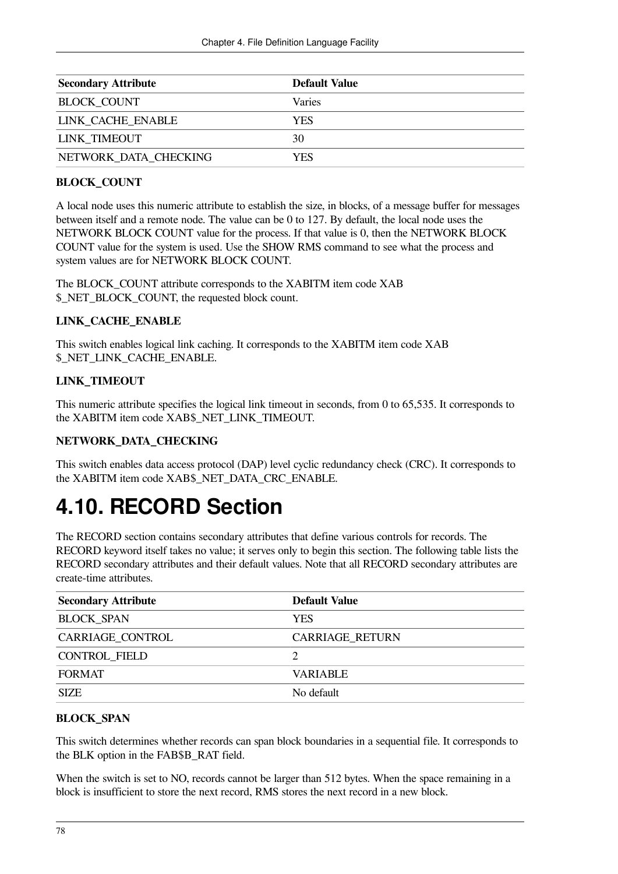| <b>Secondary Attribute</b> | Default Value |
|----------------------------|---------------|
| <b>BLOCK COUNT</b>         | Varies        |
| LINK CACHE ENABLE          | <b>YES</b>    |
| <b>LINK TIMEOUT</b>        | 30            |
| NETWORK DATA CHECKING      | YES           |

### **BLOCK\_COUNT**

A local node uses this numeric attribute to establish the size, in blocks, of a message buffer for messages between itself and a remote node. The value can be 0 to 127. By default, the local node uses the NETWORK BLOCK COUNT value for the process. If that value is 0, then the NETWORK BLOCK COUNT value for the system is used. Use the SHOW RMS command to see what the process and system values are for NETWORK BLOCK COUNT.

The BLOCK\_COUNT attribute corresponds to the XABITM item code XAB \$\_NET\_BLOCK\_COUNT, the requested block count.

### **LINK\_CACHE\_ENABLE**

This switch enables logical link caching. It corresponds to the XABITM item code XAB \$\_NET\_LINK\_CACHE\_ENABLE.

### **LINK\_TIMEOUT**

This numeric attribute specifies the logical link timeout in seconds, from 0 to 65,535. It corresponds to the XABITM item code XAB\$\_NET\_LINK\_TIMEOUT.

### **NETWORK\_DATA\_CHECKING**

This switch enables data access protocol (DAP) level cyclic redundancy check (CRC). It corresponds to the XABITM item code XAB\$\_NET\_DATA\_CRC\_ENABLE.

## **4.10. RECORD Section**

The RECORD section contains secondary attributes that define various controls for records. The RECORD keyword itself takes no value; it serves only to begin this section. The following table lists the RECORD secondary attributes and their default values. Note that all RECORD secondary attributes are create-time attributes.

| <b>Secondary Attribute</b> | <b>Default Value</b> |
|----------------------------|----------------------|
| <b>BLOCK SPAN</b>          | <b>YES</b>           |
| CARRIAGE_CONTROL           | CARRIAGE_RETURN      |
| CONTROL FIELD              |                      |
| <b>FORMAT</b>              | <b>VARIABLE</b>      |
| <b>SIZE</b>                | No default           |

### **BLOCK\_SPAN**

This switch determines whether records can span block boundaries in a sequential file. It corresponds to the BLK option in the FAB\$B\_RAT field.

When the switch is set to NO, records cannot be larger than 512 bytes. When the space remaining in a block is insufficient to store the next record, RMS stores the next record in a new block.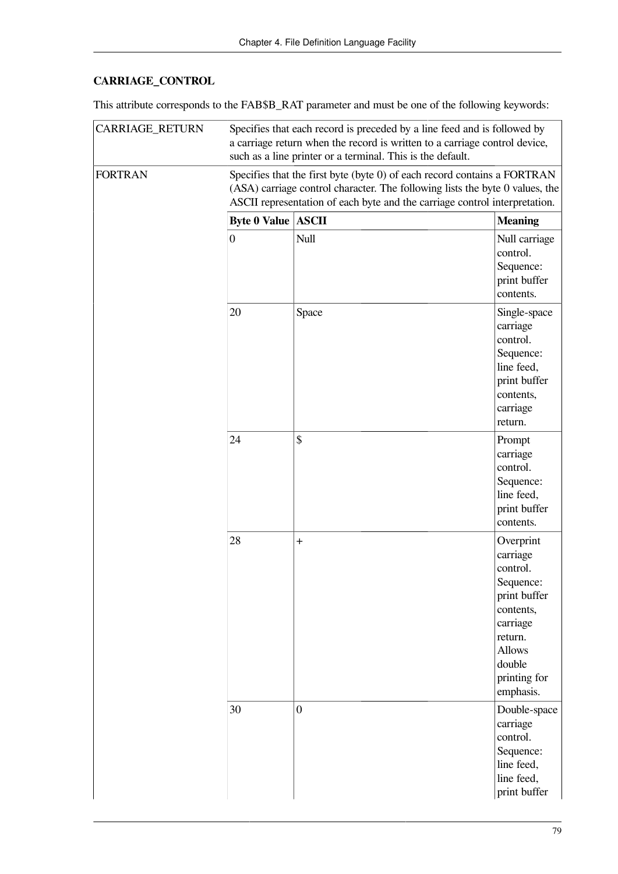### **CARRIAGE\_CONTROL**

This attribute corresponds to the FAB\$B\_RAT parameter and must be one of the following keywords:

| <b>CARRIAGE_RETURN</b> | Specifies that each record is preceded by a line feed and is followed by<br>a carriage return when the record is written to a carriage control device,<br>such as a line printer or a terminal. This is the default.                   |                |                                                                                                                                                            |  |
|------------------------|----------------------------------------------------------------------------------------------------------------------------------------------------------------------------------------------------------------------------------------|----------------|------------------------------------------------------------------------------------------------------------------------------------------------------------|--|
| <b>FORTRAN</b>         | Specifies that the first byte (byte 0) of each record contains a FORTRAN<br>(ASA) carriage control character. The following lists the byte 0 values, the<br>ASCII representation of each byte and the carriage control interpretation. |                |                                                                                                                                                            |  |
|                        | <b>Byte 0 Value ASCII</b>                                                                                                                                                                                                              |                | <b>Meaning</b>                                                                                                                                             |  |
|                        | $\boldsymbol{0}$                                                                                                                                                                                                                       | Null           | Null carriage<br>control.<br>Sequence:<br>print buffer<br>contents.                                                                                        |  |
|                        | 20                                                                                                                                                                                                                                     | Space          | Single-space<br>carriage<br>control.<br>Sequence:<br>line feed,<br>print buffer<br>contents,<br>carriage<br>return.                                        |  |
|                        | 24                                                                                                                                                                                                                                     | \$             | Prompt<br>carriage<br>control.<br>Sequence:<br>line feed,<br>print buffer<br>contents.                                                                     |  |
|                        | 28                                                                                                                                                                                                                                     | $\ddot{}$      | Overprint<br>carriage<br>control.<br>Sequence:<br>print buffer<br>contents,<br>carriage<br>return.<br><b>Allows</b><br>double<br>printing for<br>emphasis. |  |
|                        | 30                                                                                                                                                                                                                                     | $\overline{0}$ | Double-space<br>carriage<br>control.<br>Sequence:<br>line feed,<br>line feed,<br>print buffer                                                              |  |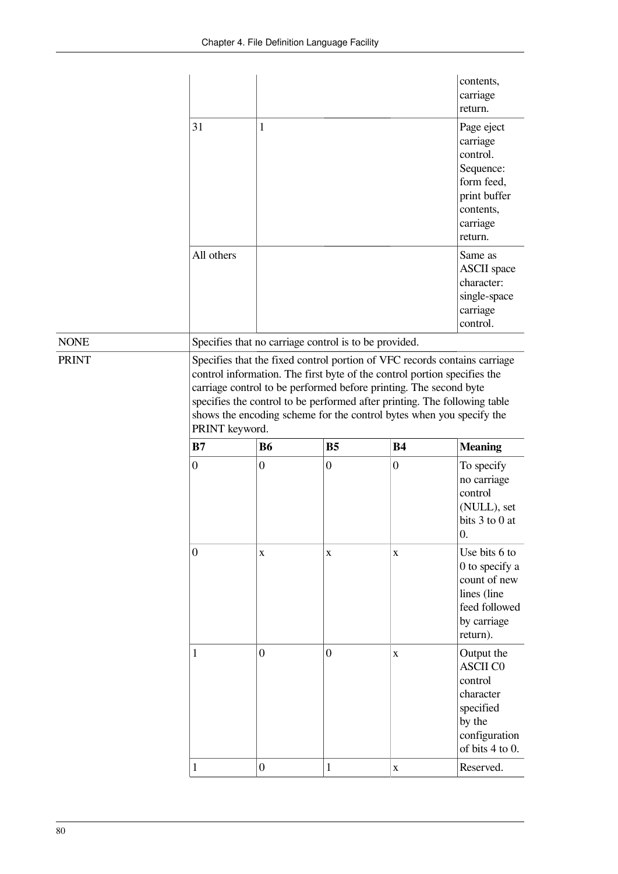|              |                                                                                                                                                                                                                                                                                                                                                                                                   |                                    |                                                       |                  | contents,<br>carriage<br>return.                                                                                              |
|--------------|---------------------------------------------------------------------------------------------------------------------------------------------------------------------------------------------------------------------------------------------------------------------------------------------------------------------------------------------------------------------------------------------------|------------------------------------|-------------------------------------------------------|------------------|-------------------------------------------------------------------------------------------------------------------------------|
|              | 31                                                                                                                                                                                                                                                                                                                                                                                                | 1                                  |                                                       |                  | Page eject<br>carriage<br>control.<br>Sequence:<br>form feed,<br>print buffer<br>contents,<br>carriage<br>return.             |
|              | All others                                                                                                                                                                                                                                                                                                                                                                                        |                                    |                                                       |                  | Same as<br><b>ASCII</b> space<br>character:<br>single-space<br>carriage<br>control.                                           |
| <b>NONE</b>  |                                                                                                                                                                                                                                                                                                                                                                                                   |                                    | Specifies that no carriage control is to be provided. |                  |                                                                                                                               |
| <b>PRINT</b> | Specifies that the fixed control portion of VFC records contains carriage<br>control information. The first byte of the control portion specifies the<br>carriage control to be performed before printing. The second byte<br>specifies the control to be performed after printing. The following table<br>shows the encoding scheme for the control bytes when you specify the<br>PRINT keyword. |                                    |                                                       |                  |                                                                                                                               |
|              | B7                                                                                                                                                                                                                                                                                                                                                                                                | <b>B6</b>                          | B <sub>5</sub>                                        | <b>B4</b>        | <b>Meaning</b>                                                                                                                |
|              | $\overline{0}$                                                                                                                                                                                                                                                                                                                                                                                    | $\overline{0}$                     | $\overline{0}$                                        | $\boldsymbol{0}$ | To specify                                                                                                                    |
|              |                                                                                                                                                                                                                                                                                                                                                                                                   |                                    |                                                       |                  | no carriage<br>control<br>(NULL), set<br>bits $3$ to $0$ at<br>0.                                                             |
|              | $\boldsymbol{0}$                                                                                                                                                                                                                                                                                                                                                                                  | X                                  | $\mathbf X$                                           | $\mathbf X$      | Use bits 6 to<br>0 to specify a<br>count of new<br>lines (line<br>feed followed<br>by carriage<br>return).                    |
|              | 1                                                                                                                                                                                                                                                                                                                                                                                                 | $\overline{0}$<br>$\boldsymbol{0}$ | $\overline{0}$                                        | $\mathbf X$      | Output the<br><b>ASCII CO</b><br>control<br>character<br>specified<br>by the<br>configuration<br>of bits 4 to 0.<br>Reserved. |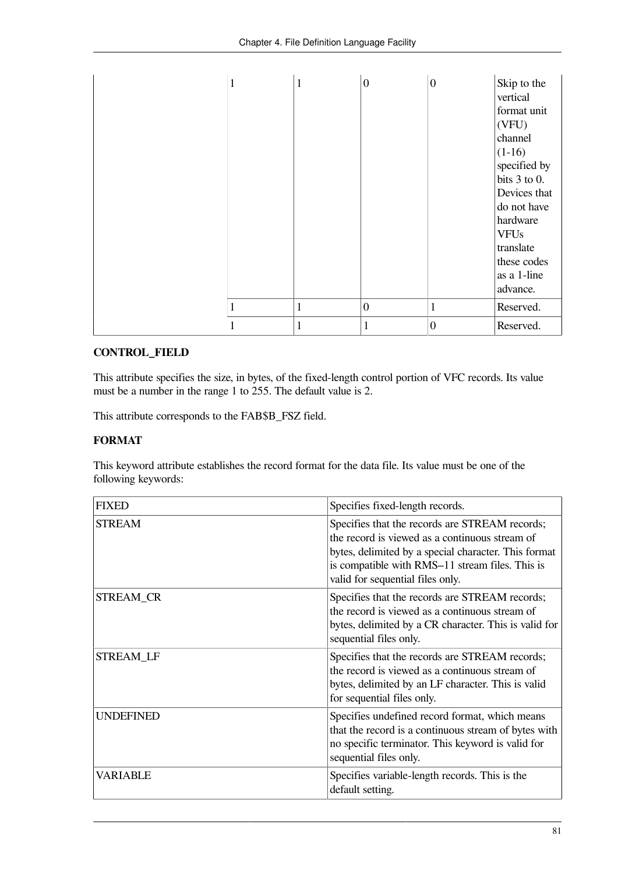| 1 | 1 | $\overline{0}$ | $\boldsymbol{0}$ | Skip to the<br>vertical<br>format unit<br>(VFU)<br>channel<br>$(1-16)$<br>specified by<br>bits $3$ to 0.<br>Devices that<br>do not have<br>hardware<br><b>VFUs</b><br>translate<br>these codes<br>as a 1-line<br>advance. |
|---|---|----------------|------------------|---------------------------------------------------------------------------------------------------------------------------------------------------------------------------------------------------------------------------|
| н | 1 | $\overline{0}$ | 1                | Reserved.                                                                                                                                                                                                                 |
| 1 | 1 | 1              | $\boldsymbol{0}$ | Reserved.                                                                                                                                                                                                                 |

### **CONTROL\_FIELD**

This attribute specifies the size, in bytes, of the fixed-length control portion of VFC records. Its value must be a number in the range 1 to 255. The default value is 2.

This attribute corresponds to the FAB\$B\_FSZ field.

### **FORMAT**

This keyword attribute establishes the record format for the data file. Its value must be one of the following keywords:

| <b>FIXED</b>     | Specifies fixed-length records.                                                                                                                                                                                                                 |
|------------------|-------------------------------------------------------------------------------------------------------------------------------------------------------------------------------------------------------------------------------------------------|
| <b>STREAM</b>    | Specifies that the records are STREAM records;<br>the record is viewed as a continuous stream of<br>bytes, delimited by a special character. This format<br>is compatible with RMS-11 stream files. This is<br>valid for sequential files only. |
| STREAM_CR        | Specifies that the records are STREAM records;<br>the record is viewed as a continuous stream of<br>bytes, delimited by a CR character. This is valid for<br>sequential files only.                                                             |
| <b>STREAM LF</b> | Specifies that the records are STREAM records;<br>the record is viewed as a continuous stream of<br>bytes, delimited by an LF character. This is valid<br>for sequential files only.                                                            |
| <b>UNDEFINED</b> | Specifies undefined record format, which means<br>that the record is a continuous stream of bytes with<br>no specific terminator. This keyword is valid for<br>sequential files only.                                                           |
| VARIABLE         | Specifies variable-length records. This is the<br>default setting.                                                                                                                                                                              |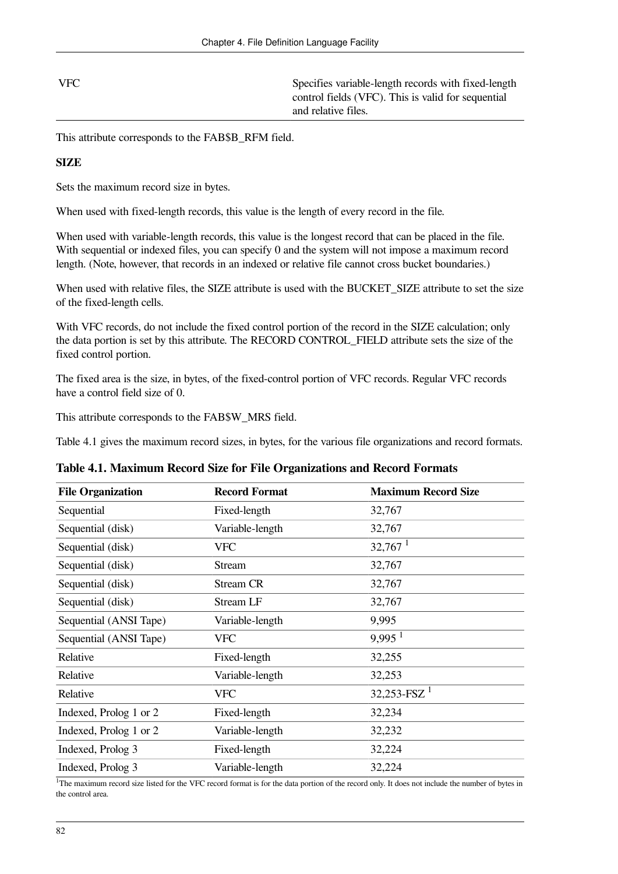| $ {\rm VFC} $ | Specifies variable-length records with fixed-length |
|---------------|-----------------------------------------------------|
|               | control fields (VFC). This is valid for sequential  |
|               | and relative files.                                 |

This attribute corresponds to the FAB\$B\_RFM field.

### **SIZE**

Sets the maximum record size in bytes.

When used with fixed-length records, this value is the length of every record in the file.

When used with variable-length records, this value is the longest record that can be placed in the file. With sequential or indexed files, you can specify 0 and the system will not impose a maximum record length. (Note, however, that records in an indexed or relative file cannot cross bucket boundaries.)

When used with relative files, the SIZE attribute is used with the BUCKET\_SIZE attribute to set the size of the fixed-length cells.

With VFC records, do not include the fixed control portion of the record in the SIZE calculation; only the data portion is set by this attribute. The RECORD CONTROL\_FIELD attribute sets the size of the fixed control portion.

The fixed area is the size, in bytes, of the fixed-control portion of VFC records. Regular VFC records have a control field size of 0.

This attribute corresponds to the FAB\$W\_MRS field.

[Table](#page-89-0) 4.1 gives the maximum record sizes, in bytes, for the various file organizations and record formats.

| Table 4.1. Maximum Kecutu Size iyi The Organizativns and Kecutu Tulmats |                      |                            |  |
|-------------------------------------------------------------------------|----------------------|----------------------------|--|
| <b>File Organization</b>                                                | <b>Record Format</b> | <b>Maximum Record Size</b> |  |
| Sequential                                                              | Fixed-length         | 32,767                     |  |
| Sequential (disk)                                                       | Variable-length      | 32,767                     |  |
| Sequential (disk)                                                       | <b>VFC</b>           | $32,767$ <sup>1</sup>      |  |
| Sequential (disk)                                                       | Stream               | 32,767                     |  |
| Sequential (disk)                                                       | Stream CR            | 32,767                     |  |
| Sequential (disk)                                                       | <b>Stream LF</b>     | 32,767                     |  |
| Sequential (ANSI Tape)                                                  | Variable-length      | 9,995                      |  |
| Sequential (ANSI Tape)                                                  | <b>VFC</b>           | $9,995$ <sup>1</sup>       |  |
| Relative                                                                | Fixed-length         | 32,255                     |  |
| Relative                                                                | Variable-length      | 32,253                     |  |
| Relative                                                                | <b>VFC</b>           | $32,253$ -FSZ $^1$         |  |

<span id="page-89-0"></span>**Table 4.1. Maximum Record Size for File Organizations and Record Formats**

<sup>1</sup>The maximum record size listed for the VFC record format is for the data portion of the record only. It does not include the number of bytes in the control area.

Indexed, Prolog 1 or 2 Fixed-length 32,234 Indexed, Prolog 1 or 2 Variable-length 32,232 Indexed, Prolog 3 Fixed-length 32,224 Indexed, Prolog 3 Variable-length 32,224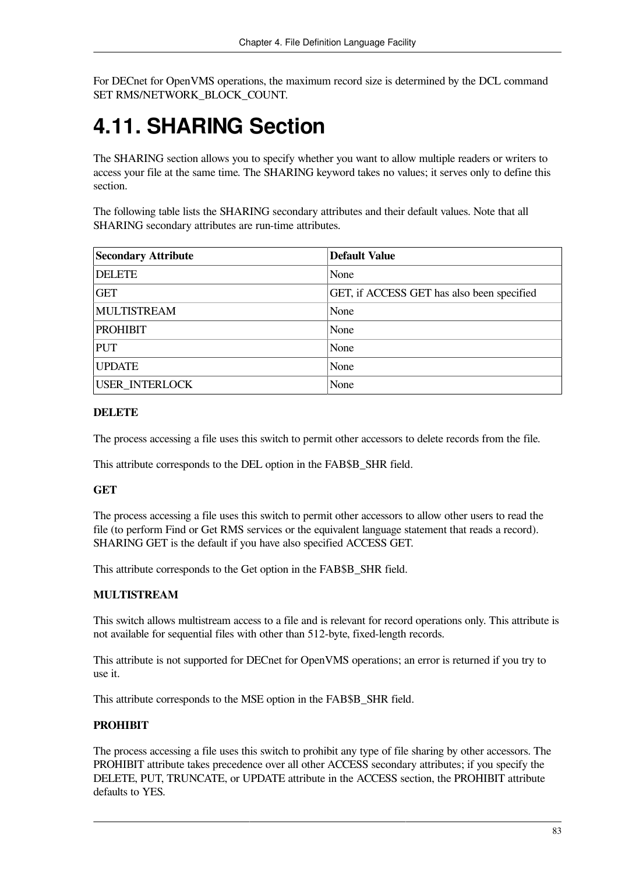For DECnet for OpenVMS operations, the maximum record size is determined by the DCL command SET RMS/NETWORK\_BLOCK\_COUNT.

## **4.11. SHARING Section**

The SHARING section allows you to specify whether you want to allow multiple readers or writers to access your file at the same time. The SHARING keyword takes no values; it serves only to define this section.

The following table lists the SHARING secondary attributes and their default values. Note that all SHARING secondary attributes are run-time attributes.

| <b>Secondary Attribute</b> | <b>Default Value</b>                       |
|----------------------------|--------------------------------------------|
| <b>DELETE</b>              | None                                       |
| <b>GET</b>                 | GET, if ACCESS GET has also been specified |
| <b>MULTISTREAM</b>         | None                                       |
| <b>PROHIBIT</b>            | None                                       |
| <b>PUT</b>                 | None                                       |
| <b>UPDATE</b>              | None                                       |
| <b>USER INTERLOCK</b>      | None                                       |

### **DELETE**

The process accessing a file uses this switch to permit other accessors to delete records from the file.

This attribute corresponds to the DEL option in the FAB\$B\_SHR field.

### **GET**

The process accessing a file uses this switch to permit other accessors to allow other users to read the file (to perform Find or Get RMS services or the equivalent language statement that reads a record). SHARING GET is the default if you have also specified ACCESS GET.

This attribute corresponds to the Get option in the FAB\$B\_SHR field.

### **MULTISTREAM**

This switch allows multistream access to a file and is relevant for record operations only. This attribute is not available for sequential files with other than 512-byte, fixed-length records.

This attribute is not supported for DECnet for OpenVMS operations; an error is returned if you try to use it.

This attribute corresponds to the MSE option in the FAB\$B\_SHR field.

### **PROHIBIT**

The process accessing a file uses this switch to prohibit any type of file sharing by other accessors. The PROHIBIT attribute takes precedence over all other ACCESS secondary attributes; if you specify the DELETE, PUT, TRUNCATE, or UPDATE attribute in the ACCESS section, the PROHIBIT attribute defaults to YES.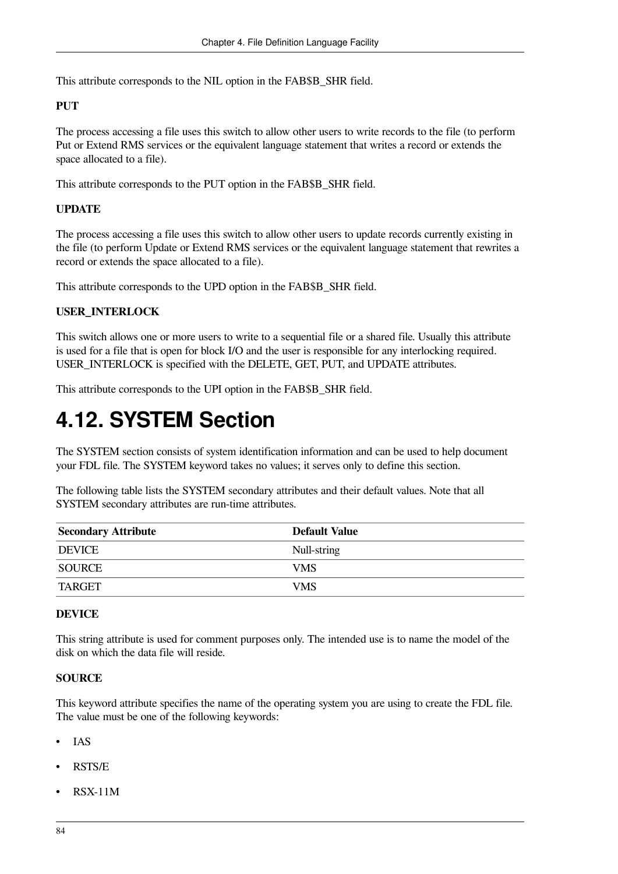This attribute corresponds to the NIL option in the FAB\$B\_SHR field.

### **PUT**

The process accessing a file uses this switch to allow other users to write records to the file (to perform Put or Extend RMS services or the equivalent language statement that writes a record or extends the space allocated to a file).

This attribute corresponds to the PUT option in the FAB\$B\_SHR field.

### **UPDATE**

The process accessing a file uses this switch to allow other users to update records currently existing in the file (to perform Update or Extend RMS services or the equivalent language statement that rewrites a record or extends the space allocated to a file).

This attribute corresponds to the UPD option in the FAB\$B\_SHR field.

### **USER\_INTERLOCK**

This switch allows one or more users to write to a sequential file or a shared file. Usually this attribute is used for a file that is open for block I/O and the user is responsible for any interlocking required. USER\_INTERLOCK is specified with the DELETE, GET, PUT, and UPDATE attributes.

This attribute corresponds to the UPI option in the FAB\$B\_SHR field.

## **4.12. SYSTEM Section**

The SYSTEM section consists of system identification information and can be used to help document your FDL file. The SYSTEM keyword takes no values; it serves only to define this section.

The following table lists the SYSTEM secondary attributes and their default values. Note that all SYSTEM secondary attributes are run-time attributes.

| <b>Secondary Attribute</b> | Default Value |
|----------------------------|---------------|
| <b>DEVICE</b>              | Null-string   |
| <b>SOURCE</b>              | <b>VMS</b>    |
| TARGET                     | <b>VMS</b>    |

### **DEVICE**

This string attribute is used for comment purposes only. The intended use is to name the model of the disk on which the data file will reside.

### **SOURCE**

This keyword attribute specifies the name of the operating system you are using to create the FDL file. The value must be one of the following keywords:

- IAS
- RSTS/E
- RSX-11M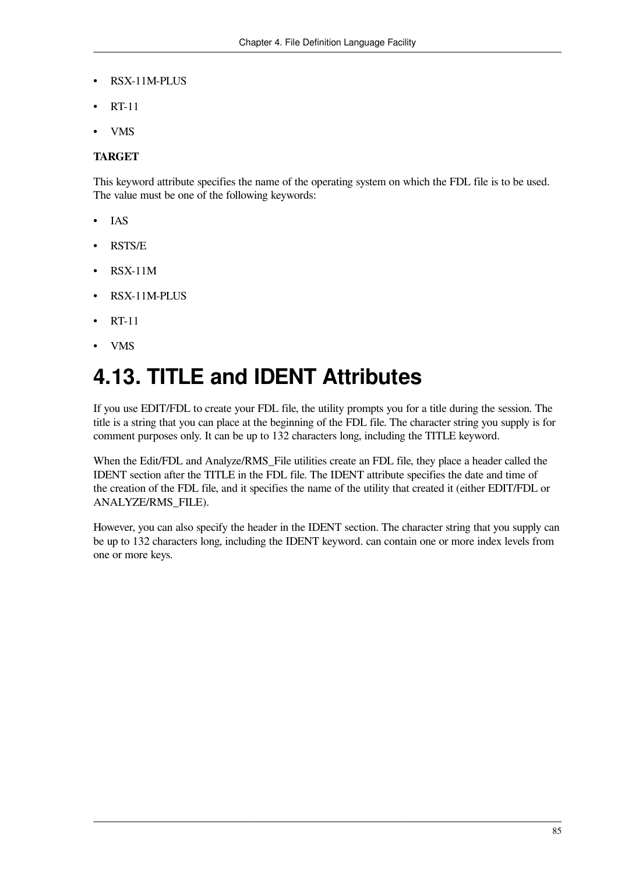- RSX-11M-PLUS
- RT-11
- VMS

### **TARGET**

This keyword attribute specifies the name of the operating system on which the FDL file is to be used. The value must be one of the following keywords:

- IAS
- RSTS/E
- RSX-11M
- RSX-11M-PLUS
- RT-11
- VMS

## **4.13. TITLE and IDENT Attributes**

If you use EDIT/FDL to create your FDL file, the utility prompts you for a title during the session. The title is a string that you can place at the beginning of the FDL file. The character string you supply is for comment purposes only. It can be up to 132 characters long, including the TITLE keyword.

When the Edit/FDL and Analyze/RMS File utilities create an FDL file, they place a header called the IDENT section after the TITLE in the FDL file. The IDENT attribute specifies the date and time of the creation of the FDL file, and it specifies the name of the utility that created it (either EDIT/FDL or ANALYZE/RMS\_FILE).

However, you can also specify the header in the IDENT section. The character string that you supply can be up to 132 characters long, including the IDENT keyword. can contain one or more index levels from one or more keys.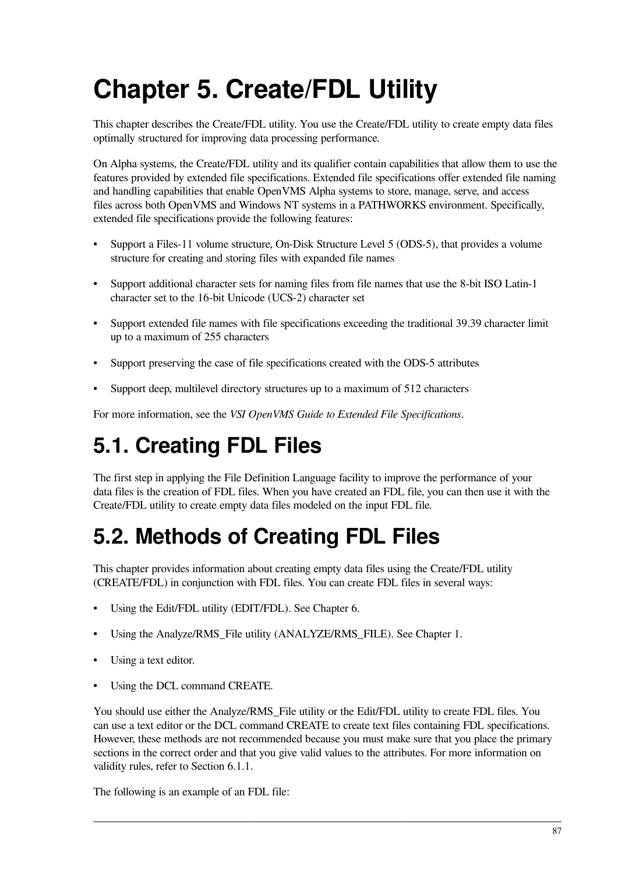# **Chapter 5. Create/FDL Utility**

This chapter describes the Create/FDL utility. You use the Create/FDL utility to create empty data files optimally structured for improving data processing performance.

On Alpha systems, the Create/FDL utility and its qualifier contain capabilities that allow them to use the features provided by extended file specifications. Extended file specifications offer extended file naming and handling capabilities that enable OpenVMS Alpha systems to store, manage, serve, and access files across both OpenVMS and Windows NT systems in a PATHWORKS environment. Specifically, extended file specifications provide the following features:

- Support a Files-11 volume structure, On-Disk Structure Level 5 (ODS-5), that provides a volume structure for creating and storing files with expanded file names
- Support additional character sets for naming files from file names that use the 8-bit ISO Latin-1 character set to the 16-bit Unicode (UCS-2) character set
- Support extended file names with file specifications exceeding the traditional 39.39 character limit up to a maximum of 255 characters
- Support preserving the case of file specifications created with the ODS-5 attributes
- Support deep, multilevel directory structures up to a maximum of 512 characters

For more information, see the *VSI OpenVMS Guide to Extended File Specifications*.

## **5.1. Creating FDL Files**

The first step in applying the File Definition Language facility to improve the performance of your data files is the creation of FDL files. When you have created an FDL file, you can then use it with the Create/FDL utility to create empty data files modeled on the input FDL file.

## **5.2. Methods of Creating FDL Files**

This chapter provides information about creating empty data files using the Create/FDL utility (CREATE/FDL) in conjunction with FDL files. You can create FDL files in several ways:

- Using the Edit/FDL utility (EDIT/FDL). See [Chapter](#page-98-0) 6.
- Using the Analyze/RMS File utility (ANALYZE/RMS FILE). See [Chapter](#page-8-0) 1.
- Using a text editor.
- Using the DCL command CREATE.

You should use either the Analyze/RMS\_File utility or the Edit/FDL utility to create FDL files. You can use a text editor or the DCL command CREATE to create text files containing FDL specifications. However, these methods are not recommended because you must make sure that you place the primary sections in the correct order and that you give valid values to the attributes. For more information on validity rules, refer to [Section](#page-98-1) 6.1.1.

The following is an example of an FDL file: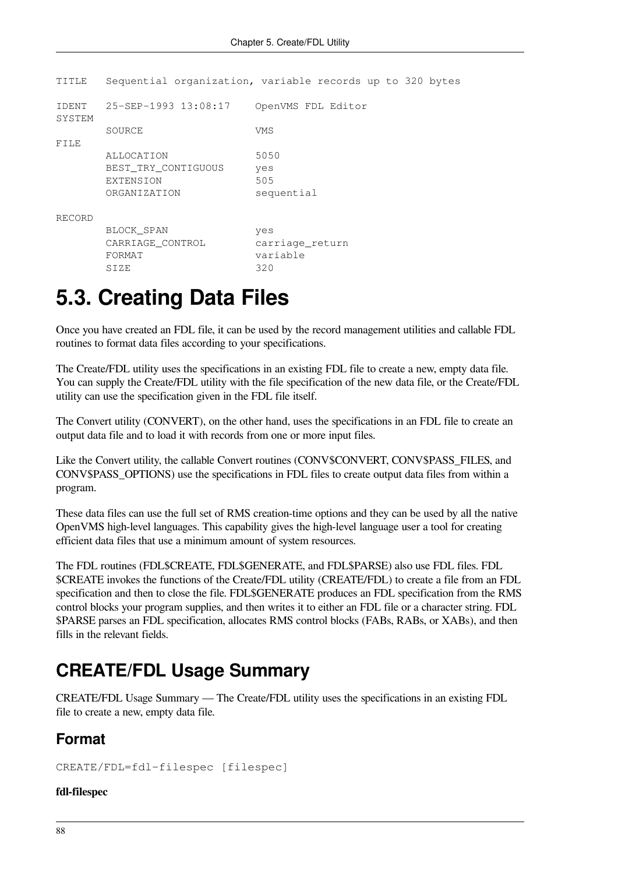|                                                         | Sequential organization, variable records up to 320 bytes |
|---------------------------------------------------------|-----------------------------------------------------------|
| 25-SEP-1993 13:08:17                                    | OpenVMS FDL Editor                                        |
| SOURCE                                                  | VMS                                                       |
| ALLOCATION                                              | 5050                                                      |
| BEST TRY CONTIGUOUS<br><b>EXTENSION</b><br>ORGANIZATION | yes<br>505<br>sequential                                  |
|                                                         |                                                           |
| BLOCK SPAN<br>CARRIAGE CONTROL<br>FORMAT<br>SIZE        | yes<br>carriage return<br>variable<br>320                 |
|                                                         |                                                           |

## **5.3. Creating Data Files**

Once you have created an FDL file, it can be used by the record management utilities and callable FDL routines to format data files according to your specifications.

The Create/FDL utility uses the specifications in an existing FDL file to create a new, empty data file. You can supply the Create/FDL utility with the file specification of the new data file, or the Create/FDL utility can use the specification given in the FDL file itself.

The Convert utility (CONVERT), on the other hand, uses the specifications in an FDL file to create an output data file and to load it with records from one or more input files.

Like the Convert utility, the callable Convert routines (CONV\$CONVERT, CONV\$PASS FILES, and CONV\$PASS\_OPTIONS) use the specifications in FDL files to create output data files from within a program.

These data files can use the full set of RMS creation-time options and they can be used by all the native OpenVMS high-level languages. This capability gives the high-level language user a tool for creating efficient data files that use a minimum amount of system resources.

The FDL routines (FDL\$CREATE, FDL\$GENERATE, and FDL\$PARSE) also use FDL files. FDL \$CREATE invokes the functions of the Create/FDL utility (CREATE/FDL) to create a file from an FDL specification and then to close the file. FDL\$GENERATE produces an FDL specification from the RMS control blocks your program supplies, and then writes it to either an FDL file or a character string. FDL \$PARSE parses an FDL specification, allocates RMS control blocks (FABs, RABs, or XABs), and then fills in the relevant fields.

## **CREATE/FDL Usage Summary**

CREATE/FDL Usage Summary — The Create/FDL utility uses the specifications in an existing FDL file to create a new, empty data file.

## **Format**

CREATE/FDL=fdl-filespec [filespec]

### **fdl-filespec**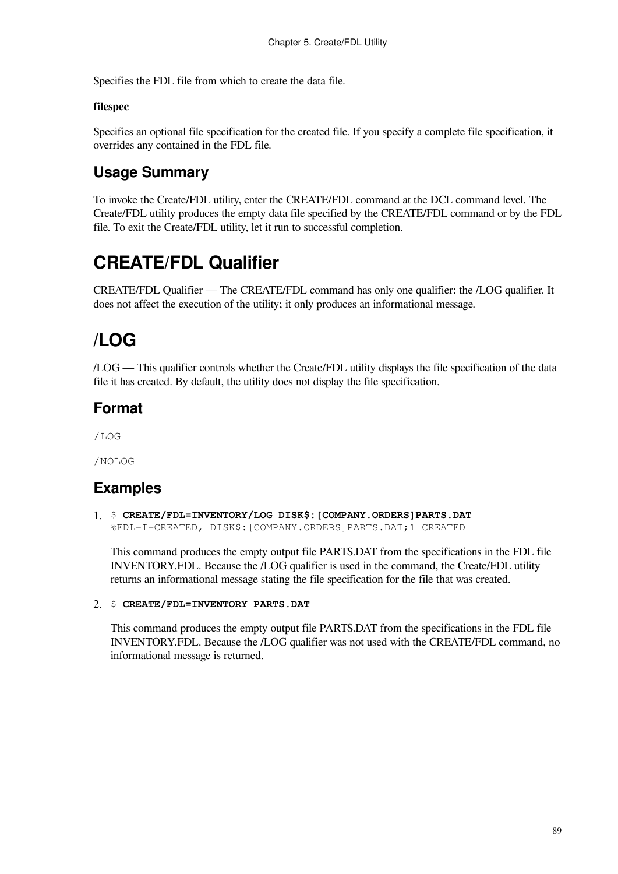Specifies the FDL file from which to create the data file.

### **filespec**

Specifies an optional file specification for the created file. If you specify a complete file specification, it overrides any contained in the FDL file.

## **Usage Summary**

To invoke the Create/FDL utility, enter the CREATE/FDL command at the DCL command level. The Create/FDL utility produces the empty data file specified by the CREATE/FDL command or by the FDL file. To exit the Create/FDL utility, let it run to successful completion.

## **CREATE/FDL Qualifier**

CREATE/FDL Qualifier — The CREATE/FDL command has only one qualifier: the /LOG qualifier. It does not affect the execution of the utility; it only produces an informational message.

## **/LOG**

/LOG — This qualifier controls whether the Create/FDL utility displays the file specification of the data file it has created. By default, the utility does not display the file specification.

### **Format**

/LOG

/NOLOG

### **Examples**

1. \$ **CREATE/FDL=INVENTORY/LOG DISK\$:[COMPANY.ORDERS]PARTS.DAT** %FDL-I-CREATED, DISK\$:[COMPANY.ORDERS]PARTS.DAT;1 CREATED

This command produces the empty output file PARTS.DAT from the specifications in the FDL file INVENTORY.FDL. Because the /LOG qualifier is used in the command, the Create/FDL utility returns an informational message stating the file specification for the file that was created.

### 2. \$ **CREATE/FDL=INVENTORY PARTS.DAT**

This command produces the empty output file PARTS.DAT from the specifications in the FDL file INVENTORY.FDL. Because the /LOG qualifier was not used with the CREATE/FDL command, no informational message is returned.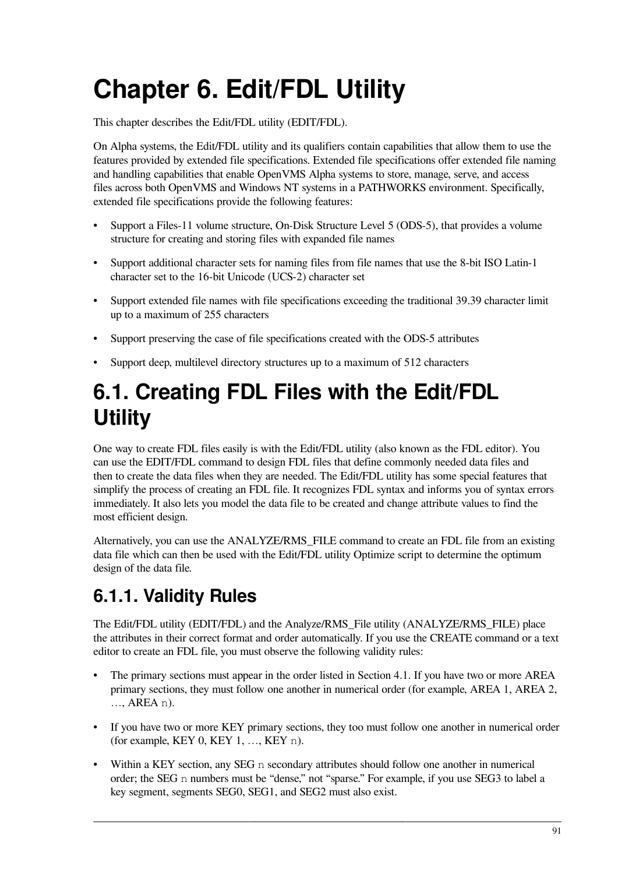# <span id="page-98-0"></span>**Chapter 6. Edit/FDL Utility**

This chapter describes the Edit/FDL utility (EDIT/FDL).

On Alpha systems, the Edit/FDL utility and its qualifiers contain capabilities that allow them to use the features provided by extended file specifications. Extended file specifications offer extended file naming and handling capabilities that enable OpenVMS Alpha systems to store, manage, serve, and access files across both OpenVMS and Windows NT systems in a PATHWORKS environment. Specifically, extended file specifications provide the following features:

- Support a Files-11 volume structure, On-Disk Structure Level 5 (ODS-5), that provides a volume structure for creating and storing files with expanded file names
- Support additional character sets for naming files from file names that use the 8-bit ISO Latin-1 character set to the 16-bit Unicode (UCS-2) character set
- Support extended file names with file specifications exceeding the traditional 39.39 character limit up to a maximum of 255 characters
- Support preserving the case of file specifications created with the ODS-5 attributes
- Support deep, multilevel directory structures up to a maximum of 512 characters

## **6.1. Creating FDL Files with the Edit/FDL Utility**

One way to create FDL files easily is with the Edit/FDL utility (also known as the FDL editor). You can use the EDIT/FDL command to design FDL files that define commonly needed data files and then to create the data files when they are needed. The Edit/FDL utility has some special features that simplify the process of creating an FDL file. It recognizes FDL syntax and informs you of syntax errors immediately. It also lets you model the data file to be created and change attribute values to find the most efficient design.

Alternatively, you can use the ANALYZE/RMS\_FILE command to create an FDL file from an existing data file which can then be used with the Edit/FDL utility Optimize script to determine the optimum design of the data file.

## <span id="page-98-1"></span>**6.1.1. Validity Rules**

The Edit/FDL utility (EDIT/FDL) and the Analyze/RMS\_File utility (ANALYZE/RMS\_FILE) place the attributes in their correct format and order automatically. If you use the CREATE command or a text editor to create an FDL file, you must observe the following validity rules:

- The primary sections must appear in the order listed in [Section](#page-54-0) 4.1. If you have two or more AREA primary sections, they must follow one another in numerical order (for example, AREA 1, AREA 2, …, AREA n).
- If you have two or more KEY primary sections, they too must follow one another in numerical order (for example, KEY 0, KEY 1, …, KEY n).
- Within a KEY section, any SEG n secondary attributes should follow one another in numerical order; the SEG n numbers must be "dense," not "sparse." For example, if you use SEG3 to label a key segment, segments SEG0, SEG1, and SEG2 must also exist.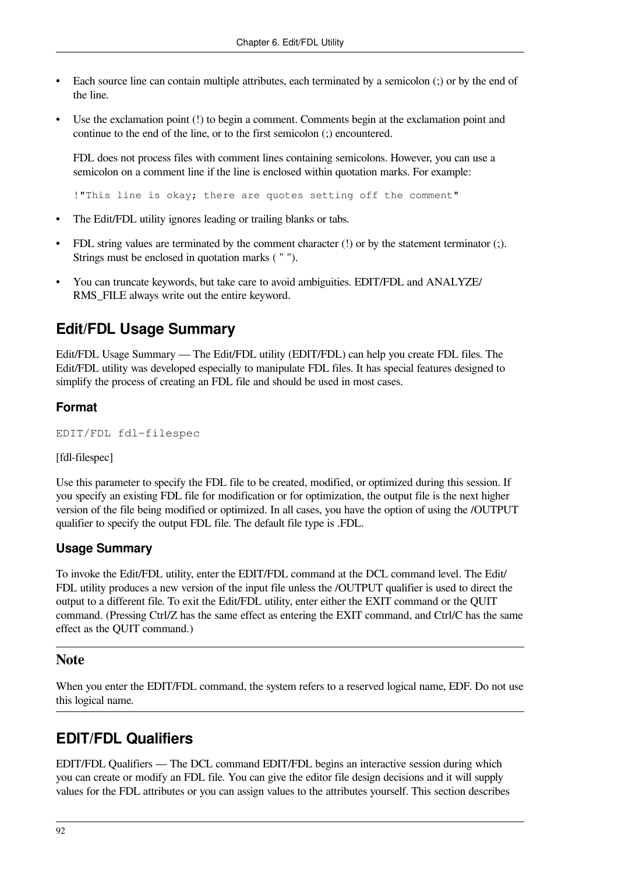- Each source line can contain multiple attributes, each terminated by a semicolon (;) or by the end of the line.
- Use the exclamation point (!) to begin a comment. Comments begin at the exclamation point and continue to the end of the line, or to the first semicolon (;) encountered.

FDL does not process files with comment lines containing semicolons. However, you can use a semicolon on a comment line if the line is enclosed within quotation marks. For example:

!"This line is okay; there are quotes setting off the comment"

- The Edit/FDL utility ignores leading or trailing blanks or tabs.
- FDL string values are terminated by the comment character (!) or by the statement terminator (;). Strings must be enclosed in quotation marks ( " ").
- You can truncate keywords, but take care to avoid ambiguities. EDIT/FDL and ANALYZE/ RMS\_FILE always write out the entire keyword.

### **Edit/FDL Usage Summary**

Edit/FDL Usage Summary — The Edit/FDL utility (EDIT/FDL) can help you create FDL files. The Edit/FDL utility was developed especially to manipulate FDL files. It has special features designed to simplify the process of creating an FDL file and should be used in most cases.

### **Format**

```
EDIT/FDL fdl-filespec
```
[fdl-filespec]

Use this parameter to specify the FDL file to be created, modified, or optimized during this session. If you specify an existing FDL file for modification or for optimization, the output file is the next higher version of the file being modified or optimized. In all cases, you have the option of using the /OUTPUT qualifier to specify the output FDL file. The default file type is .FDL.

### **Usage Summary**

To invoke the Edit/FDL utility, enter the EDIT/FDL command at the DCL command level. The Edit/ FDL utility produces a new version of the input file unless the /OUTPUT qualifier is used to direct the output to a different file. To exit the Edit/FDL utility, enter either the EXIT command or the QUIT command. (Pressing Ctrl/Z has the same effect as entering the EXIT command, and Ctrl/C has the same effect as the QUIT command.)

### **Note**

When you enter the EDIT/FDL command, the system refers to a reserved logical name, EDF. Do not use this logical name.

### **EDIT/FDL Qualifiers**

EDIT/FDL Qualifiers — The DCL command EDIT/FDL begins an interactive session during which you can create or modify an FDL file. You can give the editor file design decisions and it will supply values for the FDL attributes or you can assign values to the attributes yourself. This section describes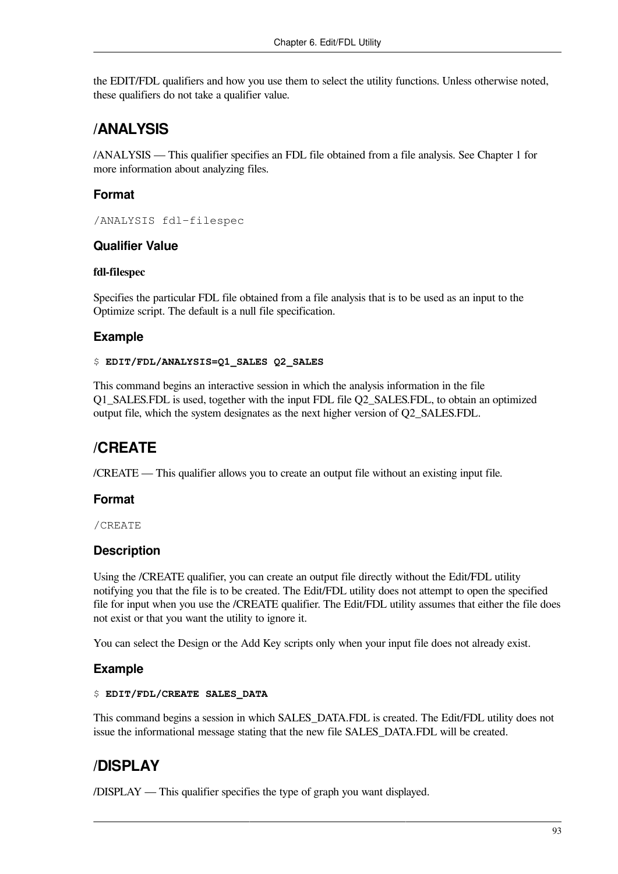the EDIT/FDL qualifiers and how you use them to select the utility functions. Unless otherwise noted, these qualifiers do not take a qualifier value.

## **/ANALYSIS**

/ANALYSIS — This qualifier specifies an FDL file obtained from a file analysis. See [Chapter](#page-8-0) 1 for more information about analyzing files.

### **Format**

/ANALYSIS fdl-filespec

### **Qualifier Value**

### **fdl-filespec**

Specifies the particular FDL file obtained from a file analysis that is to be used as an input to the Optimize script. The default is a null file specification.

### **Example**

### \$ **EDIT/FDL/ANALYSIS=Q1\_SALES Q2\_SALES**

This command begins an interactive session in which the analysis information in the file Q1\_SALES.FDL is used, together with the input FDL file Q2\_SALES.FDL, to obtain an optimized output file, which the system designates as the next higher version of Q2\_SALES.FDL.

## **/CREATE**

/CREATE — This qualifier allows you to create an output file without an existing input file.

### **Format**

/CREATE

### **Description**

Using the /CREATE qualifier, you can create an output file directly without the Edit/FDL utility notifying you that the file is to be created. The Edit/FDL utility does not attempt to open the specified file for input when you use the /CREATE qualifier. The Edit/FDL utility assumes that either the file does not exist or that you want the utility to ignore it.

You can select the Design or the Add Key scripts only when your input file does not already exist.

### **Example**

### \$ **EDIT/FDL/CREATE SALES\_DATA**

This command begins a session in which SALES\_DATA.FDL is created. The Edit/FDL utility does not issue the informational message stating that the new file SALES\_DATA.FDL will be created.

## **/DISPLAY**

/DISPLAY — This qualifier specifies the type of graph you want displayed.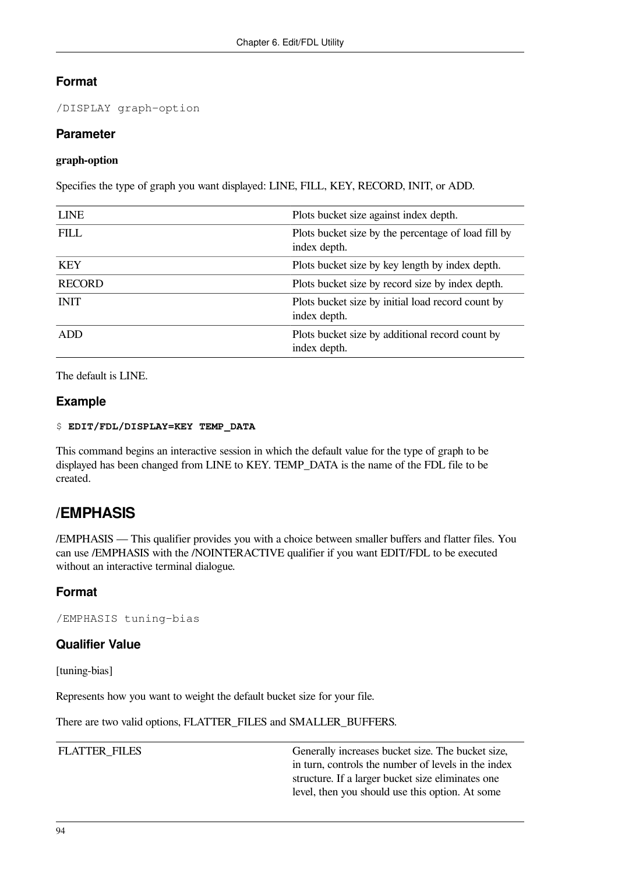### **Format**

/DISPLAY graph-option

### **Parameter**

### **graph-option**

Specifies the type of graph you want displayed: LINE, FILL, KEY, RECORD, INIT, or ADD.

| <b>LINE</b>   | Plots bucket size against index depth.                              |
|---------------|---------------------------------------------------------------------|
| <b>FILL</b>   | Plots bucket size by the percentage of load fill by<br>index depth. |
| <b>KEY</b>    | Plots bucket size by key length by index depth.                     |
| <b>RECORD</b> | Plots bucket size by record size by index depth.                    |
| <b>INIT</b>   | Plots bucket size by initial load record count by<br>index depth.   |
| <b>ADD</b>    | Plots bucket size by additional record count by<br>index depth.     |

The default is LINE.

### **Example**

### \$ **EDIT/FDL/DISPLAY=KEY TEMP\_DATA**

This command begins an interactive session in which the default value for the type of graph to be displayed has been changed from LINE to KEY. TEMP\_DATA is the name of the FDL file to be created.

### **/EMPHASIS**

/EMPHASIS — This qualifier provides you with a choice between smaller buffers and flatter files. You can use /EMPHASIS with the /NOINTERACTIVE qualifier if you want EDIT/FDL to be executed without an interactive terminal dialogue.

### **Format**

/EMPHASIS tuning-bias

### **Qualifier Value**

[tuning-bias]

Represents how you want to weight the default bucket size for your file.

There are two valid options, FLATTER\_FILES and SMALLER\_BUFFERS.

FLATTER\_FILES Generally increases bucket size. The bucket size, in turn, controls the number of levels in the index structure. If a larger bucket size eliminates one level, then you should use this option. At some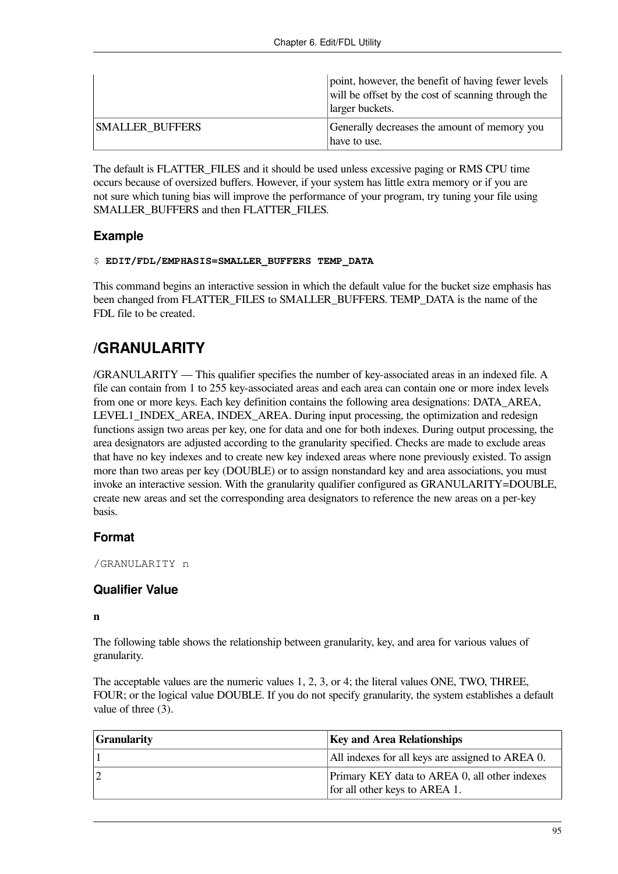|                        | point, however, the benefit of having fewer levels<br>will be offset by the cost of scanning through the<br>larger buckets. |
|------------------------|-----------------------------------------------------------------------------------------------------------------------------|
| <b>SMALLER BUFFERS</b> | Generally decreases the amount of memory you<br>have to use.                                                                |

The default is FLATTER\_FILES and it should be used unless excessive paging or RMS CPU time occurs because of oversized buffers. However, if your system has little extra memory or if you are not sure which tuning bias will improve the performance of your program, try tuning your file using SMALLER\_BUFFERS and then FLATTER\_FILES.

### **Example**

#### \$ **EDIT/FDL/EMPHASIS=SMALLER\_BUFFERS TEMP\_DATA**

This command begins an interactive session in which the default value for the bucket size emphasis has been changed from FLATTER\_FILES to SMALLER\_BUFFERS. TEMP\_DATA is the name of the FDL file to be created.

## **/GRANULARITY**

/GRANULARITY — This qualifier specifies the number of key-associated areas in an indexed file. A file can contain from 1 to 255 key-associated areas and each area can contain one or more index levels from one or more keys. Each key definition contains the following area designations: DATA\_AREA, LEVEL1 INDEX AREA, INDEX AREA. During input processing, the optimization and redesign functions assign two areas per key, one for data and one for both indexes. During output processing, the area designators are adjusted according to the granularity specified. Checks are made to exclude areas that have no key indexes and to create new key indexed areas where none previously existed. To assign more than two areas per key (DOUBLE) or to assign nonstandard key and area associations, you must invoke an interactive session. With the granularity qualifier configured as GRANULARITY=DOUBLE, create new areas and set the corresponding area designators to reference the new areas on a per-key basis.

### **Format**

/GRANULARITY n

### **Qualifier Value**

### **n**

The following table shows the relationship between granularity, key, and area for various values of granularity.

The acceptable values are the numeric values 1, 2, 3, or 4; the literal values ONE, TWO, THREE, FOUR; or the logical value DOUBLE. If you do not specify granularity, the system establishes a default value of three (3).

| <b>Granularity</b> | <b>Key and Area Relationships</b>                                              |
|--------------------|--------------------------------------------------------------------------------|
|                    | All indexes for all keys are assigned to AREA 0.                               |
|                    | Primary KEY data to AREA 0, all other indexes<br>for all other keys to AREA 1. |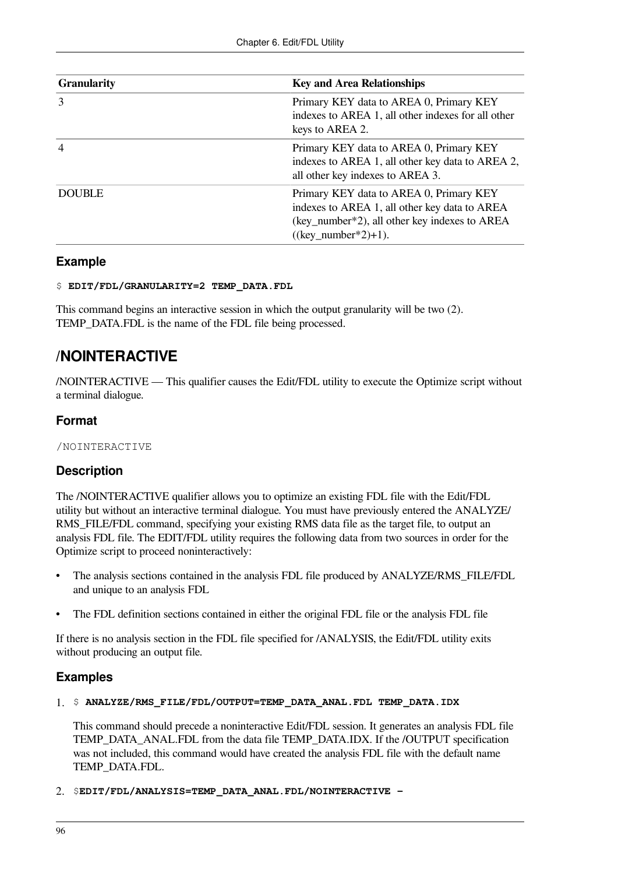| <b>Granularity</b> | <b>Key and Area Relationships</b>                                                                                                                                  |
|--------------------|--------------------------------------------------------------------------------------------------------------------------------------------------------------------|
| 3                  | Primary KEY data to AREA 0, Primary KEY<br>indexes to AREA 1, all other indexes for all other<br>keys to AREA 2.                                                   |
| $\overline{4}$     | Primary KEY data to AREA 0, Primary KEY<br>indexes to AREA 1, all other key data to AREA 2,<br>all other key indexes to AREA 3.                                    |
| <b>DOUBLE</b>      | Primary KEY data to AREA 0, Primary KEY<br>indexes to AREA 1, all other key data to AREA<br>(key_number*2), all other key indexes to AREA<br>$((key_number*2)+1).$ |

### **Example**

### \$ **EDIT/FDL/GRANULARITY=2 TEMP\_DATA.FDL**

This command begins an interactive session in which the output granularity will be two (2). TEMP\_DATA.FDL is the name of the FDL file being processed.

## **/NOINTERACTIVE**

/NOINTERACTIVE — This qualifier causes the Edit/FDL utility to execute the Optimize script without a terminal dialogue.

### **Format**

/NOINTERACTIVE

### **Description**

The /NOINTERACTIVE qualifier allows you to optimize an existing FDL file with the Edit/FDL utility but without an interactive terminal dialogue. You must have previously entered the ANALYZE/ RMS\_FILE/FDL command, specifying your existing RMS data file as the target file, to output an analysis FDL file. The EDIT/FDL utility requires the following data from two sources in order for the Optimize script to proceed noninteractively:

- The analysis sections contained in the analysis FDL file produced by ANALYZE/RMS\_FILE/FDL and unique to an analysis FDL
- The FDL definition sections contained in either the original FDL file or the analysis FDL file

If there is no analysis section in the FDL file specified for /ANALYSIS, the Edit/FDL utility exits without producing an output file.

### **Examples**

### 1. \$ **ANALYZE/RMS\_FILE/FDL/OUTPUT=TEMP\_DATA\_ANAL.FDL TEMP\_DATA.IDX**

This command should precede a noninteractive Edit/FDL session. It generates an analysis FDL file TEMP\_DATA\_ANAL.FDL from the data file TEMP\_DATA.IDX. If the /OUTPUT specification was not included, this command would have created the analysis FDL file with the default name TEMP\_DATA.FDL.

2. \$**EDIT/FDL/ANALYSIS=TEMP\_DATA\_ANAL.FDL/NOINTERACTIVE -**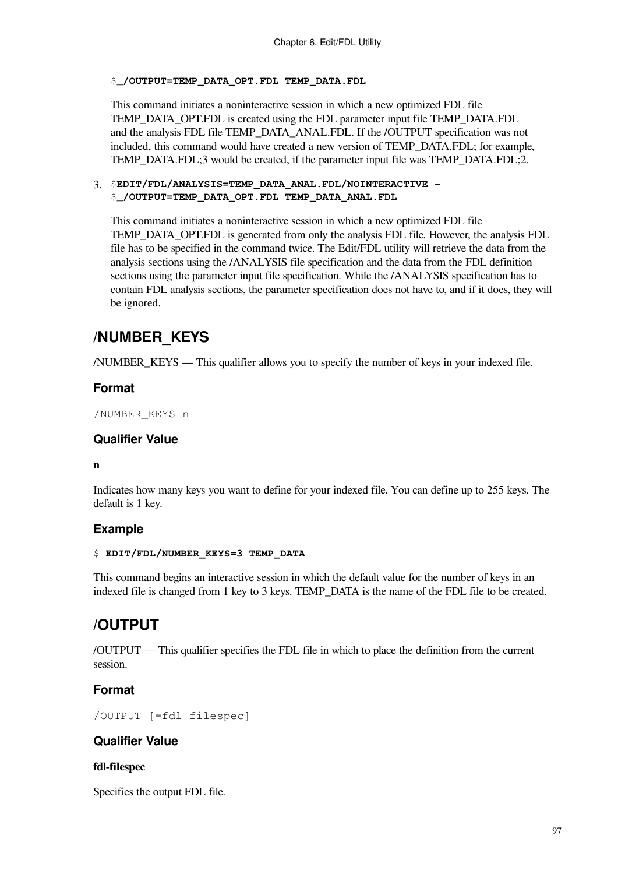### \$\_**/OUTPUT=TEMP\_DATA\_OPT.FDL TEMP\_DATA.FDL**

This command initiates a noninteractive session in which a new optimized FDL file TEMP\_DATA\_OPT.FDL is created using the FDL parameter input file TEMP\_DATA.FDL and the analysis FDL file TEMP\_DATA\_ANAL.FDL. If the /OUTPUT specification was not included, this command would have created a new version of TEMP\_DATA.FDL; for example, TEMP\_DATA.FDL;3 would be created, if the parameter input file was TEMP\_DATA.FDL;2.

#### 3. \$**EDIT/FDL/ANALYSIS=TEMP\_DATA\_ANAL.FDL/NOINTERACTIVE -** \$\_**/OUTPUT=TEMP\_DATA\_OPT.FDL TEMP\_DATA\_ANAL.FDL**

This command initiates a noninteractive session in which a new optimized FDL file TEMP\_DATA\_OPT.FDL is generated from only the analysis FDL file. However, the analysis FDL file has to be specified in the command twice. The Edit/FDL utility will retrieve the data from the analysis sections using the /ANALYSIS file specification and the data from the FDL definition sections using the parameter input file specification. While the /ANALYSIS specification has to contain FDL analysis sections, the parameter specification does not have to, and if it does, they will be ignored.

## **/NUMBER\_KEYS**

/NUMBER\_KEYS — This qualifier allows you to specify the number of keys in your indexed file.

### **Format**

/NUMBER\_KEYS n

### **Qualifier Value**

### **n**

Indicates how many keys you want to define for your indexed file. You can define up to 255 keys. The default is 1 key.

### **Example**

### \$ **EDIT/FDL/NUMBER\_KEYS=3 TEMP\_DATA**

This command begins an interactive session in which the default value for the number of keys in an indexed file is changed from 1 key to 3 keys. TEMP\_DATA is the name of the FDL file to be created.

## **/OUTPUT**

/OUTPUT — This qualifier specifies the FDL file in which to place the definition from the current session.

### **Format**

/OUTPUT [=fdl-filespec]

### **Qualifier Value**

### **fdl-filespec**

Specifies the output FDL file.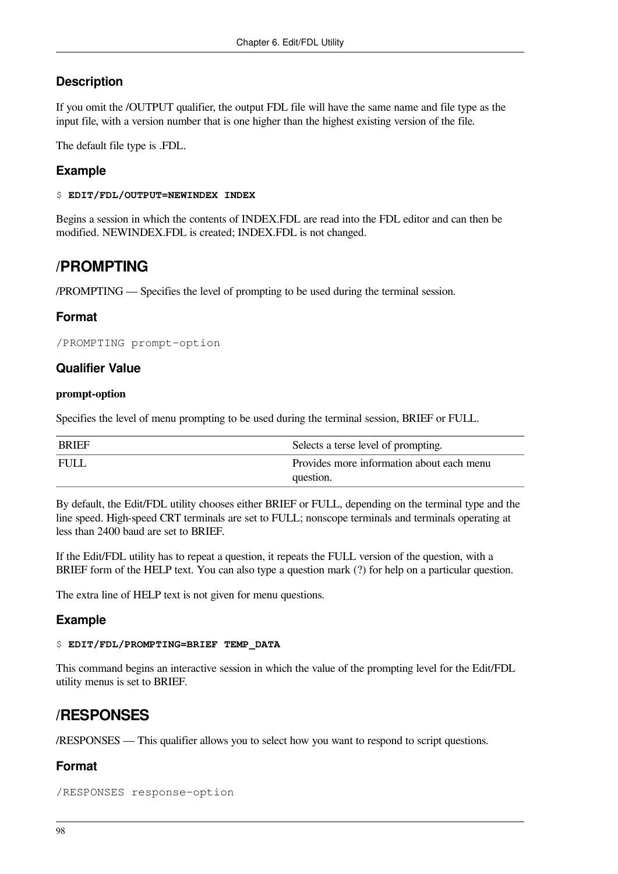### **Description**

If you omit the /OUTPUT qualifier, the output FDL file will have the same name and file type as the input file, with a version number that is one higher than the highest existing version of the file.

The default file type is .FDL.

### **Example**

#### \$ **EDIT/FDL/OUTPUT=NEWINDEX INDEX**

Begins a session in which the contents of INDEX.FDL are read into the FDL editor and can then be modified. NEWINDEX.FDL is created; INDEX.FDL is not changed.

### **/PROMPTING**

/PROMPTING — Specifies the level of prompting to be used during the terminal session.

### **Format**

```
/PROMPTING prompt-option
```
### **Qualifier Value**

### **prompt-option**

Specifies the level of menu prompting to be used during the terminal session, BRIEF or FULL.

| <b>BRIEF</b> | Selects a terse level of prompting.                    |
|--------------|--------------------------------------------------------|
| <b>FULL</b>  | Provides more information about each menu<br>question. |

By default, the Edit/FDL utility chooses either BRIEF or FULL, depending on the terminal type and the line speed. High-speed CRT terminals are set to FULL; nonscope terminals and terminals operating at less than 2400 baud are set to BRIEF.

If the Edit/FDL utility has to repeat a question, it repeats the FULL version of the question, with a BRIEF form of the HELP text. You can also type a question mark (?) for help on a particular question.

The extra line of HELP text is not given for menu questions.

### **Example**

### \$ **EDIT/FDL/PROMPTING=BRIEF TEMP\_DATA**

This command begins an interactive session in which the value of the prompting level for the Edit/FDL utility menus is set to BRIEF.

## **/RESPONSES**

/RESPONSES — This qualifier allows you to select how you want to respond to script questions.

### **Format**

```
/RESPONSES response-option
```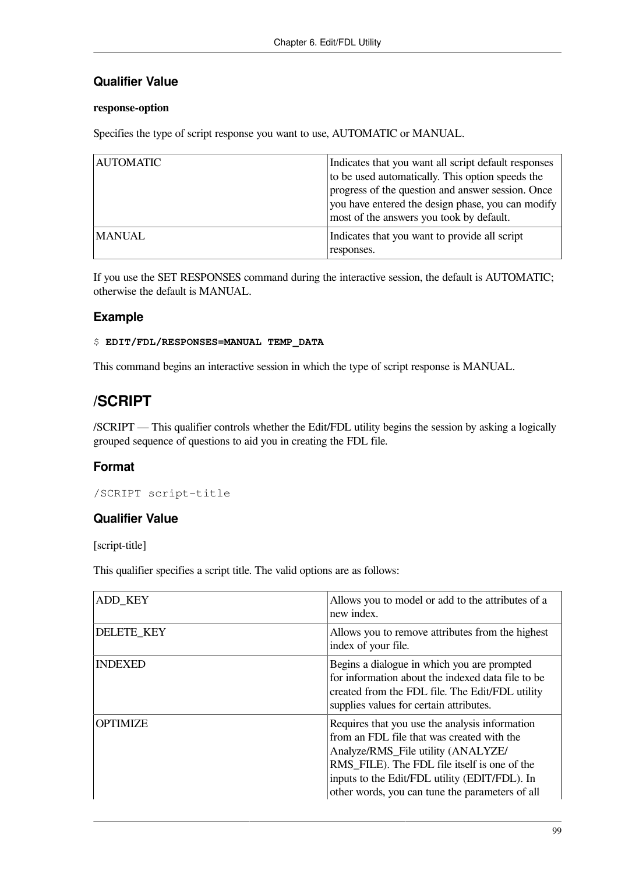### **Qualifier Value**

### **response-option**

Specifies the type of script response you want to use, AUTOMATIC or MANUAL.

| <b>AUTOMATIC</b> | Indicates that you want all script default responses<br>to be used automatically. This option speeds the<br>progress of the question and answer session. Once<br>you have entered the design phase, you can modify<br>most of the answers you took by default. |
|------------------|----------------------------------------------------------------------------------------------------------------------------------------------------------------------------------------------------------------------------------------------------------------|
| <b>MANUAL</b>    | Indicates that you want to provide all script<br>responses.                                                                                                                                                                                                    |

If you use the SET RESPONSES command during the interactive session, the default is AUTOMATIC; otherwise the default is MANUAL.

### **Example**

### \$ **EDIT/FDL/RESPONSES=MANUAL TEMP\_DATA**

This command begins an interactive session in which the type of script response is MANUAL.

## **/SCRIPT**

/SCRIPT — This qualifier controls whether the Edit/FDL utility begins the session by asking a logically grouped sequence of questions to aid you in creating the FDL file.

### **Format**

/SCRIPT script-title

### **Qualifier Value**

[script-title]

This qualifier specifies a script title. The valid options are as follows:

| ADD KEY         | Allows you to model or add to the attributes of a<br>new index.                                                                                                                                                                                                                        |
|-----------------|----------------------------------------------------------------------------------------------------------------------------------------------------------------------------------------------------------------------------------------------------------------------------------------|
| DELETE_KEY      | Allows you to remove attributes from the highest<br>index of your file.                                                                                                                                                                                                                |
| <b>INDEXED</b>  | Begins a dialogue in which you are prompted<br>for information about the indexed data file to be<br>created from the FDL file. The Edit/FDL utility<br>supplies values for certain attributes.                                                                                         |
| <b>OPTIMIZE</b> | Requires that you use the analysis information<br>from an FDL file that was created with the<br>Analyze/RMS_File utility (ANALYZE/<br>RMS FILE). The FDL file itself is one of the<br>inputs to the Edit/FDL utility (EDIT/FDL). In<br>other words, you can tune the parameters of all |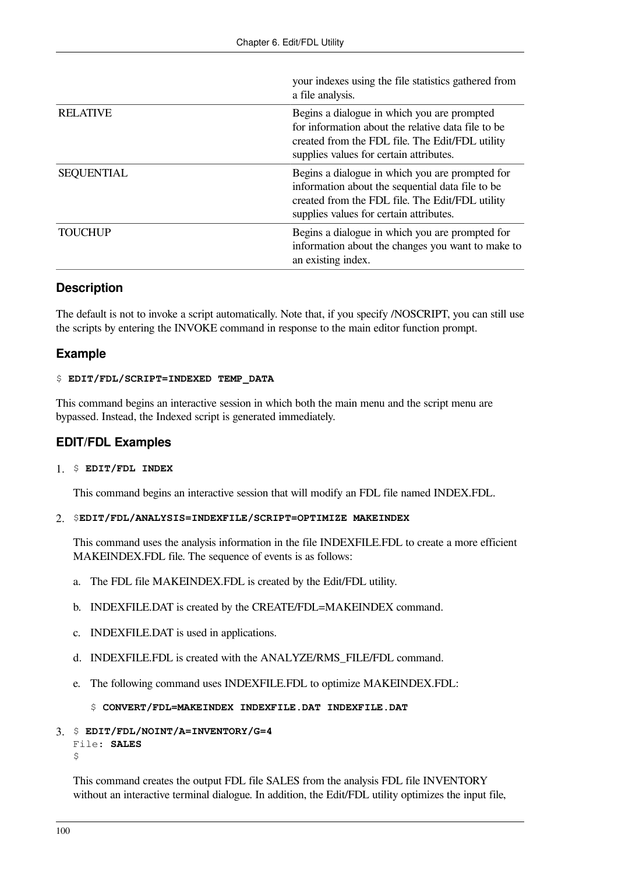|                   | your indexes using the file statistics gathered from<br>a file analysis.                                                                                                                          |
|-------------------|---------------------------------------------------------------------------------------------------------------------------------------------------------------------------------------------------|
| <b>RELATIVE</b>   | Begins a dialogue in which you are prompted<br>for information about the relative data file to be<br>created from the FDL file. The Edit/FDL utility<br>supplies values for certain attributes.   |
| <b>SEQUENTIAL</b> | Begins a dialogue in which you are prompted for<br>information about the sequential data file to be<br>created from the FDL file. The Edit/FDL utility<br>supplies values for certain attributes. |
| <b>TOUCHUP</b>    | Begins a dialogue in which you are prompted for<br>information about the changes you want to make to<br>an existing index.                                                                        |

### **Description**

The default is not to invoke a script automatically. Note that, if you specify /NOSCRIPT, you can still use the scripts by entering the INVOKE command in response to the main editor function prompt.

### **Example**

### \$ **EDIT/FDL/SCRIPT=INDEXED TEMP\_DATA**

This command begins an interactive session in which both the main menu and the script menu are bypassed. Instead, the Indexed script is generated immediately.

### **EDIT/FDL Examples**

### 1. \$ **EDIT/FDL INDEX**

This command begins an interactive session that will modify an FDL file named INDEX.FDL.

### 2. \$**EDIT/FDL/ANALYSIS=INDEXFILE/SCRIPT=OPTIMIZE MAKEINDEX**

This command uses the analysis information in the file INDEXFILE.FDL to create a more efficient MAKEINDEX.FDL file. The sequence of events is as follows:

- a. The FDL file MAKEINDEX.FDL is created by the Edit/FDL utility.
- b. INDEXFILE.DAT is created by the CREATE/FDL=MAKEINDEX command.
- c. INDEXFILE.DAT is used in applications.
- d. INDEXFILE.FDL is created with the ANALYZE/RMS\_FILE/FDL command.
- e. The following command uses INDEXFILE.FDL to optimize MAKEINDEX.FDL:

### \$ **CONVERT/FDL=MAKEINDEX INDEXFILE.DAT INDEXFILE.DAT**

### 3. \$ **EDIT/FDL/NOINT/A=INVENTORY/G=4**

```
File: SALES
\mathcal{S}
```
This command creates the output FDL file SALES from the analysis FDL file INVENTORY without an interactive terminal dialogue. In addition, the Edit/FDL utility optimizes the input file,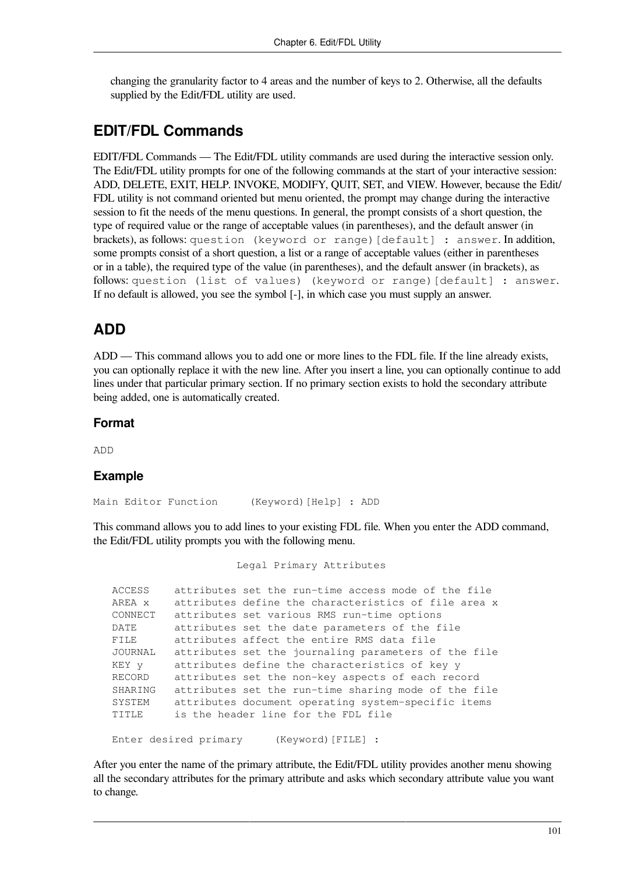changing the granularity factor to 4 areas and the number of keys to 2. Otherwise, all the defaults supplied by the Edit/FDL utility are used.

## **EDIT/FDL Commands**

EDIT/FDL Commands — The Edit/FDL utility commands are used during the interactive session only. The Edit/FDL utility prompts for one of the following commands at the start of your interactive session: ADD, DELETE, EXIT, HELP. INVOKE, MODIFY, QUIT, SET, and VIEW. However, because the Edit/ FDL utility is not command oriented but menu oriented, the prompt may change during the interactive session to fit the needs of the menu questions. In general, the prompt consists of a short question, the type of required value or the range of acceptable values (in parentheses), and the default answer (in brackets), as follows: question (keyword or range) [default] : answer. In addition, some prompts consist of a short question, a list or a range of acceptable values (either in parentheses or in a table), the required type of the value (in parentheses), and the default answer (in brackets), as follows: question (list of values) (keyword or range)[default] : answer. If no default is allowed, you see the symbol [-], in which case you must supply an answer.

## **ADD**

ADD — This command allows you to add one or more lines to the FDL file. If the line already exists, you can optionally replace it with the new line. After you insert a line, you can optionally continue to add lines under that particular primary section. If no primary section exists to hold the secondary attribute being added, one is automatically created.

#### **Format**

ADD

#### **Example**

Main Editor Function (Keyword) [Help] : ADD

This command allows you to add lines to your existing FDL file. When you enter the ADD command, the Edit/FDL utility prompts you with the following menu.

 Legal Primary Attributes ACCESS attributes set the run-time access mode of the file AREA x attributes define the characteristics of file area x CONNECT attributes set various RMS run-time options DATE attributes set the date parameters of the file FILE attributes affect the entire RMS data file JOURNAL attributes set the journaling parameters of the file KEY y attributes define the characteristics of key y RECORD attributes set the non-key aspects of each record SHARING attributes set the run-time sharing mode of the file SYSTEM attributes document operating system-specific items TITLE is the header line for the FDL file Enter desired primary (Keyword) [FILE] :

After you enter the name of the primary attribute, the Edit/FDL utility provides another menu showing all the secondary attributes for the primary attribute and asks which secondary attribute value you want to change.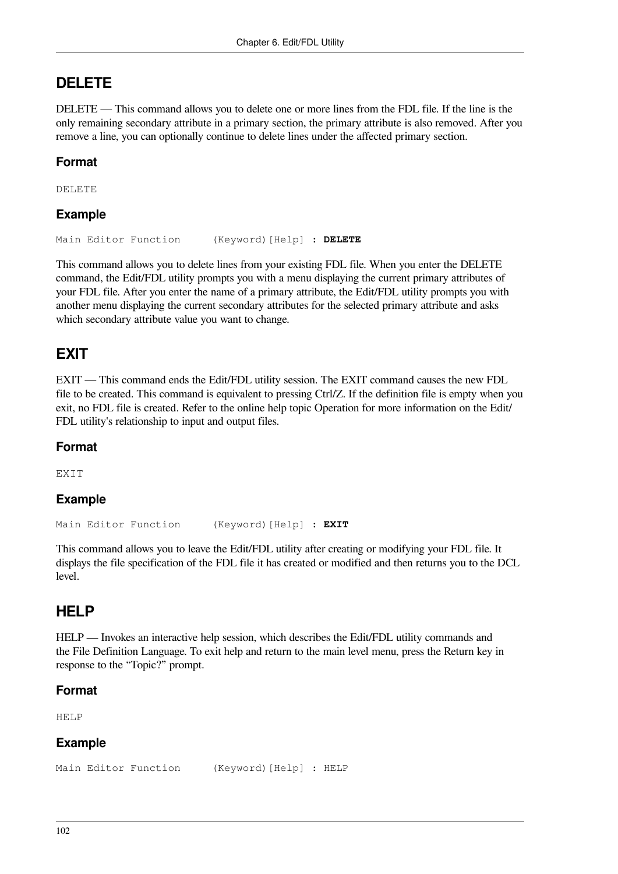## **DELETE**

DELETE — This command allows you to delete one or more lines from the FDL file. If the line is the only remaining secondary attribute in a primary section, the primary attribute is also removed. After you remove a line, you can optionally continue to delete lines under the affected primary section.

## **Format**

DELETE

### **Example**

Main Editor Function (Keyword)[Help] : **DELETE**

This command allows you to delete lines from your existing FDL file. When you enter the DELETE command, the Edit/FDL utility prompts you with a menu displaying the current primary attributes of your FDL file. After you enter the name of a primary attribute, the Edit/FDL utility prompts you with another menu displaying the current secondary attributes for the selected primary attribute and asks which secondary attribute value you want to change.

## **EXIT**

EXIT — This command ends the Edit/FDL utility session. The EXIT command causes the new FDL file to be created. This command is equivalent to pressing Ctrl/Z. If the definition file is empty when you exit, no FDL file is created. Refer to the online help topic Operation for more information on the Edit/ FDL utility's relationship to input and output files.

### **Format**

**EXTT** 

### **Example**

Main Editor Function (Keyword)[Help] : **EXIT**

This command allows you to leave the Edit/FDL utility after creating or modifying your FDL file. It displays the file specification of the FDL file it has created or modified and then returns you to the DCL level.

## **HELP**

HELP — Invokes an interactive help session, which describes the Edit/FDL utility commands and the File Definition Language. To exit help and return to the main level menu, press the Return key in response to the "Topic?" prompt.

### **Format**

HELP

### **Example**

Main Editor Function (Keyword) [Help] : HELP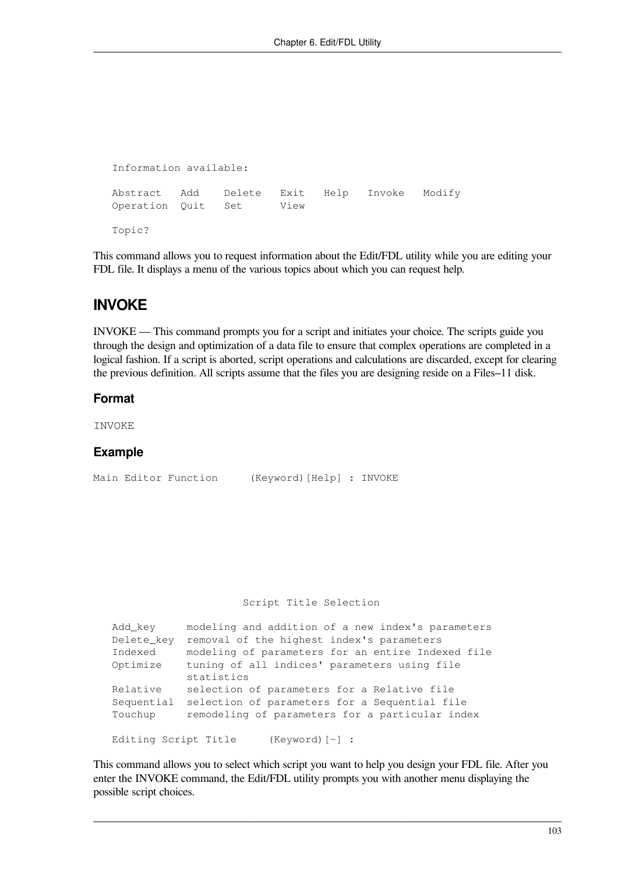```
 Information available: 
Abstract Add Delete Exit Help Invoke Modify 
Operation Quit Set View 
Topic?
```
This command allows you to request information about the Edit/FDL utility while you are editing your FDL file. It displays a menu of the various topics about which you can request help.

## **INVOKE**

INVOKE — This command prompts you for a script and initiates your choice. The scripts guide you through the design and optimization of a data file to ensure that complex operations are completed in a logical fashion. If a script is aborted, script operations and calculations are discarded, except for clearing the previous definition. All scripts assume that the files you are designing reside on a Files–11 disk.

#### **Format**

INVOKE

#### **Example**

Main Editor Function (Keyword)[Help] : INVOKE

#### Script Title Selection

| Add key              | modeling and addition of a new index's parameters |
|----------------------|---------------------------------------------------|
| Delete key           | removal of the highest index's parameters         |
| Indexed              | modeling of parameters for an entire Indexed file |
| Optimize             | tuning of all indices' parameters using file      |
|                      | statistics                                        |
| Relative             | selection of parameters for a Relative file       |
| Sequential           | selection of parameters for a Sequential file     |
| Touchup              | remodeling of parameters for a particular index   |
|                      |                                                   |
| Editing Script Title | $(Keyword)$ $[-]$ :                               |

This command allows you to select which script you want to help you design your FDL file. After you enter the INVOKE command, the Edit/FDL utility prompts you with another menu displaying the possible script choices.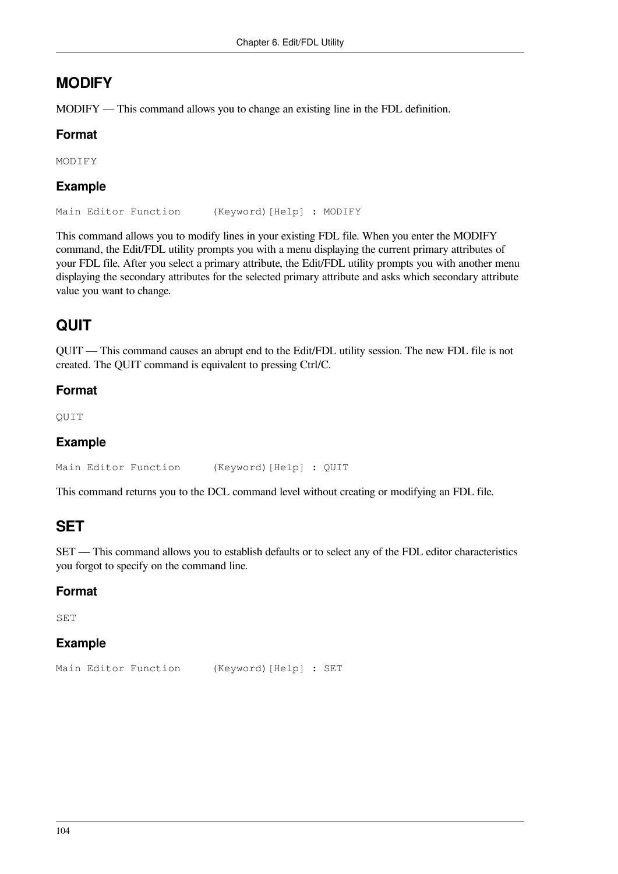## **MODIFY**

MODIFY — This command allows you to change an existing line in the FDL definition.

### **Format**

MODIFY

## **Example**

Main Editor Function (Keyword)[Help] : MODIFY

This command allows you to modify lines in your existing FDL file. When you enter the MODIFY command, the Edit/FDL utility prompts you with a menu displaying the current primary attributes of your FDL file. After you select a primary attribute, the Edit/FDL utility prompts you with another menu displaying the secondary attributes for the selected primary attribute and asks which secondary attribute value you want to change.

# **QUIT**

QUIT — This command causes an abrupt end to the Edit/FDL utility session. The new FDL file is not created. The QUIT command is equivalent to pressing Ctrl/C.

## **Format**

QUIT

### **Example**

```
Main Editor Function (Keyword) [Help] : QUIT
```
This command returns you to the DCL command level without creating or modifying an FDL file.

## **SET**

SET — This command allows you to establish defaults or to select any of the FDL editor characteristics you forgot to specify on the command line.

### **Format**

SET

### **Example**

```
Main Editor Function (Keyword) [Help] : SET
```